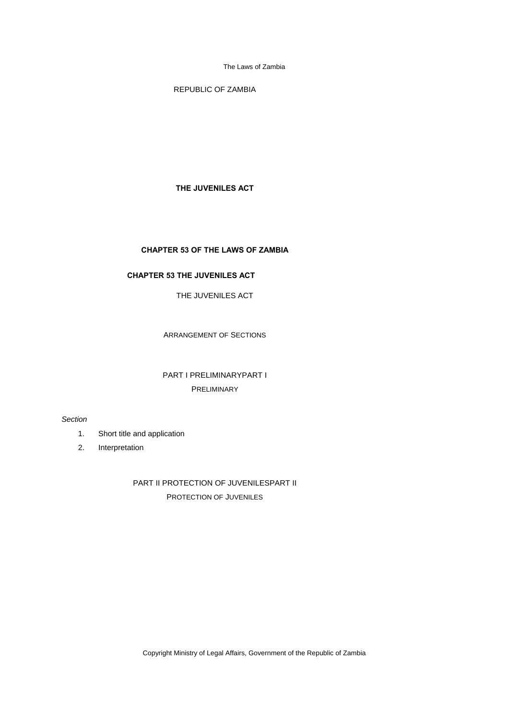REPUBLIC OF ZAMBIA

# **THE JUVENILES ACT**

# **CHAPTER 53 OF THE LAWS OF ZAMBIA**

# **CHAPTER 53 THE JUVENILES ACT**

THE JUVENILES ACT

ARRANGEMENT OF SECTIONS

# PART I PRELIMINARYPART I PRELIMINARY

### *Section*

- 1. Short title and application
- 2. Interpretation

PART II PROTECTION OF JUVENILESPART II PROTECTION OF JUVENILES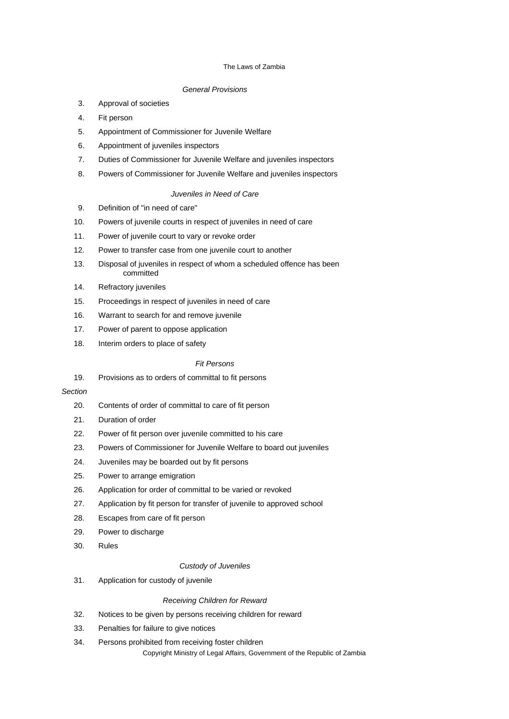# *General Provisions*

- 3. Approval of societies
- 4. Fit person
- 5. Appointment of Commissioner for Juvenile Welfare
- 6. Appointment of juveniles inspectors
- 7. Duties of Commissioner for Juvenile Welfare and juveniles inspectors
- 8. Powers of Commissioner for Juvenile Welfare and juveniles inspectors

# *Juveniles in Need of Care*

- 9. Definition of "in need of care"
- 10. Powers of juvenile courts in respect of juveniles in need of care
- 11. Power of juvenile court to vary or revoke order
- 12. Power to transfer case from one juvenile court to another
- 13. Disposal of juveniles in respect of whom a scheduled offence has been committed
- 14. Refractory juveniles
- 15. Proceedings in respect of juveniles in need of care
- 16. Warrant to search for and remove juvenile
- 17. Power of parent to oppose application
- 18. Interim orders to place of safety

# *Fit Persons*

19. Provisions as to orders of committal to fit persons

# *Section*

- 20. Contents of order of committal to care of fit person
- 21. Duration of order
- 22. Power of fit person over juvenile committed to his care
- 23. Powers of Commissioner for Juvenile Welfare to board out juveniles
- 24. Juveniles may be boarded out by fit persons
- 25. Power to arrange emigration
- 26. Application for order of committal to be varied or revoked
- 27. Application by fit person for transfer of juvenile to approved school
- 28. Escapes from care of fit person
- 29. Power to discharge
- 30. Rules

# *Custody of Juveniles*

31. Application for custody of juvenile

### *Receiving Children for Reward*

- 32. Notices to be given by persons receiving children for reward
- 33. Penalties for failure to give notices
- Copyright Ministry of Legal Affairs, Government of the Republic of Zambia 34. Persons prohibited from receiving foster children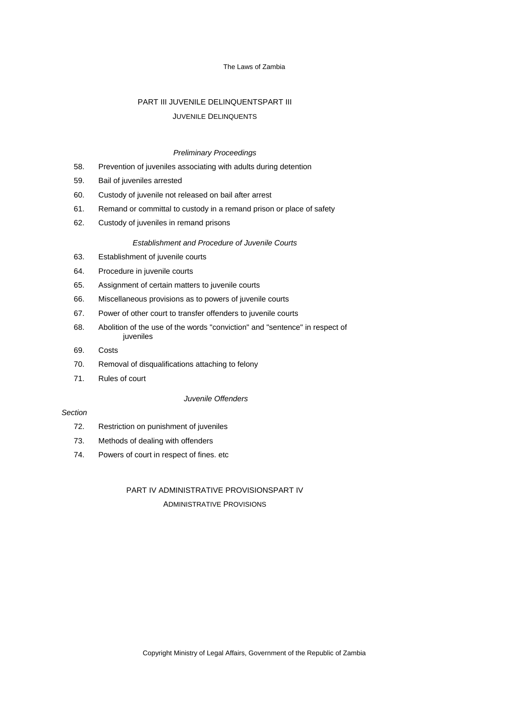# PART III JUVENILE DELINQUENTSPART III JUVENILE DELINQUENTS

### *Preliminary Proceedings*

- 58. Prevention of juveniles associating with adults during detention
- 59. Bail of juveniles arrested
- 60. Custody of juvenile not released on bail after arrest
- 61. Remand or committal to custody in a remand prison or place of safety
- 62. Custody of juveniles in remand prisons

# *Establishment and Procedure of Juvenile Courts*

- 63. Establishment of juvenile courts
- 64. Procedure in juvenile courts
- 65. Assignment of certain matters to juvenile courts
- 66. Miscellaneous provisions as to powers of juvenile courts
- 67. Power of other court to transfer offenders to juvenile courts
- 68. Abolition of the use of the words "conviction" and "sentence" in respect of juveniles
- 69. Costs
- 70. Removal of disqualifications attaching to felony
- 71. Rules of court

# *Juvenile Offenders*

# *Section*

- 72. Restriction on punishment of juveniles
- 73. Methods of dealing with offenders
- 74. Powers of court in respect of fines. etc

# PART IV ADMINISTRATIVE PROVISIONSPART IV ADMINISTRATIVE PROVISIONS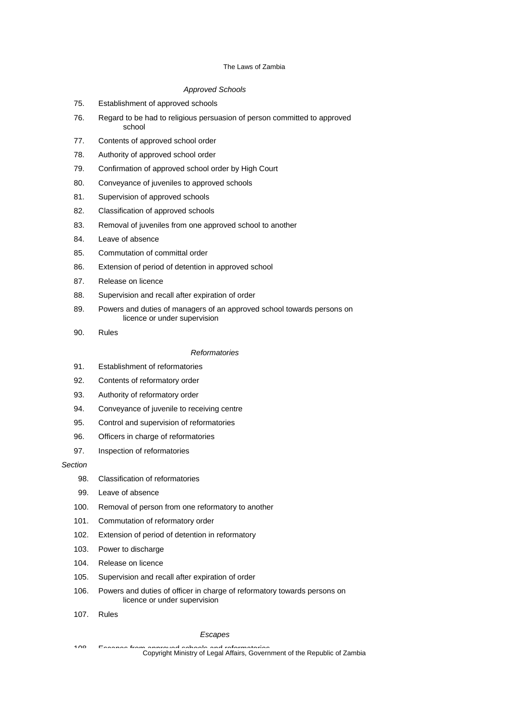# *Approved Schools*

- 75. Establishment of approved schools
- 76. Regard to be had to religious persuasion of person committed to approved school
- 77. Contents of approved school order
- 78. Authority of approved school order
- 79. Confirmation of approved school order by High Court
- 80. Conveyance of juveniles to approved schools
- 81. Supervision of approved schools
- 82. Classification of approved schools
- 83. Removal of juveniles from one approved school to another
- 84. Leave of absence
- 85. Commutation of committal order
- 86. Extension of period of detention in approved school
- 87. Release on licence
- 88. Supervision and recall after expiration of order
- 89. Powers and duties of managers of an approved school towards persons on licence or under supervision
- 90. Rules

### *Reformatories*

- 91. Establishment of reformatories
- 92. Contents of reformatory order
- 93. Authority of reformatory order
- 94. Conveyance of juvenile to receiving centre
- 95. Control and supervision of reformatories
- 96. Officers in charge of reformatories
- 97. Inspection of reformatories

### *Section*

- 98. Classification of reformatories
- 99. Leave of absence
- 100. Removal of person from one reformatory to another
- 101. Commutation of reformatory order
- 102. Extension of period of detention in reformatory
- 103. Power to discharge
- 104. Release on licence
- 105. Supervision and recall after expiration of order
- 106. Powers and duties of officer in charge of reformatory towards persons on licence or under supervision
- 107. Rules

# *Escapes*

<sup>108</sup> Escapes from approved schools and reformatories.<br>Copyright Ministry of Legal Affairs, Government of the Republic of Zambia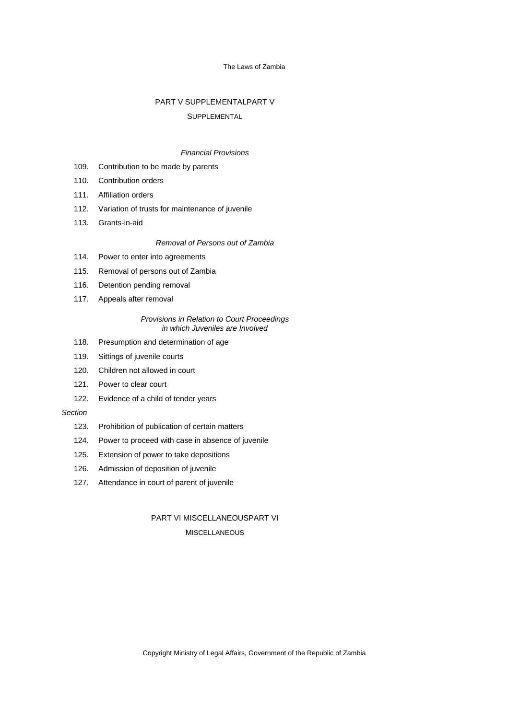# PART V SUPPLEMENTALPART V

### SUPPLEMENTAL

#### *Financial Provisions*

- 109. Contribution to be made by parents
- 110. Contribution orders
- 111. Affiliation orders
- 112. Variation of trusts for maintenance of juvenile
- 113. Grants-in-aid

## *Removal of Persons out of Zambia*

- 114. Power to enter into agreements
- 115. Removal of persons out of Zambia
- 116. Detention pending removal
- 117. Appeals after removal

### *Provisions in Relation to Court Proceedings in which Juveniles are Involved*

- 118. Presumption and determination of age
- 119. Sittings of juvenile courts
- 120. Children not allowed in court
- 121. Power to clear court
- 122. Evidence of a child of tender years

# *Section*

- 123. Prohibition of publication of certain matters
- 124. Power to proceed with case in absence of juvenile
- 125. Extension of power to take depositions
- 126. Admission of deposition of juvenile
- 127. Attendance in court of parent of juvenile

# PART VI MISCELLANEOUSPART VI **MISCELLANEOUS**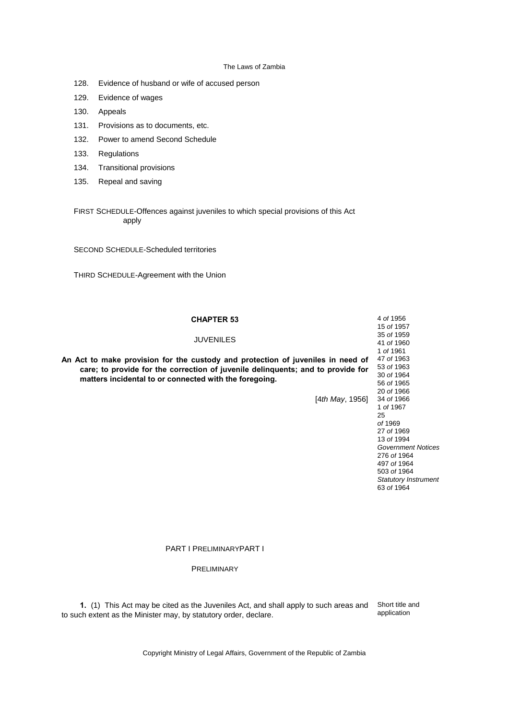- 128. Evidence of husband or wife of accused person
- 129. Evidence of wages
- 130. Appeals
- 131. Provisions as to documents, etc.
- 132. Power to amend Second Schedule
- 133. Regulations
- 134. Transitional provisions
- 135. Repeal and saving

FIRST SCHEDULE-Offences against juveniles to which special provisions of this Act apply

SECOND SCHEDULE-Scheduled territories

THIRD SCHEDULE-Agreement with the Union

| <b>CHAPTER 53</b>                                                               | 4 of 1956                 |
|---------------------------------------------------------------------------------|---------------------------|
|                                                                                 | 15 of 1957                |
| <b>JUVENILES</b>                                                                | 35 of 1959                |
|                                                                                 | 41 of 1960                |
|                                                                                 | 1 of 1961                 |
| An Act to make provision for the custody and protection of juveniles in need of | 47 of 1963                |
| care; to provide for the correction of juvenile delinguents; and to provide for | 53 of 1963                |
| matters incidental to or connected with the foregoing.                          | 30 of 1964                |
|                                                                                 | 56 of 1965                |
|                                                                                 | 20 of 1966                |
| [4th May, 1956]                                                                 | 34 of 1966                |
|                                                                                 | 1 of 1967                 |
|                                                                                 | 25                        |
|                                                                                 | of 1969                   |
|                                                                                 | 27 of 1969                |
|                                                                                 | 13 of 1994                |
|                                                                                 | <b>Government Notices</b> |
|                                                                                 | $270 - 14004$             |

276 *of* 1964 497 *of* 1964 503 *of* 1964 *Statutory Instrument* 63 *of* 1964

#### PART I PRELIMINARYPART I

PRELIMINARY

**1.** (1) This Act may be cited as the Juveniles Act, and shall apply to such areas and to such extent as the Minister may, by statutory order, declare.

Short title and application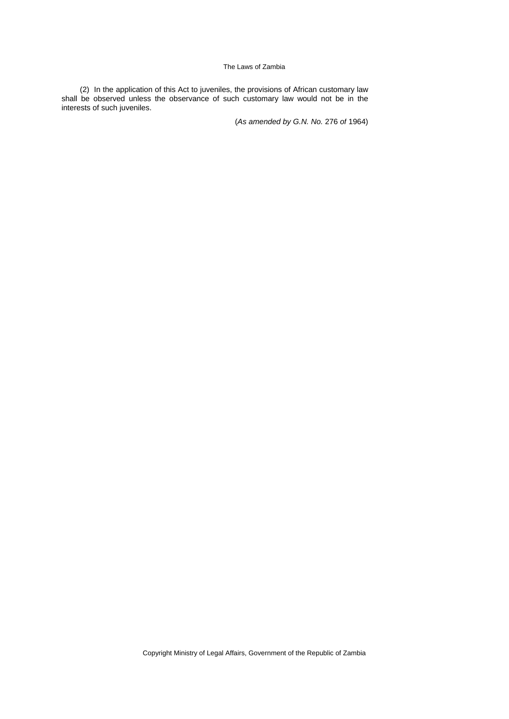(2) In the application of this Act to juveniles, the provisions of African customary law shall be observed unless the observance of such customary law would not be in the interests of such juveniles.

(*As amended by G.N. No.* 276 *of* 1964)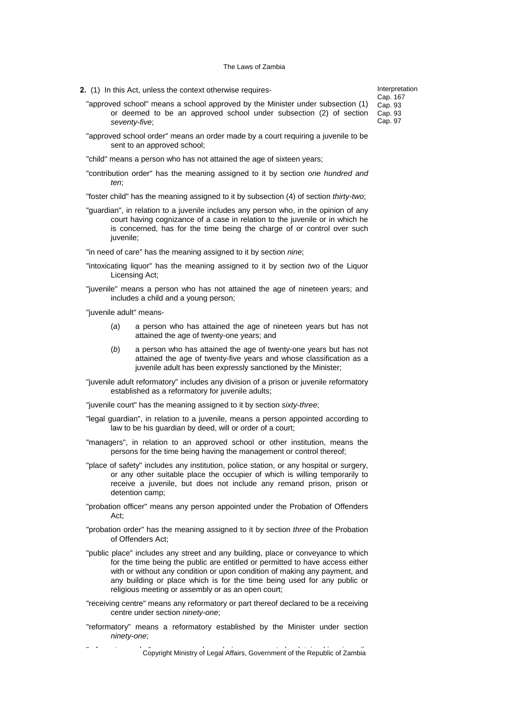- **2.** (1) In this Act, unless the context otherwise requires-
	- "approved school" means a school approved by the Minister under subsection (1) or deemed to be an approved school under subsection (2) of section *seventy-five*;
	- "approved school order" means an order made by a court requiring a juvenile to be sent to an approved school;
	- "child" means a person who has not attained the age of sixteen years;
	- "contribution order" has the meaning assigned to it by section *one hundred and ten*;

"foster child" has the meaning assigned to it by subsection (4) of section *thirty-two*;

"guardian", in relation to a juvenile includes any person who, in the opinion of any court having cognizance of a case in relation to the juvenile or in which he is concerned, has for the time being the charge of or control over such juvenile;

"in need of care" has the meaning assigned to it by section *nine*;

- "intoxicating liquor" has the meaning assigned to it by section *two* of the Liquor Licensing Act;
- "juvenile" means a person who has not attained the age of nineteen years; and includes a child and a young person;

"juvenile adult" means-

- (*a*) a person who has attained the age of nineteen years but has not attained the age of twenty-one years; and
- (*b*) a person who has attained the age of twenty-one years but has not attained the age of twenty-five years and whose classification as a juvenile adult has been expressly sanctioned by the Minister;
- "juvenile adult reformatory" includes any division of a prison or juvenile reformatory established as a reformatory for juvenile adults;

"juvenile court" has the meaning assigned to it by section *sixty-three*;

- "legal guardian", in relation to a juvenile, means a person appointed according to law to be his guardian by deed, will or order of a court;
- "managers", in relation to an approved school or other institution, means the persons for the time being having the management or control thereof;
- "place of safety" includes any institution, police station, or any hospital or surgery, or any other suitable place the occupier of which is willing temporarily to receive a juvenile, but does not include any remand prison, prison or detention camp;
- "probation officer" means any person appointed under the Probation of Offenders Act;
- "probation order" has the meaning assigned to it by section *three* of the Probation of Offenders Act;
- "public place" includes any street and any building, place or conveyance to which for the time being the public are entitled or permitted to have access either with or without any condition or upon condition of making any payment, and any building or place which is for the time being used for any public or religious meeting or assembly or as an open court;
- "receiving centre" means any reformatory or part thereof declared to be a receiving centre under section *ninety-one*;
- "reformatory" means a reformatory established by the Minister under section *ninety-one*;

" Copyright Ministry of Legal Affairs, Government of the Republic of Zambia

Interpretation Cap. 167 Cap. 93 Cap. 93 Cap. 97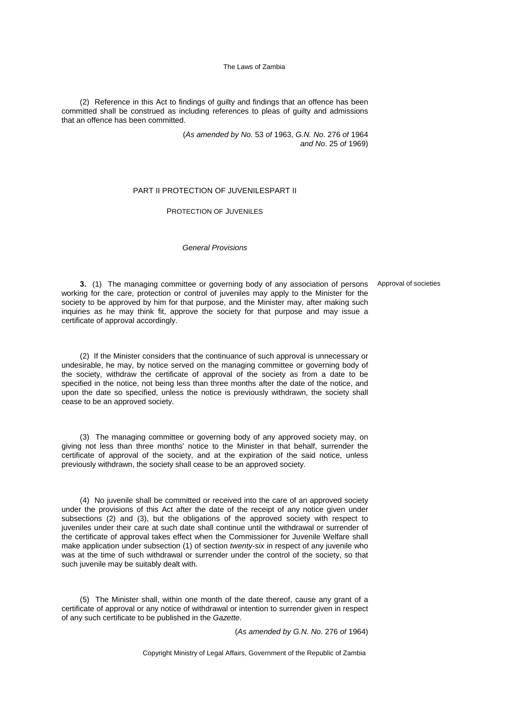(2) Reference in this Act to findings of guilty and findings that an offence has been committed shall be construed as including references to pleas of guilty and admissions that an offence has been committed.

> (*As amended by No*. 53 *of* 1963, *G.N. No*. 276 *of* 1964 *and No*. 25 *of* 1969)

# PART II PROTECTION OF JUVENILESPART II

# PROTECTION OF JUVENILES

### *General Provisions*

**3.** (1) The managing committee or governing body of any association of persons Approval of societies working for the care, protection or control of juveniles may apply to the Minister for the society to be approved by him for that purpose, and the Minister may, after making such inquiries as he may think fit, approve the society for that purpose and may issue a certificate of approval accordingly.

(2) If the Minister considers that the continuance of such approval is unnecessary or undesirable, he may, by notice served on the managing committee or governing body of the society, withdraw the certificate of approval of the society as from a date to be specified in the notice, not being less than three months after the date of the notice, and upon the date so specified, unless the notice is previously withdrawn, the society shall cease to be an approved society.

(3) The managing committee or governing body of any approved society may, on giving not less than three months' notice to the Minister in that behalf, surrender the certificate of approval of the society, and at the expiration of the said notice, unless previously withdrawn, the society shall cease to be an approved society.

(4) No juvenile shall be committed or received into the care of an approved society under the provisions of this Act after the date of the receipt of any notice given under subsections (2) and (3), but the obligations of the approved society with respect to juveniles under their care at such date shall continue until the withdrawal or surrender of the certificate of approval takes effect when the Commissioner for Juvenile Welfare shall make application under subsection (1) of section *twenty-six* in respect of any juvenile who was at the time of such withdrawal or surrender under the control of the society, so that such juvenile may be suitably dealt with.

(5) The Minister shall, within one month of the date thereof, cause any grant of a certificate of approval or any notice of withdrawal or intention to surrender given in respect of any such certificate to be published in the *Gazette*.

(*As amended by G.N. No*. 276 *of* 1964)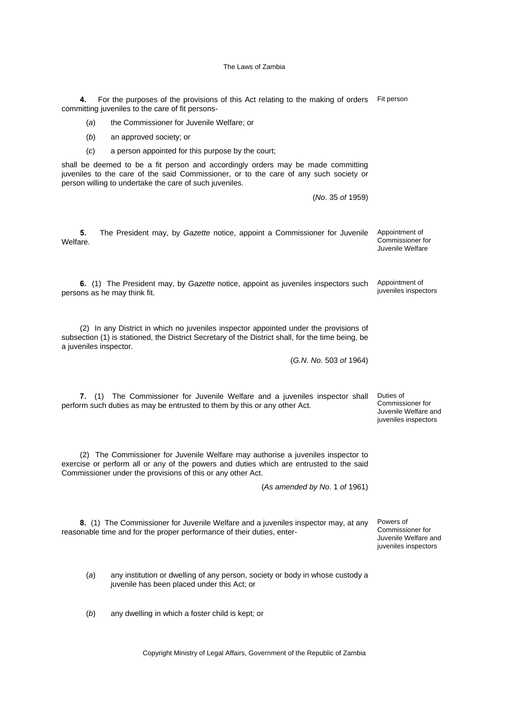4. For the purposes of the provisions of this Act relating to the making of orders Fit person committing juveniles to the care of fit persons-

(*a*) the Commissioner for Juvenile Welfare; or

- (*b*) an approved society; or
- (*c*) a person appointed for this purpose by the court;

shall be deemed to be a fit person and accordingly orders may be made committing juveniles to the care of the said Commissioner, or to the care of any such society or person willing to undertake the care of such juveniles.

(*No*. 35 *of* 1959)

**5.** The President may, by *Gazette* notice, appoint a Commissioner for Juvenile Welfare. Appointment of Commissioner for Juvenile Welfare

**6.** (1) The President may, by *Gazette* notice, appoint as juveniles inspectors such persons as he may think fit. Appointment of juveniles inspectors

(2) In any District in which no juveniles inspector appointed under the provisions of subsection (1) is stationed, the District Secretary of the District shall, for the time being, be a juveniles inspector.

(*G.N. No*. 503 *of* 1964)

**7.** (1) The Commissioner for Juvenile Welfare and a juveniles inspector shall perform such duties as may be entrusted to them by this or any other Act.

(2) The Commissioner for Juvenile Welfare may authorise a juveniles inspector to exercise or perform all or any of the powers and duties which are entrusted to the said Commissioner under the provisions of this or any other Act.

(*As amended by No*. 1 *of* 1961)

**8.** (1) The Commissioner for Juvenile Welfare and a juveniles inspector may, at any reasonable time and for the proper performance of their duties, enter-

Powers of Commissioner for Juvenile Welfare and juveniles inspectors

Duties of Commissioner for Juvenile Welfare and juveniles inspectors

(*a*) any institution or dwelling of any person, society or body in whose custody a juvenile has been placed under this Act; or

(*b*) any dwelling in which a foster child is kept; or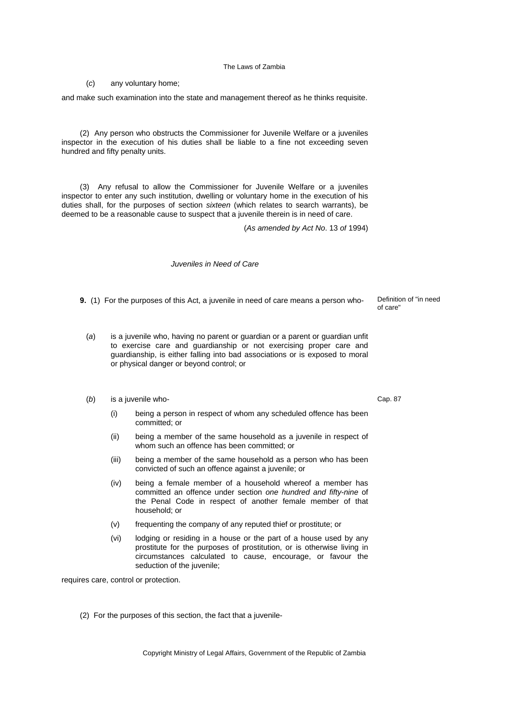(*c*) any voluntary home;

and make such examination into the state and management thereof as he thinks requisite.

(2) Any person who obstructs the Commissioner for Juvenile Welfare or a juveniles inspector in the execution of his duties shall be liable to a fine not exceeding seven hundred and fifty penalty units.

(3) Any refusal to allow the Commissioner for Juvenile Welfare or a juveniles inspector to enter any such institution, dwelling or voluntary home in the execution of his duties shall, for the purposes of section *sixteen* (which relates to search warrants), be deemed to be a reasonable cause to suspect that a juvenile therein is in need of care.

(*As amended by Act No*. 13 *of* 1994)

*Juveniles in Need of Care*

- **9.** (1) For the purposes of this Act, a juvenile in need of care means a person who-<br>Definition of "in need"
	- (*a*) is a juvenile who, having no parent or guardian or a parent or guardian unfit to exercise care and guardianship or not exercising proper care and guardianship, is either falling into bad associations or is exposed to moral or physical danger or beyond control; or
	- (*b*) is a juvenile who-
		- (i) being a person in respect of whom any scheduled offence has been committed; or
		- (ii) being a member of the same household as a juvenile in respect of whom such an offence has been committed; or
		- (iii) being a member of the same household as a person who has been convicted of such an offence against a juvenile; or
		- (iv) being a female member of a household whereof a member has committed an offence under section *one hundred and fifty-nine* of the Penal Code in respect of another female member of that household; or
		- (v) frequenting the company of any reputed thief or prostitute; or
		- (vi) lodging or residing in a house or the part of a house used by any prostitute for the purposes of prostitution, or is otherwise living in circumstances calculated to cause, encourage, or favour the seduction of the juvenile;

requires care, control or protection.

(2) For the purposes of this section, the fact that a juvenile-

Copyright Ministry of Legal Affairs, Government of the Republic of Zambia

Cap. 87

of care"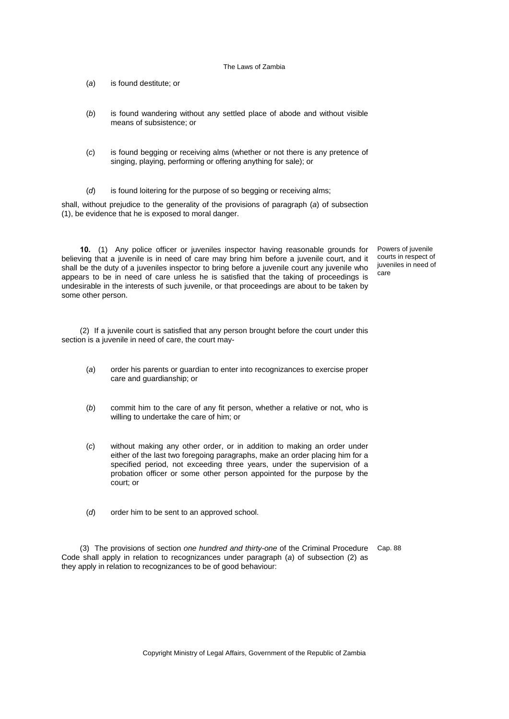- (*a*) is found destitute; or
- (*b*) is found wandering without any settled place of abode and without visible means of subsistence; or
- (*c*) is found begging or receiving alms (whether or not there is any pretence of singing, playing, performing or offering anything for sale); or
- (*d*) is found loitering for the purpose of so begging or receiving alms;

shall, without prejudice to the generality of the provisions of paragraph (*a*) of subsection (1), be evidence that he is exposed to moral danger.

**10.** (1) Any police officer or juveniles inspector having reasonable grounds for believing that a juvenile is in need of care may bring him before a juvenile court, and it shall be the duty of a juveniles inspector to bring before a juvenile court any juvenile who appears to be in need of care unless he is satisfied that the taking of proceedings is undesirable in the interests of such juvenile, or that proceedings are about to be taken by some other person.

Powers of juvenile courts in respect of juveniles in need of care

(2) If a juvenile court is satisfied that any person brought before the court under this section is a juvenile in need of care, the court may-

- (*a*) order his parents or guardian to enter into recognizances to exercise proper care and guardianship; or
- (*b*) commit him to the care of any fit person, whether a relative or not, who is willing to undertake the care of him; or
- (*c*) without making any other order, or in addition to making an order under either of the last two foregoing paragraphs, make an order placing him for a specified period, not exceeding three years, under the supervision of a probation officer or some other person appointed for the purpose by the court; or
- (*d*) order him to be sent to an approved school.

(3) The provisions of section *one hundred and thirty-one* of the Criminal Procedure Cap. 88Code shall apply in relation to recognizances under paragraph (*a*) of subsection (2) as they apply in relation to recognizances to be of good behaviour: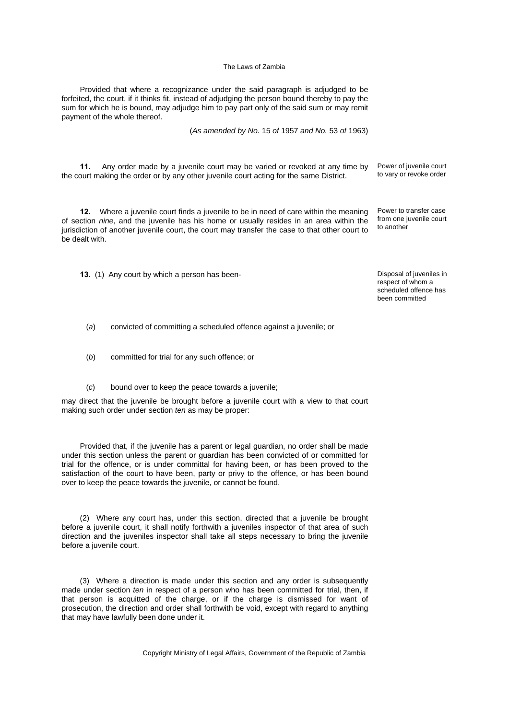Provided that where a recognizance under the said paragraph is adjudged to be forfeited, the court, if it thinks fit, instead of adjudging the person bound thereby to pay the sum for which he is bound, may adjudge him to pay part only of the said sum or may remit payment of the whole thereof.

(*As amended by No.* 15 *of* 1957 *and No.* 53 *of* 1963)

**11.** Any order made by a juvenile court may be varied or revoked at any time by the court making the order or by any other juvenile court acting for the same District.

**12.** Where a juvenile court finds a juvenile to be in need of care within the meaning of section *nine*, and the juvenile has his home or usually resides in an area within the jurisdiction of another juvenile court, the court may transfer the case to that other court to be dealt with.

Power to transfer case from one juvenile court

to another

Power of juvenile court to vary or revoke order

**13.** (1) Any court by which a person has been-<br> **13.** (1) Any court by which a person has been-

respect of whom a scheduled offence has been committed

(*a*) convicted of committing a scheduled offence against a juvenile; or

- (*b*) committed for trial for any such offence; or
- (*c*) bound over to keep the peace towards a juvenile;

may direct that the juvenile be brought before a juvenile court with a view to that court making such order under section *ten* as may be proper:

Provided that, if the juvenile has a parent or legal guardian, no order shall be made under this section unless the parent or guardian has been convicted of or committed for trial for the offence, or is under committal for having been, or has been proved to the satisfaction of the court to have been, party or privy to the offence, or has been bound over to keep the peace towards the juvenile, or cannot be found.

(2) Where any court has, under this section, directed that a juvenile be brought before a juvenile court, it shall notify forthwith a juveniles inspector of that area of such direction and the juveniles inspector shall take all steps necessary to bring the juvenile before a juvenile court.

(3) Where a direction is made under this section and any order is subsequently made under section *ten* in respect of a person who has been committed for trial, then, if that person is acquitted of the charge, or if the charge is dismissed for want of prosecution, the direction and order shall forthwith be void, except with regard to anything that may have lawfully been done under it.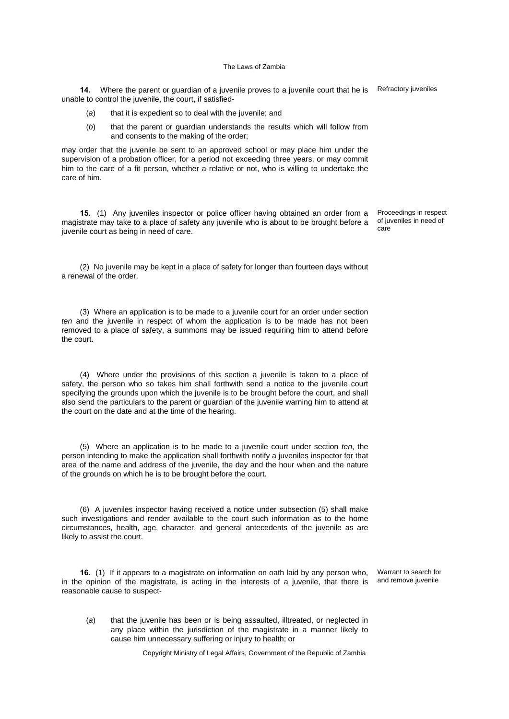**14.** Where the parent or guardian of a juvenile proves to a juvenile court that he is Refractory juveniles unable to control the juvenile, the court, if satisfied-

- (*a*) that it is expedient so to deal with the juvenile; and
- (*b*) that the parent or guardian understands the results which will follow from and consents to the making of the order;

may order that the juvenile be sent to an approved school or may place him under the supervision of a probation officer, for a period not exceeding three years, or may commit him to the care of a fit person, whether a relative or not, who is willing to undertake the care of him.

**15.** (1) Any juveniles inspector or police officer having obtained an order from a magistrate may take to a place of safety any juvenile who is about to be brought before a juvenile court as being in need of care.

Proceedings in respect of juveniles in need of care

(2) No juvenile may be kept in a place of safety for longer than fourteen days without a renewal of the order.

(3) Where an application is to be made to a juvenile court for an order under section *ten* and the juvenile in respect of whom the application is to be made has not been removed to a place of safety, a summons may be issued requiring him to attend before the court.

(4) Where under the provisions of this section a juvenile is taken to a place of safety, the person who so takes him shall forthwith send a notice to the juvenile court specifying the grounds upon which the juvenile is to be brought before the court, and shall also send the particulars to the parent or guardian of the juvenile warning him to attend at the court on the date and at the time of the hearing.

(5) Where an application is to be made to a juvenile court under section *ten*, the person intending to make the application shall forthwith notify a juveniles inspector for that area of the name and address of the juvenile, the day and the hour when and the nature of the grounds on which he is to be brought before the court.

(6) A juveniles inspector having received a notice under subsection (5) shall make such investigations and render available to the court such information as to the home circumstances, health, age, character, and general antecedents of the juvenile as are likely to assist the court.

**16.** (1) If it appears to a magistrate on information on oath laid by any person who, in the opinion of the magistrate, is acting in the interests of a juvenile, that there is reasonable cause to suspect-

Warrant to search for and remove juvenile

(*a*) that the juvenile has been or is being assaulted, illtreated, or neglected in any place within the jurisdiction of the magistrate in a manner likely to cause him unnecessary suffering or injury to health; or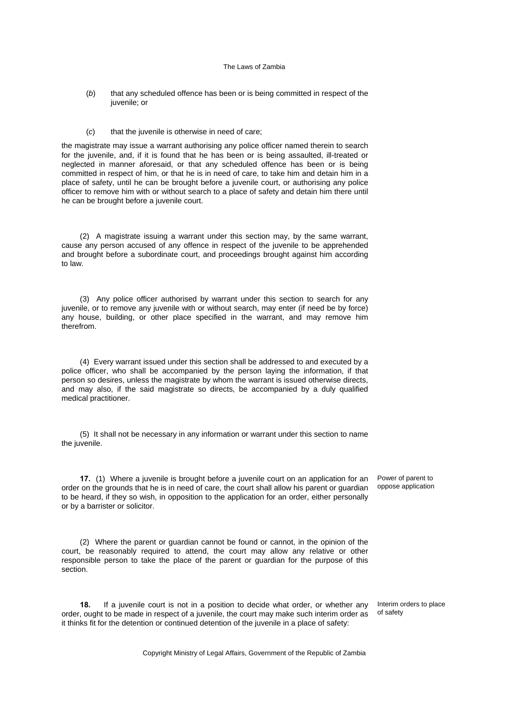- (*b*) that any scheduled offence has been or is being committed in respect of the juvenile; or
- (*c*) that the juvenile is otherwise in need of care;

the magistrate may issue a warrant authorising any police officer named therein to search for the juvenile, and, if it is found that he has been or is being assaulted, ill-treated or neglected in manner aforesaid, or that any scheduled offence has been or is being committed in respect of him, or that he is in need of care, to take him and detain him in a place of safety, until he can be brought before a juvenile court, or authorising any police officer to remove him with or without search to a place of safety and detain him there until he can be brought before a juvenile court.

(2) A magistrate issuing a warrant under this section may, by the same warrant, cause any person accused of any offence in respect of the juvenile to be apprehended and brought before a subordinate court, and proceedings brought against him according to law.

(3) Any police officer authorised by warrant under this section to search for any juvenile, or to remove any juvenile with or without search, may enter (if need be by force) any house, building, or other place specified in the warrant, and may remove him therefrom.

(4) Every warrant issued under this section shall be addressed to and executed by a police officer, who shall be accompanied by the person laying the information, if that person so desires, unless the magistrate by whom the warrant is issued otherwise directs, and may also, if the said magistrate so directs, be accompanied by a duly qualified medical practitioner.

(5) It shall not be necessary in any information or warrant under this section to name the juvenile.

**17.** (1) Where a juvenile is brought before a juvenile court on an application for an order on the grounds that he is in need of care, the court shall allow his parent or guardian to be heard, if they so wish, in opposition to the application for an order, either personally or by a barrister or solicitor.

(2) Where the parent or guardian cannot be found or cannot, in the opinion of the court, be reasonably required to attend, the court may allow any relative or other responsible person to take the place of the parent or guardian for the purpose of this section.

**18.** If a juvenile court is not in a position to decide what order, or whether any order, ought to be made in respect of a juvenile, the court may make such interim order as it thinks fit for the detention or continued detention of the juvenile in a place of safety:

Power of parent to oppose application

Interim orders to place

of safety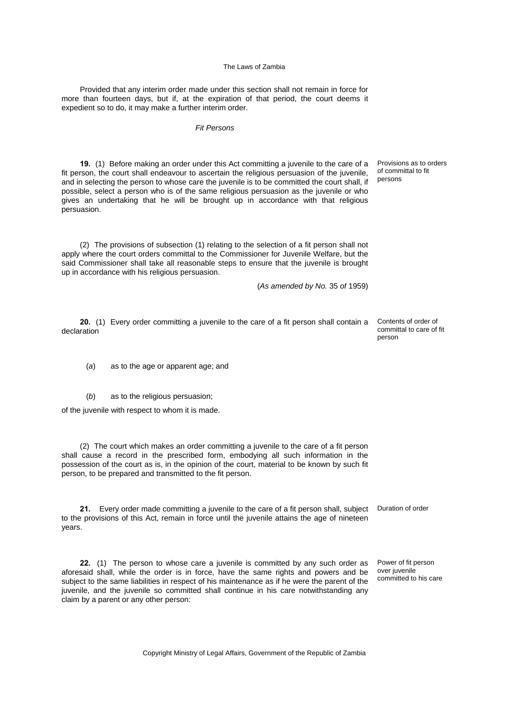Provided that any interim order made under this section shall not remain in force for more than fourteen days, but if, at the expiration of that period, the court deems it expedient so to do, it may make a further interim order.

# *Fit Persons*

**19.** (1) Before making an order under this Act committing a juvenile to the care of a fit person, the court shall endeavour to ascertain the religious persuasion of the juvenile, and in selecting the person to whose care the juvenile is to be committed the court shall, if possible, select a person who is of the same religious persuasion as the juvenile or who gives an undertaking that he will be brought up in accordance with that religious persuasion.

(2) The provisions of subsection (1) relating to the selection of a fit person shall not apply where the court orders committal to the Commissioner for Juvenile Welfare, but the said Commissioner shall take all reasonable steps to ensure that the juvenile is brought up in accordance with his religious persuasion.

(*As amended by No.* 35 *of* 1959)

**20.** (1) Every order committing a juvenile to the care of a fit person shall contain a declaration

Contents of order of committal to care of fit person

Provisions as to orders of committal to fit persons

(*a*) as to the age or apparent age; and

(*b*) as to the religious persuasion;

of the juvenile with respect to whom it is made.

(2) The court which makes an order committing a juvenile to the care of a fit person shall cause a record in the prescribed form, embodying all such information in the possession of the court as is, in the opinion of the court, material to be known by such fit person, to be prepared and transmitted to the fit person.

**21.** Every order made committing a juvenile to the care of a fit person shall, subject Duration of order to the provisions of this Act, remain in force until the juvenile attains the age of nineteen years.

**22.** (1) The person to whose care a juvenile is committed by any such order as aforesaid shall, while the order is in force, have the same rights and powers and be subject to the same liabilities in respect of his maintenance as if he were the parent of the juvenile, and the juvenile so committed shall continue in his care notwithstanding any claim by a parent or any other person:

Power of fit person over juvenile committed to his care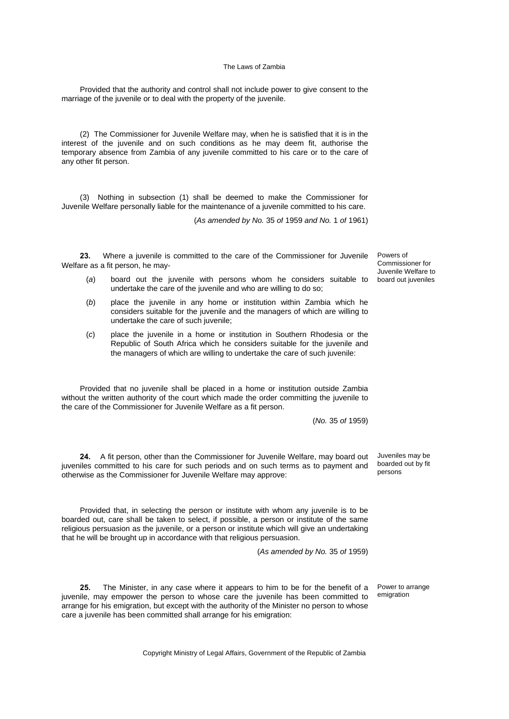Provided that the authority and control shall not include power to give consent to the marriage of the juvenile or to deal with the property of the juvenile.

(2) The Commissioner for Juvenile Welfare may, when he is satisfied that it is in the interest of the juvenile and on such conditions as he may deem fit, authorise the temporary absence from Zambia of any juvenile committed to his care or to the care of any other fit person.

(3) Nothing in subsection (1) shall be deemed to make the Commissioner for Juvenile Welfare personally liable for the maintenance of a juvenile committed to his care.

(*As amended by No.* 35 *of* 1959 *and No.* 1 *of* 1961)

**23.** Where a juvenile is committed to the care of the Commissioner for Juvenile Welfare as a fit person, he may-

- (*a*) board out the juvenile with persons whom he considers suitable to undertake the care of the juvenile and who are willing to do so;
- (*b*) place the juvenile in any home or institution within Zambia which he considers suitable for the juvenile and the managers of which are willing to undertake the care of such juvenile;
- (*c*) place the juvenile in a home or institution in Southern Rhodesia or the Republic of South Africa which he considers suitable for the juvenile and the managers of which are willing to undertake the care of such juvenile:

Provided that no juvenile shall be placed in a home or institution outside Zambia without the written authority of the court which made the order committing the juvenile to the care of the Commissioner for Juvenile Welfare as a fit person.

(*No.* 35 *of* 1959)

**24.** A fit person, other than the Commissioner for Juvenile Welfare, may board out juveniles committed to his care for such periods and on such terms as to payment and otherwise as the Commissioner for Juvenile Welfare may approve:

Provided that, in selecting the person or institute with whom any juvenile is to be boarded out, care shall be taken to select, if possible, a person or institute of the same religious persuasion as the juvenile, or a person or institute which will give an undertaking

that he will be brought up in accordance with that religious persuasion.

(*As amended by No.* 35 *of* 1959)

**25.** The Minister, in any case where it appears to him to be for the benefit of a juvenile, may empower the person to whose care the juvenile has been committed to arrange for his emigration, but except with the authority of the Minister no person to whose care a juvenile has been committed shall arrange for his emigration:

Power to arrange emigration

Juveniles may be boarded out by fit persons

Powers of Commissioner for Juvenile Welfare to board out juveniles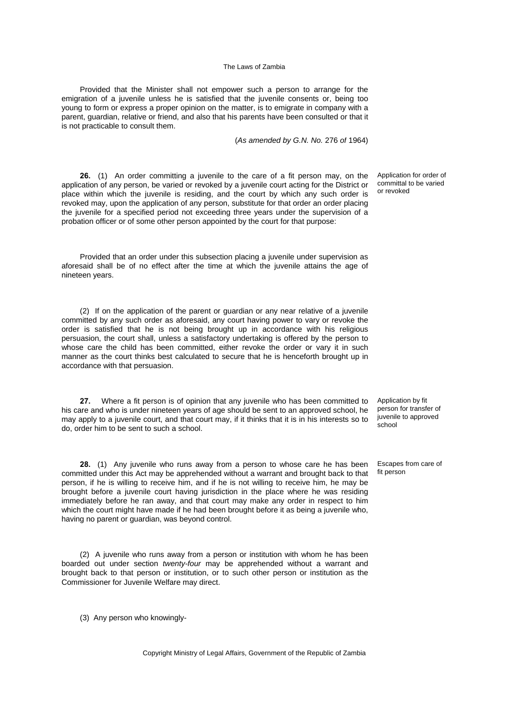Provided that the Minister shall not empower such a person to arrange for the emigration of a juvenile unless he is satisfied that the juvenile consents or, being too young to form or express a proper opinion on the matter, is to emigrate in company with a parent, guardian, relative or friend, and also that his parents have been consulted or that it is not practicable to consult them.

(*As amended by G.N. No.* 276 *of* 1964)

**26.** (1) An order committing a juvenile to the care of a fit person may, on the application of any person, be varied or revoked by a juvenile court acting for the District or place within which the juvenile is residing, and the court by which any such order is revoked may, upon the application of any person, substitute for that order an order placing the juvenile for a specified period not exceeding three years under the supervision of a probation officer or of some other person appointed by the court for that purpose:

Provided that an order under this subsection placing a juvenile under supervision as aforesaid shall be of no effect after the time at which the juvenile attains the age of nineteen years.

(2) If on the application of the parent or guardian or any near relative of a juvenile committed by any such order as aforesaid, any court having power to vary or revoke the order is satisfied that he is not being brought up in accordance with his religious persuasion, the court shall, unless a satisfactory undertaking is offered by the person to whose care the child has been committed, either revoke the order or vary it in such manner as the court thinks best calculated to secure that he is henceforth brought up in accordance with that persuasion.

**27.** Where a fit person is of opinion that any juvenile who has been committed to his care and who is under nineteen years of age should be sent to an approved school, he may apply to a juvenile court, and that court may, if it thinks that it is in his interests so to do, order him to be sent to such a school.

**28.** (1) Any juvenile who runs away from a person to whose care he has been committed under this Act may be apprehended without a warrant and brought back to that person, if he is willing to receive him, and if he is not willing to receive him, he may be brought before a juvenile court having jurisdiction in the place where he was residing immediately before he ran away, and that court may make any order in respect to him which the court might have made if he had been brought before it as being a juvenile who, having no parent or guardian, was beyond control.

(2) A juvenile who runs away from a person or institution with whom he has been boarded out under section *twenty-four* may be apprehended without a warrant and brought back to that person or institution, or to such other person or institution as the Commissioner for Juvenile Welfare may direct.

(3) Any person who knowingly-

Copyright Ministry of Legal Affairs, Government of the Republic of Zambia

Application for order of committal to be varied or revoked

Application by fit person for transfer of juvenile to approved school

Escapes from care of fit person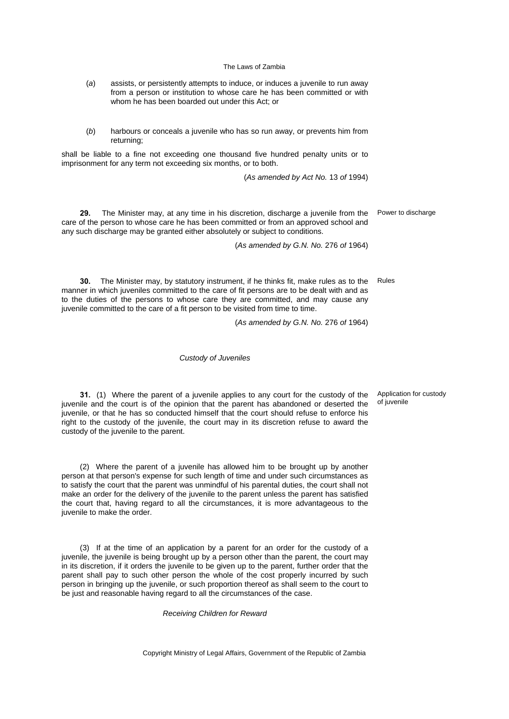- (*a*) assists, or persistently attempts to induce, or induces a juvenile to run away from a person or institution to whose care he has been committed or with whom he has been boarded out under this Act; or
- (*b*) harbours or conceals a juvenile who has so run away, or prevents him from returning;

shall be liable to a fine not exceeding one thousand five hundred penalty units or to imprisonment for any term not exceeding six months, or to both.

(*As amended by Act No.* 13 *of* 1994)

**29.** The Minister may, at any time in his discretion, discharge a juvenile from the care of the person to whose care he has been committed or from an approved school and any such discharge may be granted either absolutely or subject to conditions.

Power to discharge

Rules

**30.** The Minister may, by statutory instrument, if he thinks fit, make rules as to the manner in which juveniles committed to the care of fit persons are to be dealt with and as to the duties of the persons to whose care they are committed, and may cause any juvenile committed to the care of a fit person to be visited from time to time.

(*As amended by G.N. No.* 276 *of* 1964)

(*As amended by G.N. No.* 276 *of* 1964)

### *Custody of Juveniles*

**31.** (1) Where the parent of a juvenile applies to any court for the custody of the juvenile and the court is of the opinion that the parent has abandoned or deserted the juvenile, or that he has so conducted himself that the court should refuse to enforce his right to the custody of the juvenile, the court may in its discretion refuse to award the custody of the juvenile to the parent.

(2) Where the parent of a juvenile has allowed him to be brought up by another person at that person's expense for such length of time and under such circumstances as to satisfy the court that the parent was unmindful of his parental duties, the court shall not make an order for the delivery of the juvenile to the parent unless the parent has satisfied the court that, having regard to all the circumstances, it is more advantageous to the juvenile to make the order.

(3) If at the time of an application by a parent for an order for the custody of a juvenile, the juvenile is being brought up by a person other than the parent, the court may in its discretion, if it orders the juvenile to be given up to the parent, further order that the parent shall pay to such other person the whole of the cost properly incurred by such person in bringing up the juvenile, or such proportion thereof as shall seem to the court to be just and reasonable having regard to all the circumstances of the case.

*Receiving Children for Reward*

Application for custody of juvenile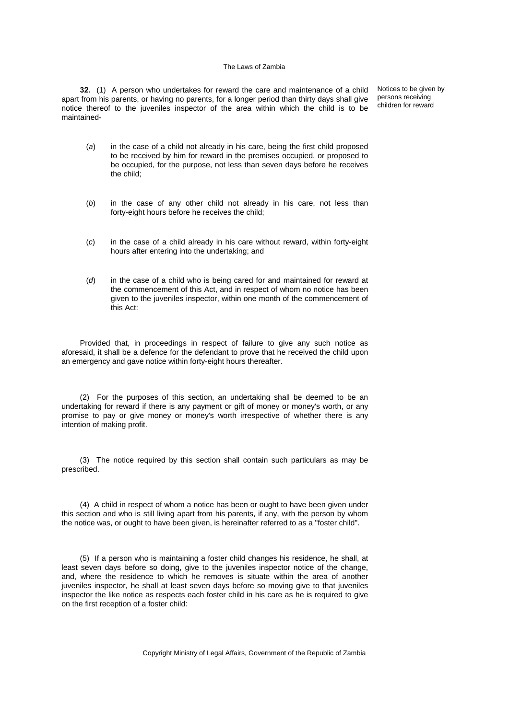**32.** (1) A person who undertakes for reward the care and maintenance of a child apart from his parents, or having no parents, for a longer period than thirty days shall give notice thereof to the juveniles inspector of the area within which the child is to be maintained-

Notices to be given by persons receiving children for reward

- (*a*) in the case of a child not already in his care, being the first child proposed to be received by him for reward in the premises occupied, or proposed to be occupied, for the purpose, not less than seven days before he receives the child;
- (*b*) in the case of any other child not already in his care, not less than forty-eight hours before he receives the child;
- (*c*) in the case of a child already in his care without reward, within forty-eight hours after entering into the undertaking; and
- (*d*) in the case of a child who is being cared for and maintained for reward at the commencement of this Act, and in respect of whom no notice has been given to the juveniles inspector, within one month of the commencement of this Act:

Provided that, in proceedings in respect of failure to give any such notice as aforesaid, it shall be a defence for the defendant to prove that he received the child upon an emergency and gave notice within forty-eight hours thereafter.

(2) For the purposes of this section, an undertaking shall be deemed to be an undertaking for reward if there is any payment or gift of money or money's worth, or any promise to pay or give money or money's worth irrespective of whether there is any intention of making profit.

(3) The notice required by this section shall contain such particulars as may be prescribed.

(4) A child in respect of whom a notice has been or ought to have been given under this section and who is still living apart from his parents, if any, with the person by whom the notice was, or ought to have been given, is hereinafter referred to as a "foster child".

(5) If a person who is maintaining a foster child changes his residence, he shall, at least seven days before so doing, give to the juveniles inspector notice of the change, and, where the residence to which he removes is situate within the area of another juveniles inspector, he shall at least seven days before so moving give to that juveniles inspector the like notice as respects each foster child in his care as he is required to give on the first reception of a foster child: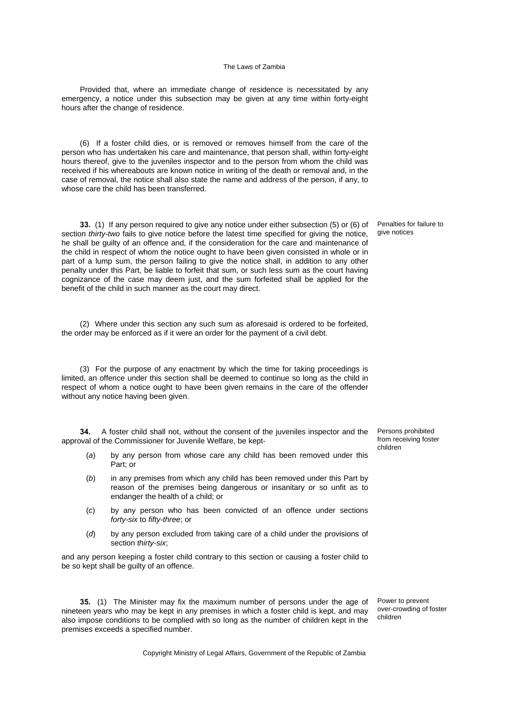Provided that, where an immediate change of residence is necessitated by any emergency, a notice under this subsection may be given at any time within forty-eight hours after the change of residence.

(6) If a foster child dies, or is removed or removes himself from the care of the person who has undertaken his care and maintenance, that person shall, within forty-eight hours thereof, give to the juveniles inspector and to the person from whom the child was received if his whereabouts are known notice in writing of the death or removal and, in the case of removal, the notice shall also state the name and address of the person, if any, to whose care the child has been transferred.

**33.** (1) If any person required to give any notice under either subsection (5) or (6) of section *thirty-two* fails to give notice before the latest time specified for giving the notice, he shall be guilty of an offence and, if the consideration for the care and maintenance of the child in respect of whom the notice ought to have been given consisted in whole or in part of a lump sum, the person failing to give the notice shall, in addition to any other penalty under this Part, be liable to forfeit that sum, or such less sum as the court having cognizance of the case may deem just, and the sum forfeited shall be applied for the benefit of the child in such manner as the court may direct.

(2) Where under this section any such sum as aforesaid is ordered to be forfeited, the order may be enforced as if it were an order for the payment of a civil debt.

(3) For the purpose of any enactment by which the time for taking proceedings is limited, an offence under this section shall be deemed to continue so long as the child in respect of whom a notice ought to have been given remains in the care of the offender without any notice having been given.

**34.** A foster child shall not, without the consent of the juveniles inspector and the approval of the Commissioner for Juvenile Welfare, be kept-

- (*a*) by any person from whose care any child has been removed under this Part; or
- (*b*) in any premises from which any child has been removed under this Part by reason of the premises being dangerous or insanitary or so unfit as to endanger the health of a child; or
- (*c*) by any person who has been convicted of an offence under sections *forty-six* to *fifty-three*; or
- (*d*) by any person excluded from taking care of a child under the provisions of section *thirty-six*;

and any person keeping a foster child contrary to this section or causing a foster child to be so kept shall be guilty of an offence.

**35.** (1) The Minister may fix the maximum number of persons under the age of nineteen years who may be kept in any premises in which a foster child is kept, and may also impose conditions to be complied with so long as the number of children kept in the premises exceeds a specified number.

Penalties for failure to give notices

Persons prohibited from receiving foster children

Power to prevent over-crowding of foster children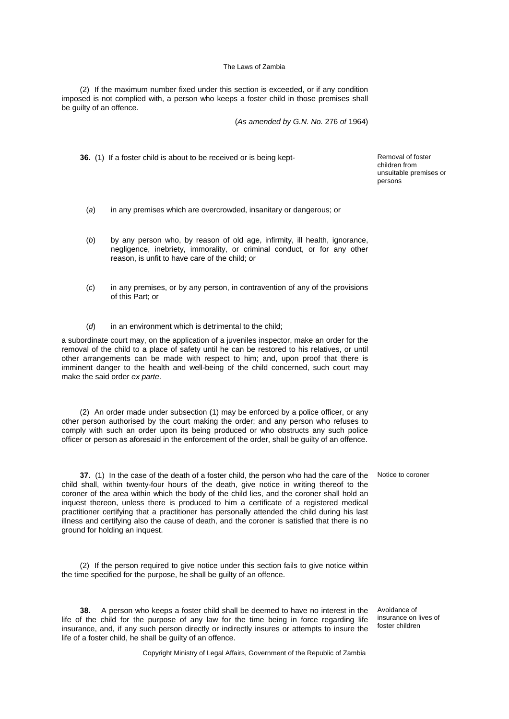(2) If the maximum number fixed under this section is exceeded, or if any condition imposed is not complied with, a person who keeps a foster child in those premises shall be guilty of an offence.

(*As amended by G.N. No.* 276 *of* 1964)

**36.** (1) If a foster child is about to be received or is being kept-<br>Removal of foster

children from unsuitable premises or persons

- (*a*) in any premises which are overcrowded, insanitary or dangerous; or
- (*b*) by any person who, by reason of old age, infirmity, ill health, ignorance, negligence, inebriety, immorality, or criminal conduct, or for any other reason, is unfit to have care of the child; or
- (*c*) in any premises, or by any person, in contravention of any of the provisions of this Part; or
- (*d*) in an environment which is detrimental to the child;

a subordinate court may, on the application of a juveniles inspector, make an order for the removal of the child to a place of safety until he can be restored to his relatives, or until other arrangements can be made with respect to him; and, upon proof that there is imminent danger to the health and well-being of the child concerned, such court may make the said order *ex parte*.

(2) An order made under subsection (1) may be enforced by a police officer, or any other person authorised by the court making the order; and any person who refuses to comply with such an order upon its being produced or who obstructs any such police officer or person as aforesaid in the enforcement of the order, shall be guilty of an offence.

**37.** (1) In the case of the death of a foster child, the person who had the care of the child shall, within twenty-four hours of the death, give notice in writing thereof to the coroner of the area within which the body of the child lies, and the coroner shall hold an inquest thereon, unless there is produced to him a certificate of a registered medical practitioner certifying that a practitioner has personally attended the child during his last illness and certifying also the cause of death, and the coroner is satisfied that there is no ground for holding an inquest.

(2) If the person required to give notice under this section fails to give notice within the time specified for the purpose, he shall be guilty of an offence.

**38.** A person who keeps a foster child shall be deemed to have no interest in the life of the child for the purpose of any law for the time being in force regarding life insurance, and, if any such person directly or indirectly insures or attempts to insure the life of a foster child, he shall be guilty of an offence.

Avoidance of insurance on lives of foster children

Notice to coroner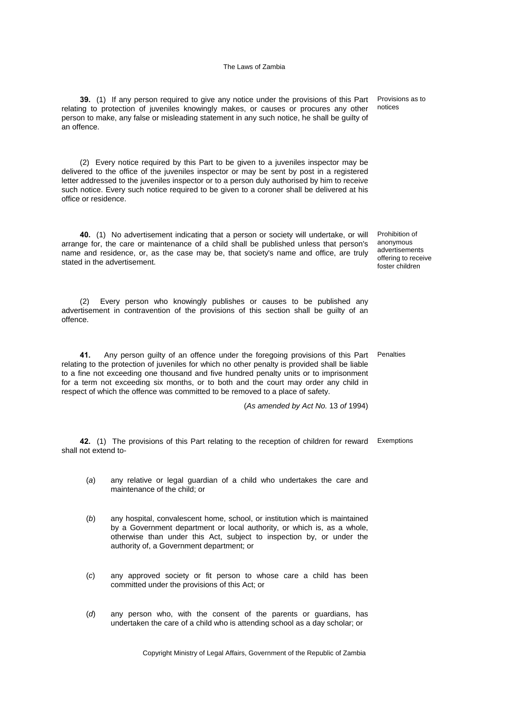**39.** (1) If any person required to give any notice under the provisions of this Part relating to protection of juveniles knowingly makes, or causes or procures any other person to make, any false or misleading statement in any such notice, he shall be guilty of an offence.

(2) Every notice required by this Part to be given to a juveniles inspector may be delivered to the office of the juveniles inspector or may be sent by post in a registered letter addressed to the juveniles inspector or to a person duly authorised by him to receive such notice. Every such notice required to be given to a coroner shall be delivered at his office or residence.

**40.** (1) No advertisement indicating that a person or society will undertake, or will arrange for, the care or maintenance of a child shall be published unless that person's name and residence, or, as the case may be, that society's name and office, are truly stated in the advertisement.

(2) Every person who knowingly publishes or causes to be published any advertisement in contravention of the provisions of this section shall be guilty of an offence.

**41.** Any person guilty of an offence under the foregoing provisions of this Part Penalties relating to the protection of juveniles for which no other penalty is provided shall be liable to a fine not exceeding one thousand and five hundred penalty units or to imprisonment for a term not exceeding six months, or to both and the court may order any child in respect of which the offence was committed to be removed to a place of safety.

(*As amended by Act No.* 13 *of* 1994)

**42.** (1) The provisions of this Part relating to the reception of children for reward Exemptions shall not extend to-

- (*a*) any relative or legal guardian of a child who undertakes the care and maintenance of the child; or
- (*b*) any hospital, convalescent home, school, or institution which is maintained by a Government department or local authority, or which is, as a whole, otherwise than under this Act, subject to inspection by, or under the authority of, a Government department; or
- (*c*) any approved society or fit person to whose care a child has been committed under the provisions of this Act; or
- (*d*) any person who, with the consent of the parents or guardians, has undertaken the care of a child who is attending school as a day scholar; or

Copyright Ministry of Legal Affairs, Government of the Republic of Zambia

Provisions as to notices

Prohibition of anonymous advertisements offering to receive foster children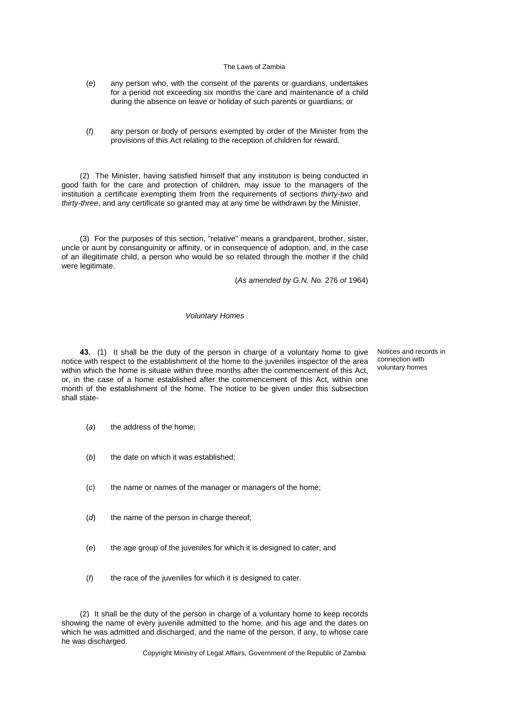- (*e*) any person who, with the consent of the parents or guardians, undertakes for a period not exceeding six months the care and maintenance of a child during the absence on leave or holiday of such parents or guardians; or
- (*f*) any person or body of persons exempted by order of the Minister from the provisions of this Act relating to the reception of children for reward.

(2) The Minister, having satisfied himself that any institution is being conducted in good faith for the care and protection of children, may issue to the managers of the institution a certificate exempting them from the requirements of sections *thirty-two* and *thirty-three*, and any certificate so granted may at any time be withdrawn by the Minister.

(3) For the purposes of this section, "relative" means a grandparent, brother, sister, uncle or aunt by consanguinity or affinity, or in consequence of adoption, and, in the case of an illegitimate child, a person who would be so related through the mother if the child were legitimate.

(*As amended by G.N. No.* 276 *of* 1964)

## *Voluntary Homes*

**43.** (1) It shall be the duty of the person in charge of a voluntary home to give notice with respect to the establishment of the home to the juveniles inspector of the area within which the home is situate within three months after the commencement of this Act, or, in the case of a home established after the commencement of this Act, within one month of the establishment of the home. The notice to be given under this subsection shall state-

Notices and records in connection with voluntary homes

- (*a*) the address of the home;
- (b) the date on which it was established:
- (*c*) the name or names of the manager or managers of the home;
- (*d*) the name of the person in charge thereof;
- (*e*) the age group of the juveniles for which it is designed to cater; and
- (*f*) the race of the juveniles for which it is designed to cater.

(2) It shall be the duty of the person in charge of a voluntary home to keep records showing the name of every juvenile admitted to the home, and his age and the dates on which he was admitted and discharged, and the name of the person, if any, to whose care he was discharged.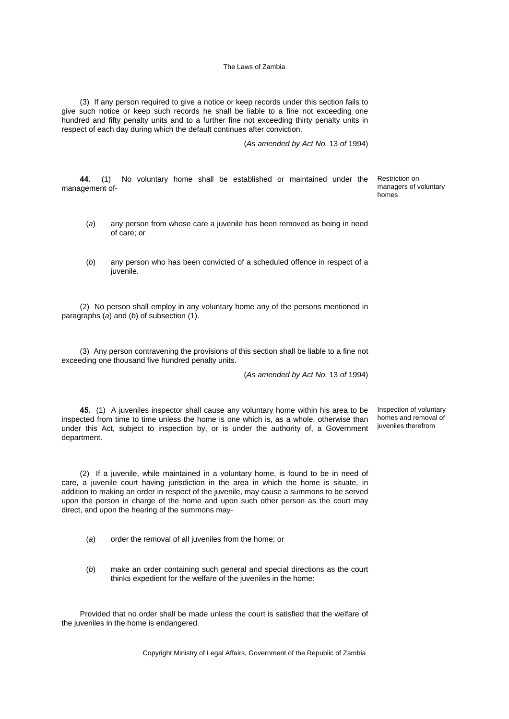(3) If any person required to give a notice or keep records under this section fails to give such notice or keep such records he shall be liable to a fine not exceeding one hundred and fifty penalty units and to a further fine not exceeding thirty penalty units in respect of each day during which the default continues after conviction.

(*As amended by Act No.* 13 *of* 1994)

**44.** (1) No voluntary home shall be established or maintained under the management of-

- (*a*) any person from whose care a juvenile has been removed as being in need of care; or
- (*b*) any person who has been convicted of a scheduled offence in respect of a juvenile.

(2) No person shall employ in any voluntary home any of the persons mentioned in paragraphs (*a*) and (*b*) of subsection (1).

(3) Any person contravening the provisions of this section shall be liable to a fine not exceeding one thousand five hundred penalty units.

(*As amended by Act No.* 13 *of* 1994)

**45.** (1) A juveniles inspector shall cause any voluntary home within his area to be inspected from time to time unless the home is one which is, as a whole, otherwise than under this Act, subject to inspection by, or is under the authority of, a Government department.

Inspection of voluntary homes and removal of juveniles therefrom

(2) If a juvenile, while maintained in a voluntary home, is found to be in need of care, a juvenile court having jurisdiction in the area in which the home is situate, in addition to making an order in respect of the juvenile, may cause a summons to be served upon the person in charge of the home and upon such other person as the court may direct, and upon the hearing of the summons may-

- (*a*) order the removal of all juveniles from the home; or
- (*b*) make an order containing such general and special directions as the court thinks expedient for the welfare of the juveniles in the home:

Provided that no order shall be made unless the court is satisfied that the welfare of the juveniles in the home is endangered.

Copyright Ministry of Legal Affairs, Government of the Republic of Zambia

Restriction on managers of voluntary homes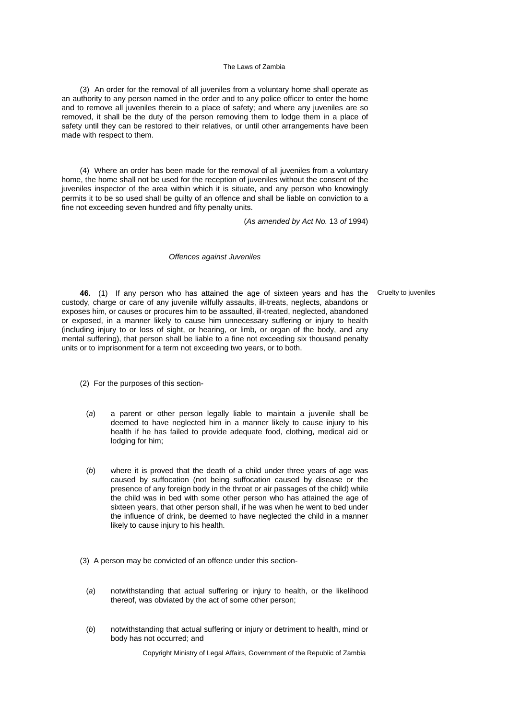(3) An order for the removal of all juveniles from a voluntary home shall operate as an authority to any person named in the order and to any police officer to enter the home and to remove all juveniles therein to a place of safety; and where any juveniles are so removed, it shall be the duty of the person removing them to lodge them in a place of safety until they can be restored to their relatives, or until other arrangements have been made with respect to them.

(4) Where an order has been made for the removal of all juveniles from a voluntary home, the home shall not be used for the reception of juveniles without the consent of the juveniles inspector of the area within which it is situate, and any person who knowingly permits it to be so used shall be guilty of an offence and shall be liable on conviction to a fine not exceeding seven hundred and fifty penalty units.

(*As amended by Act No.* 13 *of* 1994)

### *Offences against Juveniles*

**46.** (1) If any person who has attained the age of sixteen years and has the Cruelty to juveniles custody, charge or care of any juvenile wilfully assaults, ill-treats, neglects, abandons or exposes him, or causes or procures him to be assaulted, ill-treated, neglected, abandoned or exposed, in a manner likely to cause him unnecessary suffering or injury to health (including injury to or loss of sight, or hearing, or limb, or organ of the body, and any mental suffering), that person shall be liable to a fine not exceeding six thousand penalty units or to imprisonment for a term not exceeding two years, or to both.

(2) For the purposes of this section-

- (*a*) a parent or other person legally liable to maintain a juvenile shall be deemed to have neglected him in a manner likely to cause injury to his health if he has failed to provide adequate food, clothing, medical aid or lodging for him;
- (*b*) where it is proved that the death of a child under three years of age was caused by suffocation (not being suffocation caused by disease or the presence of any foreign body in the throat or air passages of the child) while the child was in bed with some other person who has attained the age of sixteen years, that other person shall, if he was when he went to bed under the influence of drink, be deemed to have neglected the child in a manner likely to cause injury to his health.
- (3) A person may be convicted of an offence under this section-
	- (*a*) notwithstanding that actual suffering or injury to health, or the likelihood thereof, was obviated by the act of some other person;
	- (*b*) notwithstanding that actual suffering or injury or detriment to health, mind or body has not occurred; and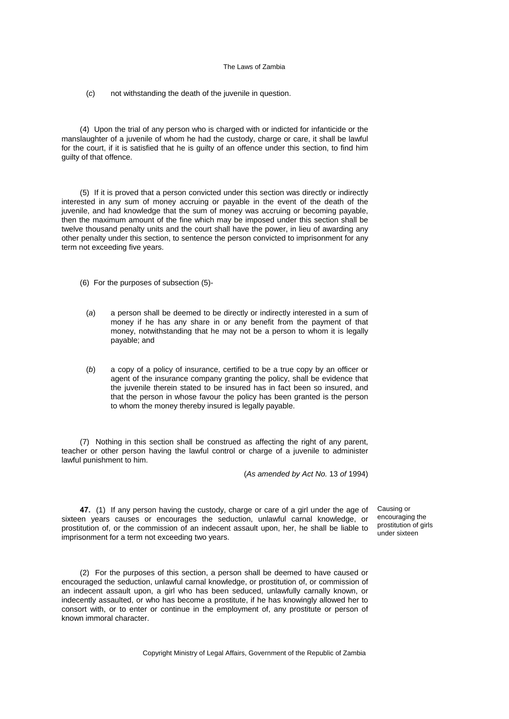(*c*) not withstanding the death of the juvenile in question.

(4) Upon the trial of any person who is charged with or indicted for infanticide or the manslaughter of a juvenile of whom he had the custody, charge or care, it shall be lawful for the court, if it is satisfied that he is guilty of an offence under this section, to find him guilty of that offence.

(5) If it is proved that a person convicted under this section was directly or indirectly interested in any sum of money accruing or payable in the event of the death of the juvenile, and had knowledge that the sum of money was accruing or becoming payable, then the maximum amount of the fine which may be imposed under this section shall be twelve thousand penalty units and the court shall have the power, in lieu of awarding any other penalty under this section, to sentence the person convicted to imprisonment for any term not exceeding five years.

(6) For the purposes of subsection (5)-

- (*a*) a person shall be deemed to be directly or indirectly interested in a sum of money if he has any share in or any benefit from the payment of that money, notwithstanding that he may not be a person to whom it is legally payable; and
- (*b*) a copy of a policy of insurance, certified to be a true copy by an officer or agent of the insurance company granting the policy, shall be evidence that the juvenile therein stated to be insured has in fact been so insured, and that the person in whose favour the policy has been granted is the person to whom the money thereby insured is legally payable.

(7) Nothing in this section shall be construed as affecting the right of any parent, teacher or other person having the lawful control or charge of a juvenile to administer lawful punishment to him.

(*As amended by Act No.* 13 *of* 1994)

**47.** (1) If any person having the custody, charge or care of a girl under the age of sixteen years causes or encourages the seduction, unlawful carnal knowledge, or prostitution of, or the commission of an indecent assault upon, her, he shall be liable to imprisonment for a term not exceeding two years.

Causing or encouraging the prostitution of girls under sixteen

(2) For the purposes of this section, a person shall be deemed to have caused or encouraged the seduction, unlawful carnal knowledge, or prostitution of, or commission of an indecent assault upon, a girl who has been seduced, unlawfully carnally known, or indecently assaulted, or who has become a prostitute, if he has knowingly allowed her to consort with, or to enter or continue in the employment of, any prostitute or person of known immoral character.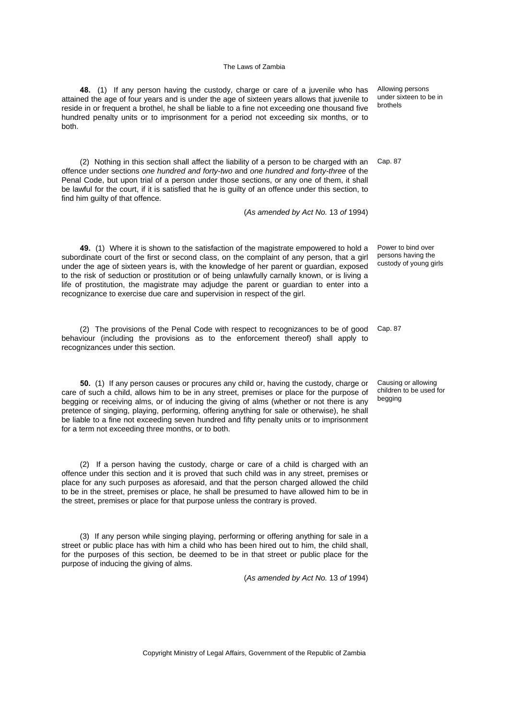**48.** (1) If any person having the custody, charge or care of a juvenile who has attained the age of four years and is under the age of sixteen years allows that juvenile to reside in or frequent a brothel, he shall be liable to a fine not exceeding one thousand five hundred penalty units or to imprisonment for a period not exceeding six months, or to both.

(2) Nothing in this section shall affect the liability of a person to be charged with an Cap. 87 offence under sections *one hundred and forty-two* and *one hundred and forty-three* of the Penal Code, but upon trial of a person under those sections, or any one of them, it shall be lawful for the court, if it is satisfied that he is guilty of an offence under this section, to find him guilty of that offence.

(*As amended by Act No.* 13 *of* 1994)

**49.** (1) Where it is shown to the satisfaction of the magistrate empowered to hold a subordinate court of the first or second class, on the complaint of any person, that a girl under the age of sixteen years is, with the knowledge of her parent or guardian, exposed to the risk of seduction or prostitution or of being unlawfully carnally known, or is living a life of prostitution, the magistrate may adjudge the parent or guardian to enter into a recognizance to exercise due care and supervision in respect of the girl.

(2) The provisions of the Penal Code with respect to recognizances to be of good Cap. 87 behaviour (including the provisions as to the enforcement thereof) shall apply to recognizances under this section.

**50.** (1) If any person causes or procures any child or, having the custody, charge or care of such a child, allows him to be in any street, premises or place for the purpose of begging or receiving alms, or of inducing the giving of alms (whether or not there is any pretence of singing, playing, performing, offering anything for sale or otherwise), he shall be liable to a fine not exceeding seven hundred and fifty penalty units or to imprisonment for a term not exceeding three months, or to both.

(2) If a person having the custody, charge or care of a child is charged with an offence under this section and it is proved that such child was in any street, premises or place for any such purposes as aforesaid, and that the person charged allowed the child to be in the street, premises or place, he shall be presumed to have allowed him to be in the street, premises or place for that purpose unless the contrary is proved.

(3) If any person while singing playing, performing or offering anything for sale in a street or public place has with him a child who has been hired out to him, the child shall, for the purposes of this section, be deemed to be in that street or public place for the purpose of inducing the giving of alms.

(*As amended by Act No.* 13 *of* 1994)

Allowing persons under sixteen to be in brothels

Power to bind over persons having the custody of young girls

Causing or allowing children to be used for begging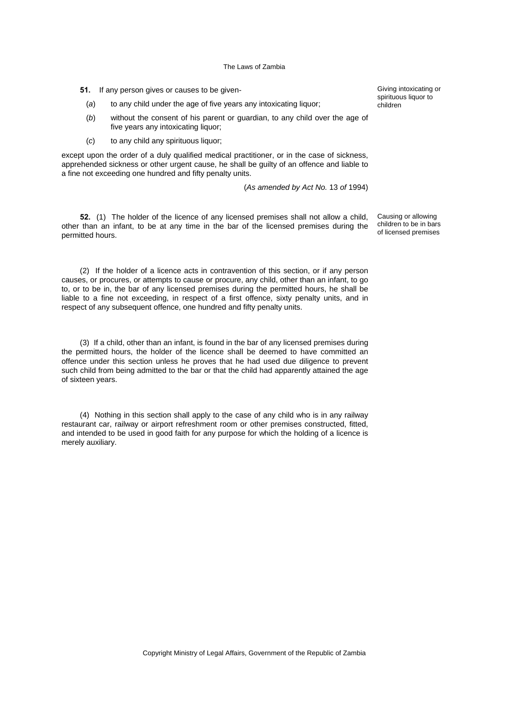**51.** If any person gives or causes to be given-

- (*a*) to any child under the age of five years any intoxicating liquor;
- (*b*) without the consent of his parent or guardian, to any child over the age of five years any intoxicating liquor;
- (*c*) to any child any spirituous liquor;

except upon the order of a duly qualified medical practitioner, or in the case of sickness, apprehended sickness or other urgent cause, he shall be guilty of an offence and liable to a fine not exceeding one hundred and fifty penalty units.

(*As amended by Act No.* 13 *of* 1994)

**52.** (1) The holder of the licence of any licensed premises shall not allow a child, other than an infant, to be at any time in the bar of the licensed premises during the permitted hours.

(2) If the holder of a licence acts in contravention of this section, or if any person causes, or procures, or attempts to cause or procure, any child, other than an infant, to go to, or to be in, the bar of any licensed premises during the permitted hours, he shall be liable to a fine not exceeding, in respect of a first offence, sixty penalty units, and in respect of any subsequent offence, one hundred and fifty penalty units.

(3) If a child, other than an infant, is found in the bar of any licensed premises during the permitted hours, the holder of the licence shall be deemed to have committed an offence under this section unless he proves that he had used due diligence to prevent such child from being admitted to the bar or that the child had apparently attained the age of sixteen years.

(4) Nothing in this section shall apply to the case of any child who is in any railway restaurant car, railway or airport refreshment room or other premises constructed, fitted, and intended to be used in good faith for any purpose for which the holding of a licence is merely auxiliary.

Giving intoxicating or spirituous liquor to children

Causing or allowing children to be in bars of licensed premises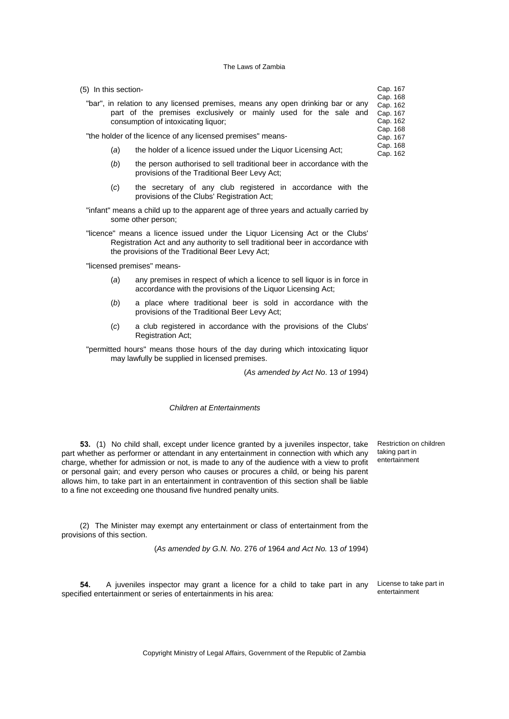| (5) In this section-                                                                                                                                | Cap. 167                         |
|-----------------------------------------------------------------------------------------------------------------------------------------------------|----------------------------------|
| "bar", in relation to any licensed premises, means any open drinking bar or any<br>part of the premises exclusively or mainly used for the sale and | Cap. 168<br>Cap. 162<br>Cap. 167 |
| consumption of intoxicating liquor;                                                                                                                 | Cap. 162<br>Cap. 168             |
| "the holder of the licence of any licensed premises" means-                                                                                         | Cap. 167                         |
| the holder of a licence issued under the Liquor Licensing Act;<br>(a)                                                                               | Cap. 168<br>Cap. 162             |
|                                                                                                                                                     |                                  |

- (*b*) the person authorised to sell traditional beer in accordance with the provisions of the Traditional Beer Levy Act;
- (*c*) the secretary of any club registered in accordance with the provisions of the Clubs' Registration Act;
- "infant" means a child up to the apparent age of three years and actually carried by some other person;
- "licence" means a licence issued under the Liquor Licensing Act or the Clubs' Registration Act and any authority to sell traditional beer in accordance with the provisions of the Traditional Beer Levy Act;

"licensed premises" means-

- (*a*) any premises in respect of which a licence to sell liquor is in force in accordance with the provisions of the Liquor Licensing Act;
- (*b*) a place where traditional beer is sold in accordance with the provisions of the Traditional Beer Levy Act;
- (*c*) a club registered in accordance with the provisions of the Clubs' Registration Act;

"permitted hours" means those hours of the day during which intoxicating liquor may lawfully be supplied in licensed premises.

(*As amended by Act No*. 13 *of* 1994)

# *Children at Entertainments*

**53.** (1) No child shall, except under licence granted by a juveniles inspector, take part whether as performer or attendant in any entertainment in connection with which any charge, whether for admission or not, is made to any of the audience with a view to profit or personal gain; and every person who causes or procures a child, or being his parent allows him, to take part in an entertainment in contravention of this section shall be liable to a fine not exceeding one thousand five hundred penalty units.

Restriction on children taking part in entertainment

(2) The Minister may exempt any entertainment or class of entertainment from the provisions of this section.

(*As amended by G.N. No*. 276 *of* 1964 *and Act No.* 13 *of* 1994)

**54.** A juveniles inspector may grant a licence for a child to take part in any specified entertainment or series of entertainments in his area:

License to take part in entertainment

Copyright Ministry of Legal Affairs, Government of the Republic of Zambia

 $\overline{8}$  $32$  $37$  $32.$  $\overline{8}$  $37<sup>5</sup>$ 8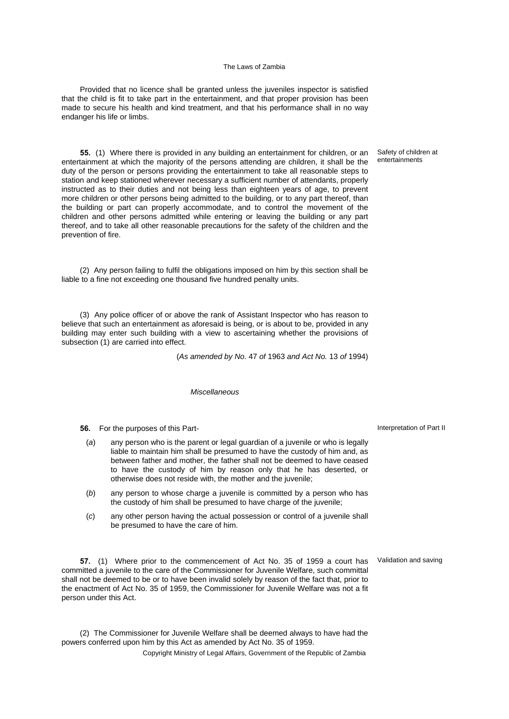Provided that no licence shall be granted unless the juveniles inspector is satisfied that the child is fit to take part in the entertainment, and that proper provision has been made to secure his health and kind treatment, and that his performance shall in no way endanger his life or limbs.

**55.** (1) Where there is provided in any building an entertainment for children, or an entertainment at which the majority of the persons attending are children, it shall be the duty of the person or persons providing the entertainment to take all reasonable steps to station and keep stationed wherever necessary a sufficient number of attendants, properly instructed as to their duties and not being less than eighteen years of age, to prevent more children or other persons being admitted to the building, or to any part thereof, than the building or part can properly accommodate, and to control the movement of the children and other persons admitted while entering or leaving the building or any part thereof, and to take all other reasonable precautions for the safety of the children and the prevention of fire.

(2) Any person failing to fulfil the obligations imposed on him by this section shall be liable to a fine not exceeding one thousand five hundred penalty units.

(3) Any police officer of or above the rank of Assistant Inspector who has reason to believe that such an entertainment as aforesaid is being, or is about to be, provided in any building may enter such building with a view to ascertaining whether the provisions of subsection (1) are carried into effect.

(*As amended by No*. 47 *of* 1963 *and Act No.* 13 *of* 1994)

#### *Miscellaneous*

**56.** For the purposes of this Part-

- (*a*) any person who is the parent or legal guardian of a juvenile or who is legally liable to maintain him shall be presumed to have the custody of him and, as between father and mother, the father shall not be deemed to have ceased to have the custody of him by reason only that he has deserted, or otherwise does not reside with, the mother and the juvenile;
- (*b*) any person to whose charge a juvenile is committed by a person who has the custody of him shall be presumed to have charge of the juvenile;
- (*c*) any other person having the actual possession or control of a juvenile shall be presumed to have the care of him.

**57.** (1) Where prior to the commencement of Act No. 35 of 1959 a court has committed a juvenile to the care of the Commissioner for Juvenile Welfare, such committal shall not be deemed to be or to have been invalid solely by reason of the fact that, prior to the enactment of Act No. 35 of 1959, the Commissioner for Juvenile Welfare was not a fit person under this Act.

(2) The Commissioner for Juvenile Welfare shall be deemed always to have had the powers conferred upon him by this Act as amended by Act No. 35 of 1959.

Copyright Ministry of Legal Affairs, Government of the Republic of Zambia

Safety of children at entertainments

Interpretation of Part II

Validation and saving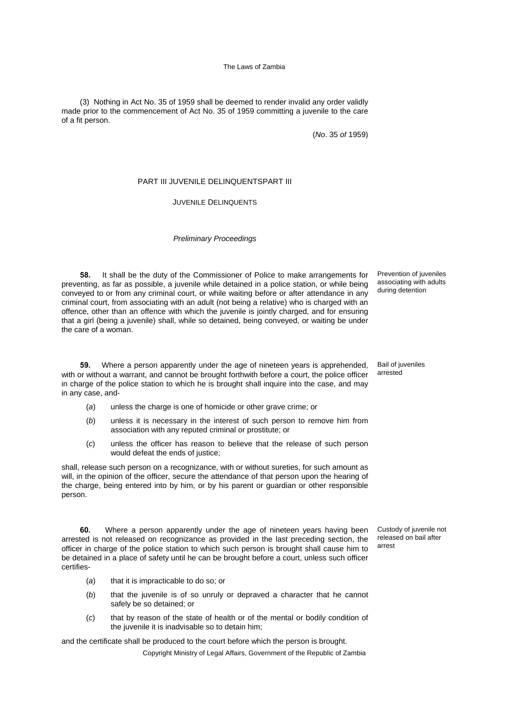(3) Nothing in Act No. 35 of 1959 shall be deemed to render invalid any order validly made prior to the commencement of Act No. 35 of 1959 committing a juvenile to the care of a fit person.

(*No*. 35 *of* 1959)

# PART III JUVENILE DELINQUENTSPART III

# JUVENILE DELINQUENTS

### *Preliminary Proceedings*

**58.** It shall be the duty of the Commissioner of Police to make arrangements for preventing, as far as possible, a juvenile while detained in a police station, or while being conveyed to or from any criminal court, or while waiting before or after attendance in any criminal court, from associating with an adult (not being a relative) who is charged with an offence, other than an offence with which the juvenile is jointly charged, and for ensuring that a girl (being a juvenile) shall, while so detained, being conveyed, or waiting be under the care of a woman.

**59.** Where a person apparently under the age of nineteen years is apprehended, with or without a warrant, and cannot be brought forthwith before a court, the police officer in charge of the police station to which he is brought shall inquire into the case, and may in any case, and-

- (*a*) unless the charge is one of homicide or other grave crime; or
- (*b*) unless it is necessary in the interest of such person to remove him from association with any reputed criminal or prostitute; or
- (*c*) unless the officer has reason to believe that the release of such person would defeat the ends of justice;

shall, release such person on a recognizance, with or without sureties, for such amount as will, in the opinion of the officer, secure the attendance of that person upon the hearing of the charge, being entered into by him, or by his parent or guardian or other responsible person.

**60.** Where a person apparently under the age of nineteen years having been arrested is not released on recognizance as provided in the last preceding section, the officer in charge of the police station to which such person is brought shall cause him to be detained in a place of safety until he can be brought before a court, unless such officer certifies-

- (*a*) that it is impracticable to do so; or
- (*b*) that the juvenile is of so unruly or depraved a character that he cannot safely be so detained; or
- (*c*) that by reason of the state of health or of the mental or bodily condition of the juvenile it is inadvisable so to detain him;

and the certificate shall be produced to the court before which the person is brought.

Copyright Ministry of Legal Affairs, Government of the Republic of Zambia

Prevention of juveniles associating with adults during detention

Bail of juveniles arrested

Custody of juvenile not released on bail after arrest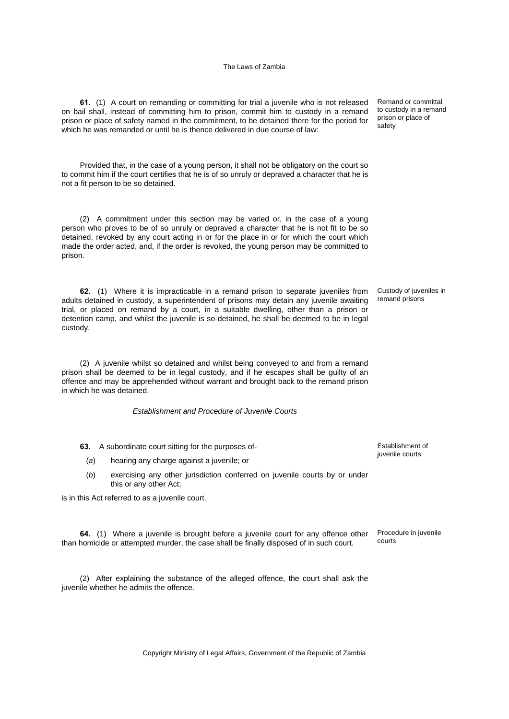**61.** (1) A court on remanding or committing for trial a juvenile who is not released on bail shall, instead of committing him to prison, commit him to custody in a remand prison or place of safety named in the commitment, to be detained there for the period for which he was remanded or until he is thence delivered in due course of law:

Provided that, in the case of a young person, it shall not be obligatory on the court so to commit him if the court certifies that he is of so unruly or depraved a character that he is not a fit person to be so detained.

(2) A commitment under this section may be varied or, in the case of a young person who proves to be of so unruly or depraved a character that he is not fit to be so detained, revoked by any court acting in or for the place in or for which the court which made the order acted, and, if the order is revoked, the young person may be committed to prison.

**62.** (1) Where it is impracticable in a remand prison to separate juveniles from adults detained in custody, a superintendent of prisons may detain any juvenile awaiting trial, or placed on remand by a court, in a suitable dwelling, other than a prison or detention camp, and whilst the juvenile is so detained, he shall be deemed to be in legal custody.

(2) A juvenile whilst so detained and whilst being conveyed to and from a remand prison shall be deemed to be in legal custody, and if he escapes shall be guilty of an offence and may be apprehended without warrant and brought back to the remand prison in which he was detained.

*Establishment and Procedure of Juvenile Courts*

**63.** A subordinate court sitting for the purposes of-

(*a*) hearing any charge against a juvenile; or

(*b*) exercising any other jurisdiction conferred on juvenile courts by or under this or any other Act;

is in this Act referred to as a juvenile court.

**64.** (1) Where a juvenile is brought before a juvenile court for any offence other than homicide or attempted murder, the case shall be finally disposed of in such court.

(2) After explaining the substance of the alleged offence, the court shall ask the juvenile whether he admits the offence.

Remand or committal to custody in a remand prison or place of safety

Custody of juveniles in remand prisons

Establishment of juvenile courts

Procedure in juvenile courts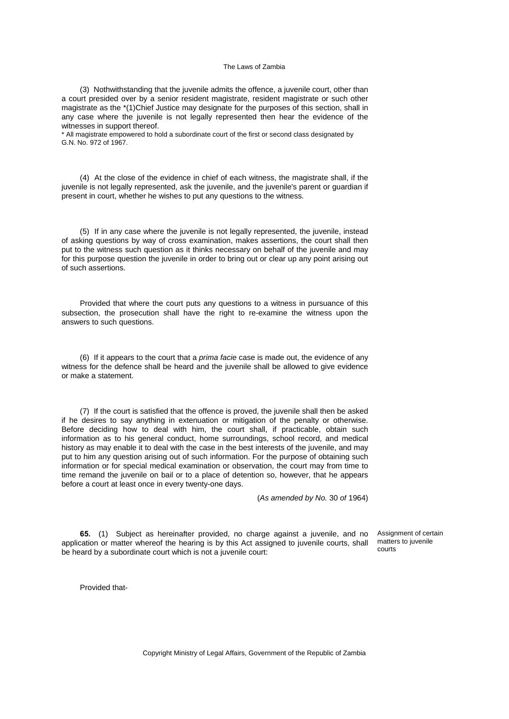(3) Nothwithstanding that the juvenile admits the offence, a juvenile court, other than a court presided over by a senior resident magistrate, resident magistrate or such other magistrate as the \*(1)Chief Justice may designate for the purposes of this section, shall in any case where the juvenile is not legally represented then hear the evidence of the witnesses in support thereof.

\* All magistrate empowered to hold a subordinate court of the first or second class designated by G.N. No. 972 of 1967.

(4) At the close of the evidence in chief of each witness, the magistrate shall, if the juvenile is not legally represented, ask the juvenile, and the juvenile's parent or guardian if present in court, whether he wishes to put any questions to the witness.

(5) If in any case where the juvenile is not legally represented, the juvenile, instead of asking questions by way of cross examination, makes assertions, the court shall then put to the witness such question as it thinks necessary on behalf of the juvenile and may for this purpose question the juvenile in order to bring out or clear up any point arising out of such assertions.

Provided that where the court puts any questions to a witness in pursuance of this subsection, the prosecution shall have the right to re-examine the witness upon the answers to such questions.

(6) If it appears to the court that a *prima facie* case is made out, the evidence of any witness for the defence shall be heard and the juvenile shall be allowed to give evidence or make a statement.

(7) If the court is satisfied that the offence is proved, the juvenile shall then be asked if he desires to say anything in extenuation or mitigation of the penalty or otherwise. Before deciding how to deal with him, the court shall, if practicable, obtain such information as to his general conduct, home surroundings, school record, and medical history as may enable it to deal with the case in the best interests of the juvenile, and may put to him any question arising out of such information. For the purpose of obtaining such information or for special medical examination or observation, the court may from time to time remand the juvenile on bail or to a place of detention so, however, that he appears before a court at least once in every twenty-one days.

(*As amended by No.* 30 *of* 1964)

**65.** (1) Subject as hereinafter provided, no charge against a juvenile, and no application or matter whereof the hearing is by this Act assigned to juvenile courts, shall be heard by a subordinate court which is not a juvenile court:

Assignment of certain matters to juvenile courts

Provided that-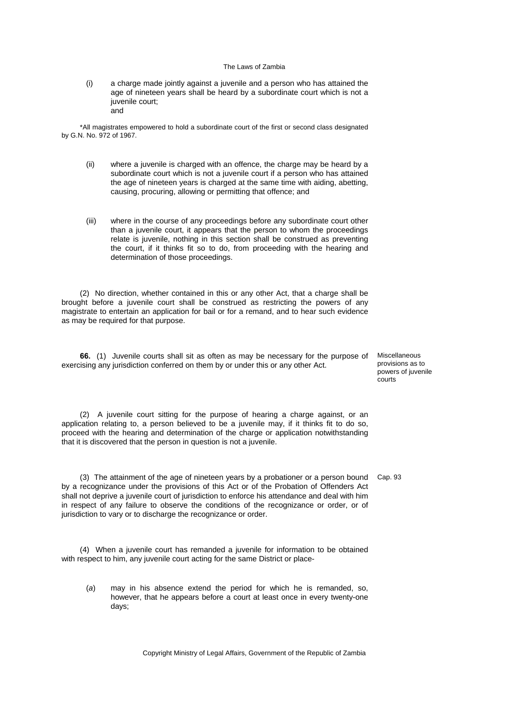(i) a charge made jointly against a juvenile and a person who has attained the age of nineteen years shall be heard by a subordinate court which is not a juvenile court; and

\*All magistrates empowered to hold a subordinate court of the first or second class designated by G.N. No. 972 of 1967.

- (ii) where a juvenile is charged with an offence, the charge may be heard by a subordinate court which is not a juvenile court if a person who has attained the age of nineteen years is charged at the same time with aiding, abetting, causing, procuring, allowing or permitting that offence; and
- (iii) where in the course of any proceedings before any subordinate court other than a juvenile court, it appears that the person to whom the proceedings relate is juvenile, nothing in this section shall be construed as preventing the court, if it thinks fit so to do, from proceeding with the hearing and determination of those proceedings.

(2) No direction, whether contained in this or any other Act, that a charge shall be brought before a juvenile court shall be construed as restricting the powers of any magistrate to entertain an application for bail or for a remand, and to hear such evidence as may be required for that purpose.

**66.** (1) Juvenile courts shall sit as often as may be necessary for the purpose of Miscellaneous exercising any jurisdiction conferred on them by or under this or any other Act.

provisions as to powers of juvenile courts

(2) A juvenile court sitting for the purpose of hearing a charge against, or an application relating to, a person believed to be a juvenile may, if it thinks fit to do so, proceed with the hearing and determination of the charge or application notwithstanding that it is discovered that the person in question is not a juvenile.

(3) The attainment of the age of nineteen years by a probationer or a person bound Cap. 93 by a recognizance under the provisions of this Act or of the Probation of Offenders Act shall not deprive a juvenile court of jurisdiction to enforce his attendance and deal with him in respect of any failure to observe the conditions of the recognizance or order, or of jurisdiction to vary or to discharge the recognizance or order.

(4) When a juvenile court has remanded a juvenile for information to be obtained with respect to him, any juvenile court acting for the same District or place-

(*a*) may in his absence extend the period for which he is remanded, so, however, that he appears before a court at least once in every twenty-one days;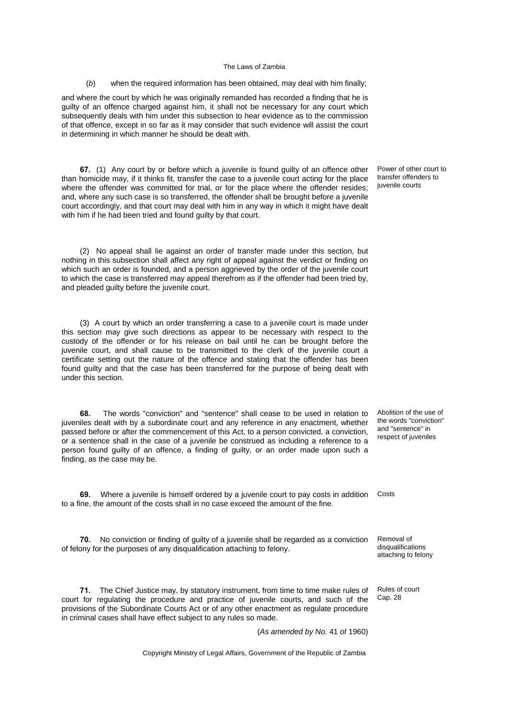#### (*b*) when the required information has been obtained, may deal with him finally;

and where the court by which he was originally remanded has recorded a finding that he is guilty of an offence charged against him, it shall not be necessary for any court which subsequently deals with him under this subsection to hear evidence as to the commission of that offence, except in so far as it may consider that such evidence will assist the court in determining in which manner he should be dealt with.

**67.** (1) Any court by or before which a juvenile is found guilty of an offence other than homicide may, if it thinks fit, transfer the case to a juvenile court acting for the place where the offender was committed for trial, or for the place where the offender resides; and, where any such case is so transferred, the offender shall be brought before a juvenile court accordingly, and that court may deal with him in any way in which it might have dealt with him if he had been tried and found guilty by that court.

(2) No appeal shall lie against an order of transfer made under this section, but nothing in this subsection shall affect any right of appeal against the verdict or finding on which such an order is founded, and a person aggrieved by the order of the juvenile court to which the case is transferred may appeal therefrom as if the offender had been tried by, and pleaded guilty before the juvenile court.

(3) A court by which an order transferring a case to a juvenile court is made under this section may give such directions as appear to be necessary with respect to the custody of the offender or for his release on bail until he can be brought before the juvenile court, and shall cause to be transmitted to the clerk of the juvenile court a certificate setting out the nature of the offence and stating that the offender has been found guilty and that the case has been transferred for the purpose of being dealt with under this section.

**68.** The words "conviction" and "sentence" shall cease to be used in relation to juveniles dealt with by a subordinate court and any reference in any enactment, whether passed before or after the commencement of this Act, to a person convicted, a conviction, or a sentence shall in the case of a juvenile be construed as including a reference to a person found guilty of an offence, a finding of guilty, or an order made upon such a finding, as the case may be.

**69.** Where a juvenile is himself ordered by a juvenile court to pay costs in addition Costs to a fine, the amount of the costs shall in no case exceed the amount of the fine.

**70.** No conviction or finding of guilty of a juvenile shall be regarded as a conviction of felony for the purposes of any disqualification attaching to felony.

**71.** The Chief Justice may, by statutory instrument, from time to time make rules of court for regulating the procedure and practice of juvenile courts, and such of the provisions of the Subordinate Courts Act or of any other enactment as regulate procedure in criminal cases shall have effect subject to any rules so made.

(*As amended by No.* 41 *of* 1960)

Copyright Ministry of Legal Affairs, Government of the Republic of Zambia

Power of other court to transfer offenders to juvenile courts

Abolition of the use of the words "conviction" and "sentence" in respect of juveniles

Removal of disqualifications attaching to felony

Rules of court Cap. 28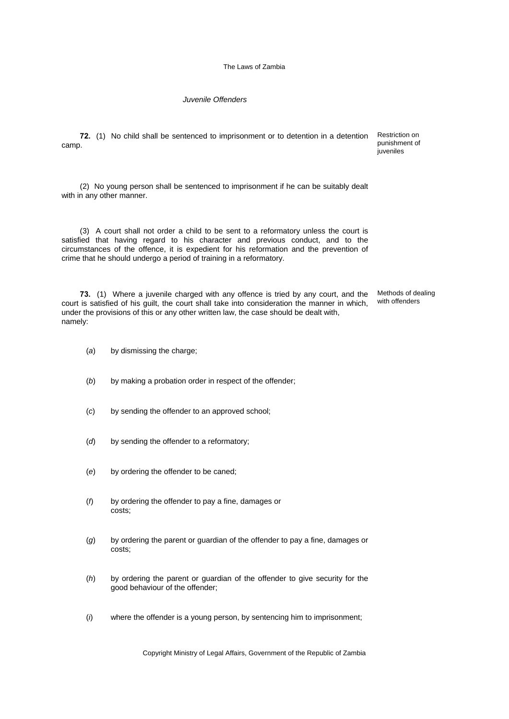*Juvenile Offenders*

**72.** (1) No child shall be sentenced to imprisonment or to detention in a detention camp.

Restriction on punishment of juveniles

(2) No young person shall be sentenced to imprisonment if he can be suitably dealt with in any other manner.

(3) A court shall not order a child to be sent to a reformatory unless the court is satisfied that having regard to his character and previous conduct, and to the circumstances of the offence, it is expedient for his reformation and the prevention of crime that he should undergo a period of training in a reformatory.

**73.** (1) Where a juvenile charged with any offence is tried by any court, and the court is satisfied of his guilt, the court shall take into consideration the manner in which, under the provisions of this or any other written law, the case should be dealt with, namely: Methods of dealing with offenders

- (*a*) by dismissing the charge;
- (b) by making a probation order in respect of the offender:
- (*c*) by sending the offender to an approved school;
- (*d*) by sending the offender to a reformatory;
- (*e*) by ordering the offender to be caned;
- (*f*) by ordering the offender to pay a fine, damages or costs;
- (*g*) by ordering the parent or guardian of the offender to pay a fine, damages or costs;
- (*h*) by ordering the parent or guardian of the offender to give security for the good behaviour of the offender;
- (*i*) where the offender is a young person, by sentencing him to imprisonment;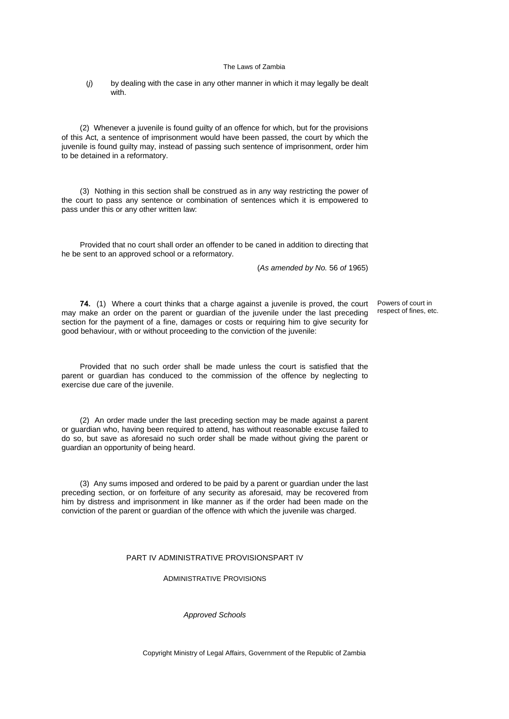(*j*) by dealing with the case in any other manner in which it may legally be dealt with.

(2) Whenever a juvenile is found guilty of an offence for which, but for the provisions of this Act, a sentence of imprisonment would have been passed, the court by which the juvenile is found guilty may, instead of passing such sentence of imprisonment, order him to be detained in a reformatory.

(3) Nothing in this section shall be construed as in any way restricting the power of the court to pass any sentence or combination of sentences which it is empowered to pass under this or any other written law:

Provided that no court shall order an offender to be caned in addition to directing that he be sent to an approved school or a reformatory.

(*As amended by No.* 56 *of* 1965)

**74.** (1) Where a court thinks that a charge against a juvenile is proved, the court may make an order on the parent or guardian of the juvenile under the last preceding section for the payment of a fine, damages or costs or requiring him to give security for good behaviour, with or without proceeding to the conviction of the juvenile:

Powers of court in respect of fines, etc.

Provided that no such order shall be made unless the court is satisfied that the parent or guardian has conduced to the commission of the offence by neglecting to exercise due care of the juvenile.

(2) An order made under the last preceding section may be made against a parent or guardian who, having been required to attend, has without reasonable excuse failed to do so, but save as aforesaid no such order shall be made without giving the parent or guardian an opportunity of being heard.

(3) Any sums imposed and ordered to be paid by a parent or guardian under the last preceding section, or on forfeiture of any security as aforesaid, may be recovered from him by distress and imprisonment in like manner as if the order had been made on the conviction of the parent or guardian of the offence with which the juvenile was charged.

#### PART IV ADMINISTRATIVE PROVISIONSPART IV

ADMINISTRATIVE PROVISIONS

*Approved Schools*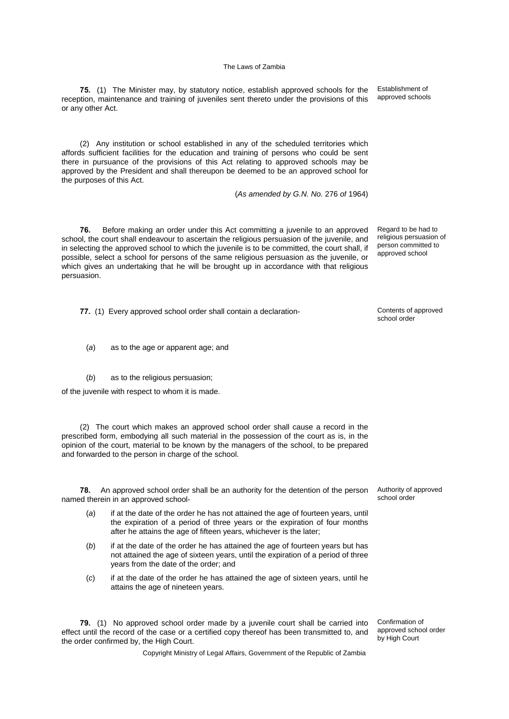**75.** (1) The Minister may, by statutory notice, establish approved schools for the reception, maintenance and training of juveniles sent thereto under the provisions of this or any other Act.

(2) Any institution or school established in any of the scheduled territories which affords sufficient facilities for the education and training of persons who could be sent there in pursuance of the provisions of this Act relating to approved schools may be approved by the President and shall thereupon be deemed to be an approved school for the purposes of this Act.

(*As amended by G.N. No.* 276 *of* 1964)

**76.** Before making an order under this Act committing a juvenile to an approved school, the court shall endeavour to ascertain the religious persuasion of the juvenile, and in selecting the approved school to which the juvenile is to be committed, the court shall, if possible, select a school for persons of the same religious persuasion as the juvenile, or which gives an undertaking that he will be brought up in accordance with that religious persuasion.

**77.** (1) Every approved school order shall contain a declaration-

- (*a*) as to the age or apparent age; and
- (*b*) as to the religious persuasion;

of the juvenile with respect to whom it is made.

(2) The court which makes an approved school order shall cause a record in the prescribed form, embodying all such material in the possession of the court as is, in the opinion of the court, material to be known by the managers of the school, to be prepared and forwarded to the person in charge of the school.

**78.** An approved school order shall be an authority for the detention of the person named therein in an approved school-

- (*a*) if at the date of the order he has not attained the age of fourteen years, until the expiration of a period of three years or the expiration of four months after he attains the age of fifteen years, whichever is the later;
- (*b*) if at the date of the order he has attained the age of fourteen years but has not attained the age of sixteen years, until the expiration of a period of three years from the date of the order; and
- (*c*) if at the date of the order he has attained the age of sixteen years, until he attains the age of nineteen years.

**79.** (1) No approved school order made by a juvenile court shall be carried into effect until the record of the case or a certified copy thereof has been transmitted to, and the order confirmed by, the High Court.

Confirmation of approved school order by High Court

Authority of approved school order

school order

Regard to be had to religious persuasion of person committed to approved school

Establishment of approved schools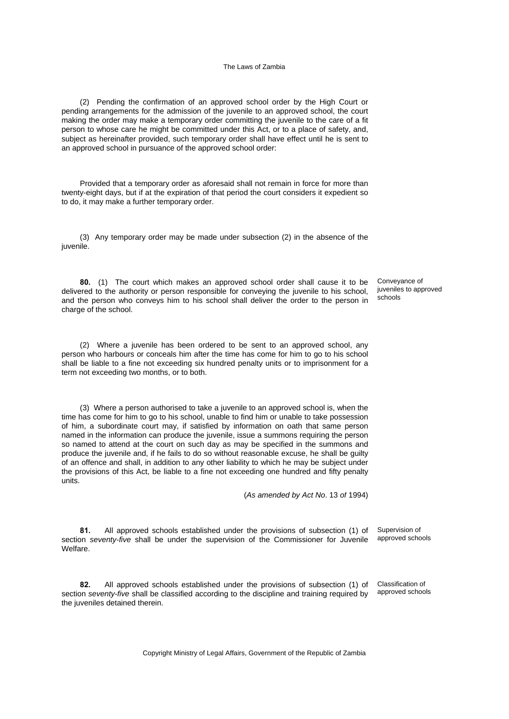(2) Pending the confirmation of an approved school order by the High Court or pending arrangements for the admission of the juvenile to an approved school, the court making the order may make a temporary order committing the juvenile to the care of a fit person to whose care he might be committed under this Act, or to a place of safety, and, subject as hereinafter provided, such temporary order shall have effect until he is sent to an approved school in pursuance of the approved school order:

Provided that a temporary order as aforesaid shall not remain in force for more than twenty-eight days, but if at the expiration of that period the court considers it expedient so to do, it may make a further temporary order.

(3) Any temporary order may be made under subsection (2) in the absence of the juvenile.

**80.** (1) The court which makes an approved school order shall cause it to be delivered to the authority or person responsible for conveying the juvenile to his school, and the person who conveys him to his school shall deliver the order to the person in charge of the school.

(2) Where a juvenile has been ordered to be sent to an approved school, any person who harbours or conceals him after the time has come for him to go to his school shall be liable to a fine not exceeding six hundred penalty units or to imprisonment for a term not exceeding two months, or to both.

(3) Where a person authorised to take a juvenile to an approved school is, when the time has come for him to go to his school, unable to find him or unable to take possession of him, a subordinate court may, if satisfied by information on oath that same person named in the information can produce the juvenile, issue a summons requiring the person so named to attend at the court on such day as may be specified in the summons and produce the juvenile and, if he fails to do so without reasonable excuse, he shall be guilty of an offence and shall, in addition to any other liability to which he may be subject under the provisions of this Act, be liable to a fine not exceeding one hundred and fifty penalty units.

(*As amended by Act No*. 13 *of* 1994)

**81.** All approved schools established under the provisions of subsection (1) of section *seventy-five* shall be under the supervision of the Commissioner for Juvenile Welfare.

**82.** All approved schools established under the provisions of subsection (1) of section *seventy-five* shall be classified according to the discipline and training required by the juveniles detained therein.

Classification of approved schools

Supervision of approved schools

Conveyance of juveniles to approved schools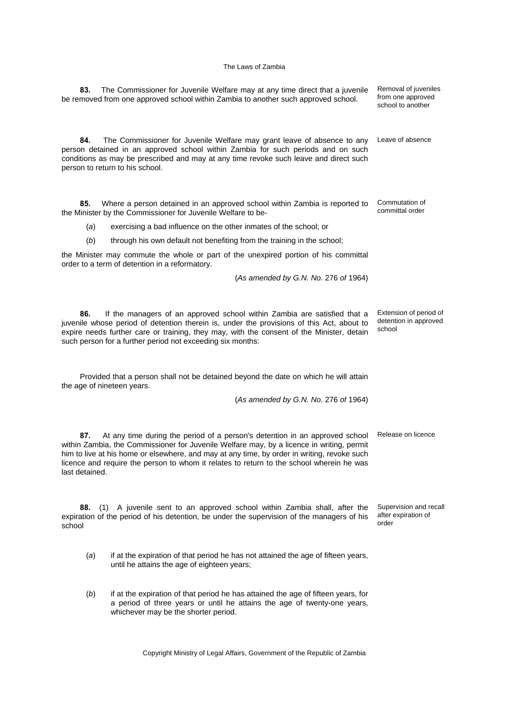| The Commissioner for Juvenile Welfare may at any time direct that a juvenile<br>83.<br>be removed from one approved school within Zambia to another such approved school.                                                                                                                                                                                                                    | Removal of juveniles<br>from one approved<br>school to another |
|----------------------------------------------------------------------------------------------------------------------------------------------------------------------------------------------------------------------------------------------------------------------------------------------------------------------------------------------------------------------------------------------|----------------------------------------------------------------|
| 84.<br>The Commissioner for Juvenile Welfare may grant leave of absence to any<br>person detained in an approved school within Zambia for such periods and on such<br>conditions as may be prescribed and may at any time revoke such leave and direct such<br>person to return to his school.                                                                                               | Leave of absence                                               |
| 85.<br>Where a person detained in an approved school within Zambia is reported to<br>the Minister by the Commissioner for Juvenile Welfare to be-                                                                                                                                                                                                                                            | Commutation of<br>committal order                              |
| (a)<br>exercising a bad influence on the other inmates of the school; or                                                                                                                                                                                                                                                                                                                     |                                                                |
| (b)<br>through his own default not benefiting from the training in the school;                                                                                                                                                                                                                                                                                                               |                                                                |
| the Minister may commute the whole or part of the unexpired portion of his committal<br>order to a term of detention in a reformatory.                                                                                                                                                                                                                                                       |                                                                |
| (As amended by G.N. No. 276 of 1964)                                                                                                                                                                                                                                                                                                                                                         |                                                                |
| 86.<br>If the managers of an approved school within Zambia are satisfied that a<br>juvenile whose period of detention therein is, under the provisions of this Act, about to<br>expire needs further care or training, they may, with the consent of the Minister, detain<br>such person for a further period not exceeding six months:                                                      | Extension of period of<br>detention in approved<br>school      |
| Provided that a person shall not be detained beyond the date on which he will attain<br>the age of nineteen years.                                                                                                                                                                                                                                                                           |                                                                |
| (As amended by G.N. No. 276 of 1964)                                                                                                                                                                                                                                                                                                                                                         |                                                                |
| 87.<br>At any time during the period of a person's detention in an approved school<br>within Zambia, the Commissioner for Juvenile Welfare may, by a licence in writing, permit<br>him to live at his home or elsewhere, and may at any time, by order in writing, revoke such<br>licence and require the person to whom it relates to return to the school wherein he was<br>last detained. | Release on licence                                             |
| A juvenile sent to an approved school within Zambia shall, after the<br>88.<br>(1)<br>expiration of the period of his detention, be under the supervision of the managers of his<br>school                                                                                                                                                                                                   | Supervision and recall<br>after expiration of<br>order         |
| if at the expiration of that period he has not attained the age of fifteen years,<br>(a)<br>until he attains the age of eighteen years;                                                                                                                                                                                                                                                      |                                                                |

(*b*) if at the expiration of that period he has attained the age of fifteen years, for a period of three years or until he attains the age of twenty-one years, whichever may be the shorter period.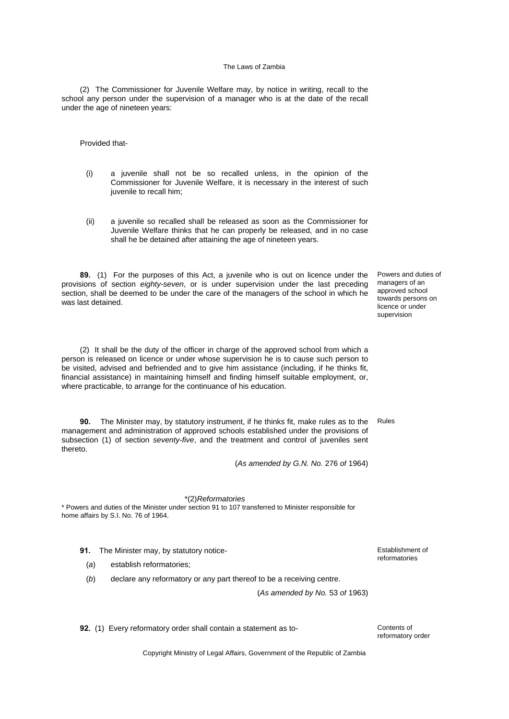(2) The Commissioner for Juvenile Welfare may, by notice in writing, recall to the school any person under the supervision of a manager who is at the date of the recall under the age of nineteen years:

Provided that-

- (i) a juvenile shall not be so recalled unless, in the opinion of the Commissioner for Juvenile Welfare, it is necessary in the interest of such juvenile to recall him;
- (ii) a juvenile so recalled shall be released as soon as the Commissioner for Juvenile Welfare thinks that he can properly be released, and in no case shall he be detained after attaining the age of nineteen years.

**89.** (1) For the purposes of this Act, a juvenile who is out on licence under the provisions of section *eighty-seven*, or is under supervision under the last preceding section, shall be deemed to be under the care of the managers of the school in which he was last detained.

(2) It shall be the duty of the officer in charge of the approved school from which a person is released on licence or under whose supervision he is to cause such person to be visited, advised and befriended and to give him assistance (including, if he thinks fit, financial assistance) in maintaining himself and finding himself suitable employment, or, where practicable, to arrange for the continuance of his education.

**90.** The Minister may, by statutory instrument, if he thinks fit, make rules as to the management and administration of approved schools established under the provisions of subsection (1) of section *seventy-five*, and the treatment and control of juveniles sent thereto.

(*As amended by G.N. No.* 276 *of* 1964)

### \*(2)*Reformatories*

\* Powers and duties of the Minister under section 91 to 107 transferred to Minister responsible for home affairs by S.I. No. 76 of 1964.

- **91.** The Minister may, by statutory notice-
	- (*a*) establish reformatories;
	- (*b*) declare any reformatory or any part thereof to be a receiving centre.

(*As amended by No.* 53 *of* 1963)

**92.** (1) Every reformatory order shall contain a statement as to- Contents of

reformatory order

Copyright Ministry of Legal Affairs, Government of the Republic of Zambia

Powers and duties of managers of an approved school towards persons on licence or under supervision

Rules

reformatories

Establishment of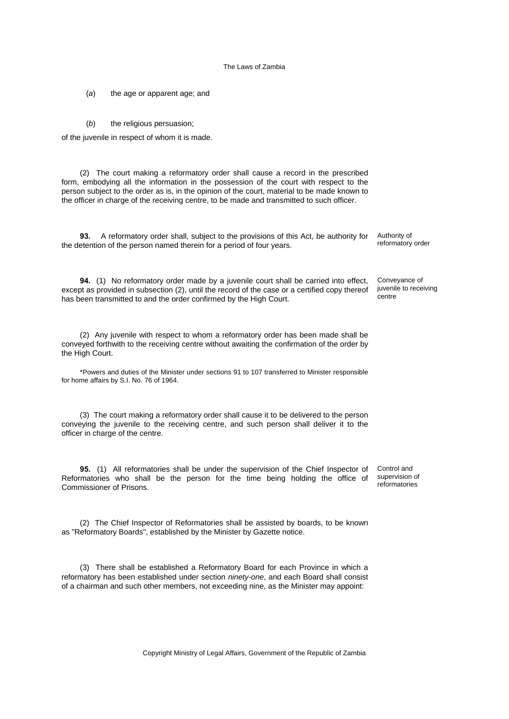(*a*) the age or apparent age; and

(*b*) the religious persuasion;

of the juvenile in respect of whom it is made.

(2) The court making a reformatory order shall cause a record in the prescribed form, embodying all the information in the possession of the court with respect to the person subject to the order as is, in the opinion of the court, material to be made known to the officer in charge of the receiving centre, to be made and transmitted to such officer.

**93.** A reformatory order shall, subject to the provisions of this Act, be authority for the detention of the person named therein for a period of four years.

**94.** (1) No reformatory order made by a juvenile court shall be carried into effect, except as provided in subsection (2), until the record of the case or a certified copy thereof has been transmitted to and the order confirmed by the High Court.

(2) Any juvenile with respect to whom a reformatory order has been made shall be conveyed forthwith to the receiving centre without awaiting the confirmation of the order by the High Court.

\*Powers and duties of the Minister under sections 91 to 107 transferred to Minister responsible for home affairs by S.I. No. 76 of 1964.

(3) The court making a reformatory order shall cause it to be delivered to the person conveying the juvenile to the receiving centre, and such person shall deliver it to the officer in charge of the centre.

**95.** (1) All reformatories shall be under the supervision of the Chief Inspector of Reformatories who shall be the person for the time being holding the office of Commissioner of Prisons.

(2) The Chief Inspector of Reformatories shall be assisted by boards, to be known as "Reformatory Boards", established by the Minister by Gazette notice.

(3) There shall be established a Reformatory Board for each Province in which a reformatory has been established under section *ninety-one*, and each Board shall consist of a chairman and such other members, not exceeding nine, as the Minister may appoint:

Authority of reformatory order

Conveyance of juvenile to receiving centre

Control and supervision of reformatories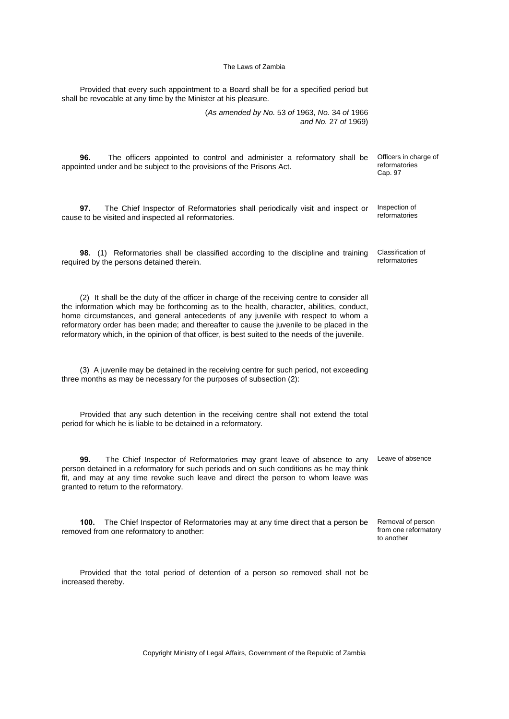Provided that every such appointment to a Board shall be for a specified period but shall be revocable at any time by the Minister at his pleasure. (*As amended by No.* 53 *of* 1963, *No.* 34 *of* 1966 *and No.* 27 *of* 1969) **96.** The officers appointed to control and administer a reformatory shall be appointed under and be subject to the provisions of the Prisons Act. Officers in charge of reformatories Cap. 97 **97.** The Chief Inspector of Reformatories shall periodically visit and inspect or cause to be visited and inspected all reformatories. Inspection of reformatories **98.** (1) Reformatories shall be classified according to the discipline and training required by the persons detained therein. Classification of reformatories (2) It shall be the duty of the officer in charge of the receiving centre to consider all the information which may be forthcoming as to the health, character, abilities, conduct, home circumstances, and general antecedents of any juvenile with respect to whom a reformatory order has been made; and thereafter to cause the juvenile to be placed in the reformatory which, in the opinion of that officer, is best suited to the needs of the juvenile. (3) A juvenile may be detained in the receiving centre for such period, not exceeding three months as may be necessary for the purposes of subsection (2): Provided that any such detention in the receiving centre shall not extend the total period for which he is liable to be detained in a reformatory. **99.** The Chief Inspector of Reformatories may grant leave of absence to any person detained in a reformatory for such periods and on such conditions as he may think fit, and may at any time revoke such leave and direct the person to whom leave was granted to return to the reformatory. Leave of absence **100.** The Chief Inspector of Reformatories may at any time direct that a person be removed from one reformatory to another: Removal of person from one reformatory to another Provided that the total period of detention of a person so removed shall not be increased thereby.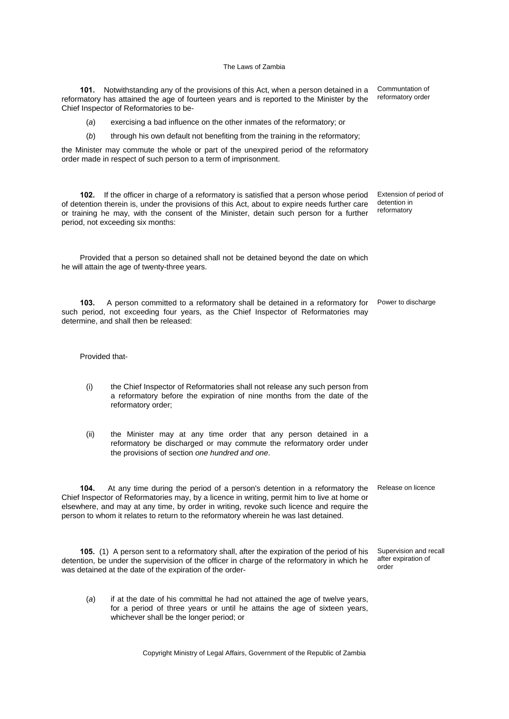**101.** Notwithstanding any of the provisions of this Act, when a person detained in a reformatory has attained the age of fourteen years and is reported to the Minister by the Chief Inspector of Reformatories to be- Communtation of reformatory order

(*a*) exercising a bad influence on the other inmates of the reformatory; or

(*b*) through his own default not benefiting from the training in the reformatory;

the Minister may commute the whole or part of the unexpired period of the reformatory order made in respect of such person to a term of imprisonment.

**102.** If the officer in charge of a reformatory is satisfied that a person whose period of detention therein is, under the provisions of this Act, about to expire needs further care or training he may, with the consent of the Minister, detain such person for a further period, not exceeding six months: Extension of period of detention in reformatory

Provided that a person so detained shall not be detained beyond the date on which he will attain the age of twenty-three years.

103. A person committed to a reformatory shall be detained in a reformatory for Power to discharge such period, not exceeding four years, as the Chief Inspector of Reformatories may determine, and shall then be released:

Provided that-

- (i) the Chief Inspector of Reformatories shall not release any such person from a reformatory before the expiration of nine months from the date of the reformatory order;
- (ii) the Minister may at any time order that any person detained in a reformatory be discharged or may commute the reformatory order under the provisions of section *one hundred and one*.

**104.** At any time during the period of a person's detention in a reformatory the Chief Inspector of Reformatories may, by a licence in writing, permit him to live at home or elsewhere, and may at any time, by order in writing, revoke such licence and require the person to whom it relates to return to the reformatory wherein he was last detained. Release on licence

**105.** (1) A person sent to a reformatory shall, after the expiration of the period of his detention, be under the supervision of the officer in charge of the reformatory in which he was detained at the date of the expiration of the order-Supervision and recall after expiration of order

whichever shall be the longer period; or

(*a*) if at the date of his committal he had not attained the age of twelve years, for a period of three years or until he attains the age of sixteen years,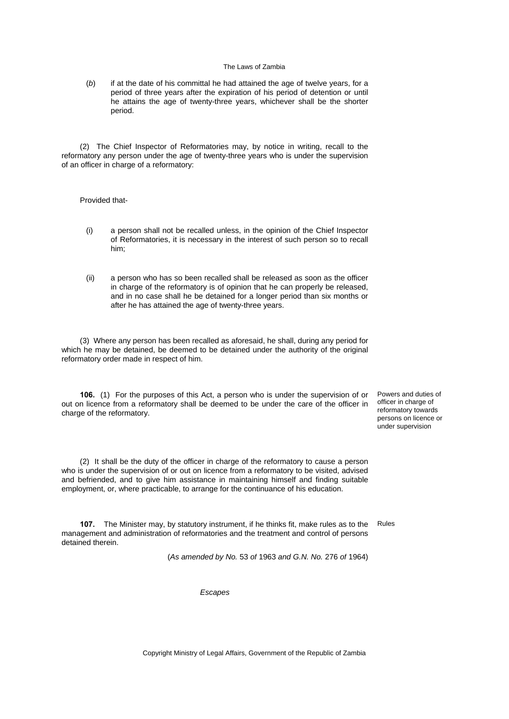(*b*) if at the date of his committal he had attained the age of twelve years, for a period of three years after the expiration of his period of detention or until he attains the age of twenty-three years, whichever shall be the shorter period.

(2) The Chief Inspector of Reformatories may, by notice in writing, recall to the reformatory any person under the age of twenty-three years who is under the supervision of an officer in charge of a reformatory:

### Provided that-

- (i) a person shall not be recalled unless, in the opinion of the Chief Inspector of Reformatories, it is necessary in the interest of such person so to recall him;
- (ii) a person who has so been recalled shall be released as soon as the officer in charge of the reformatory is of opinion that he can properly be released, and in no case shall he be detained for a longer period than six months or after he has attained the age of twenty-three years.

(3) Where any person has been recalled as aforesaid, he shall, during any period for which he may be detained, be deemed to be detained under the authority of the original reformatory order made in respect of him.

**106.** (1) For the purposes of this Act, a person who is under the supervision of or out on licence from a reformatory shall be deemed to be under the care of the officer in charge of the reformatory.

Powers and duties of officer in charge of reformatory towards persons on licence or under supervision

(2) It shall be the duty of the officer in charge of the reformatory to cause a person who is under the supervision of or out on licence from a reformatory to be visited, advised and befriended, and to give him assistance in maintaining himself and finding suitable employment, or, where practicable, to arrange for the continuance of his education.

**107.** The Minister may, by statutory instrument, if he thinks fit, make rules as to the Rules management and administration of reformatories and the treatment and control of persons detained therein.

(*As amended by No.* 53 *of* 1963 *and G.N. No.* 276 *of* 1964)

*Escapes*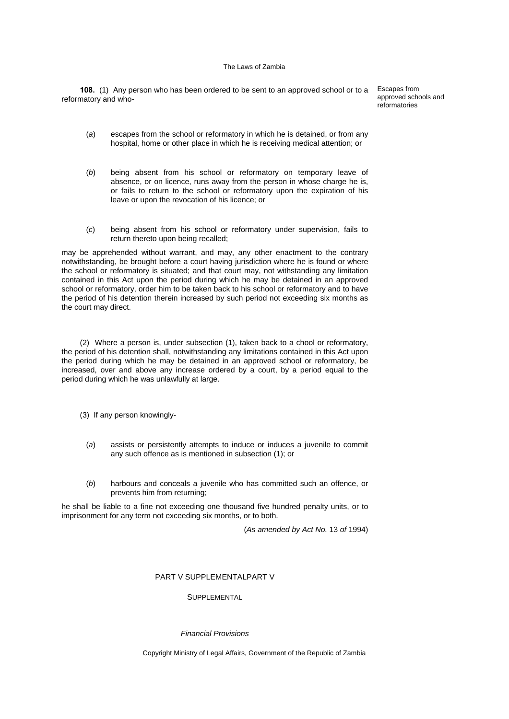**108.** (1) Any person who has been ordered to be sent to an approved school or to a Escapes from reformatory and who-

approved schools and reformatories

- (*a*) escapes from the school or reformatory in which he is detained, or from any hospital, home or other place in which he is receiving medical attention; or
- (*b*) being absent from his school or reformatory on temporary leave of absence, or on licence, runs away from the person in whose charge he is, or fails to return to the school or reformatory upon the expiration of his leave or upon the revocation of his licence; or
- (*c*) being absent from his school or reformatory under supervision, fails to return thereto upon being recalled;

may be apprehended without warrant, and may, any other enactment to the contrary notwithstanding, be brought before a court having jurisdiction where he is found or where the school or reformatory is situated; and that court may, not withstanding any limitation contained in this Act upon the period during which he may be detained in an approved school or reformatory, order him to be taken back to his school or reformatory and to have the period of his detention therein increased by such period not exceeding six months as the court may direct.

(2) Where a person is, under subsection (1), taken back to a chool or reformatory, the period of his detention shall, notwithstanding any limitations contained in this Act upon the period during which he may be detained in an approved school or reformatory, be increased, over and above any increase ordered by a court, by a period equal to the period during which he was unlawfully at large.

- (3) If any person knowingly-
	- (*a*) assists or persistently attempts to induce or induces a juvenile to commit any such offence as is mentioned in subsection (1); or
	- (*b*) harbours and conceals a juvenile who has committed such an offence, or prevents him from returning;

he shall be liable to a fine not exceeding one thousand five hundred penalty units, or to imprisonment for any term not exceeding six months, or to both.

(*As amended by Act No.* 13 *of* 1994)

### PART V SUPPLEMENTALPART V

### **SUPPLEMENTAL**

### *Financial Provisions*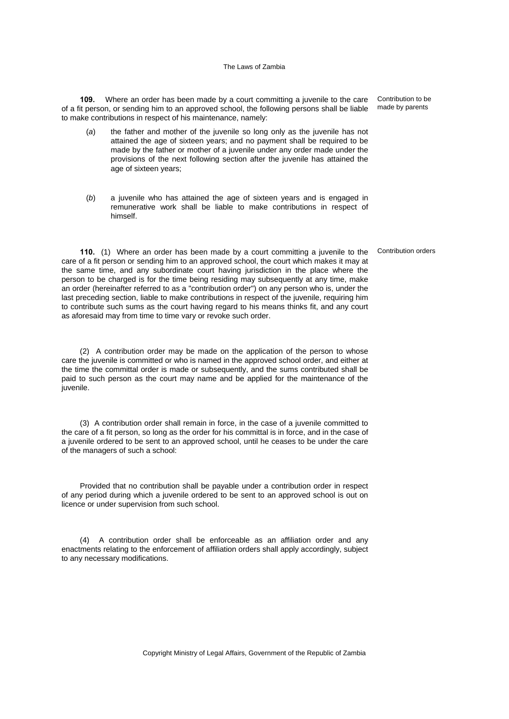**109.** Where an order has been made by a court committing a juvenile to the care of a fit person, or sending him to an approved school, the following persons shall be liable to make contributions in respect of his maintenance, namely:

- (*a*) the father and mother of the juvenile so long only as the juvenile has not attained the age of sixteen years; and no payment shall be required to be made by the father or mother of a juvenile under any order made under the provisions of the next following section after the juvenile has attained the age of sixteen years;
- (*b*) a juvenile who has attained the age of sixteen years and is engaged in remunerative work shall be liable to make contributions in respect of himself.

**110.** (1) Where an order has been made by a court committing a juvenile to the care of a fit person or sending him to an approved school, the court which makes it may at the same time, and any subordinate court having jurisdiction in the place where the person to be charged is for the time being residing may subsequently at any time, make an order (hereinafter referred to as a "contribution order") on any person who is, under the last preceding section, liable to make contributions in respect of the juvenile, requiring him to contribute such sums as the court having regard to his means thinks fit, and any court as aforesaid may from time to time vary or revoke such order.

(2) A contribution order may be made on the application of the person to whose care the juvenile is committed or who is named in the approved school order, and either at the time the committal order is made or subsequently, and the sums contributed shall be paid to such person as the court may name and be applied for the maintenance of the juvenile.

(3) A contribution order shall remain in force, in the case of a juvenile committed to the care of a fit person, so long as the order for his committal is in force, and in the case of a juvenile ordered to be sent to an approved school, until he ceases to be under the care of the managers of such a school:

Provided that no contribution shall be payable under a contribution order in respect of any period during which a juvenile ordered to be sent to an approved school is out on licence or under supervision from such school.

(4) A contribution order shall be enforceable as an affiliation order and any enactments relating to the enforcement of affiliation orders shall apply accordingly, subject to any necessary modifications.

Contribution to be made by parents

Contribution orders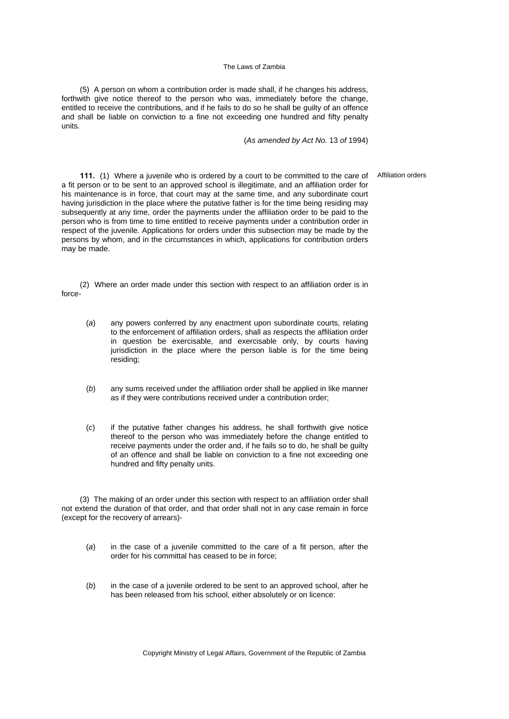(5) A person on whom a contribution order is made shall, if he changes his address, forthwith give notice thereof to the person who was, immediately before the change, entitled to receive the contributions, and if he fails to do so he shall be guilty of an offence and shall be liable on conviction to a fine not exceeding one hundred and fifty penalty units.

(*As amended by Act No.* 13 *of* 1994)

Affiliation orders

**111.** (1) Where a juvenile who is ordered by a court to be committed to the care of a fit person or to be sent to an approved school is illegitimate, and an affiliation order for his maintenance is in force, that court may at the same time, and any subordinate court having jurisdiction in the place where the putative father is for the time being residing may subsequently at any time, order the payments under the affiliation order to be paid to the person who is from time to time entitled to receive payments under a contribution order in respect of the juvenile. Applications for orders under this subsection may be made by the persons by whom, and in the circumstances in which, applications for contribution orders may be made.

(2) Where an order made under this section with respect to an affiliation order is in force-

- (*a*) any powers conferred by any enactment upon subordinate courts, relating to the enforcement of affiliation orders, shall as respects the affiliation order in question be exercisable, and exercisable only, by courts having jurisdiction in the place where the person liable is for the time being residing;
- (*b*) any sums received under the affiliation order shall be applied in like manner as if they were contributions received under a contribution order;
- (*c*) if the putative father changes his address, he shall forthwith give notice thereof to the person who was immediately before the change entitled to receive payments under the order and, if he fails so to do, he shall be guilty of an offence and shall be liable on conviction to a fine not exceeding one hundred and fifty penalty units.

(3) The making of an order under this section with respect to an affiliation order shall not extend the duration of that order, and that order shall not in any case remain in force (except for the recovery of arrears)-

- (*a*) in the case of a juvenile committed to the care of a fit person, after the order for his committal has ceased to be in force;
- (*b*) in the case of a juvenile ordered to be sent to an approved school, after he has been released from his school, either absolutely or on licence: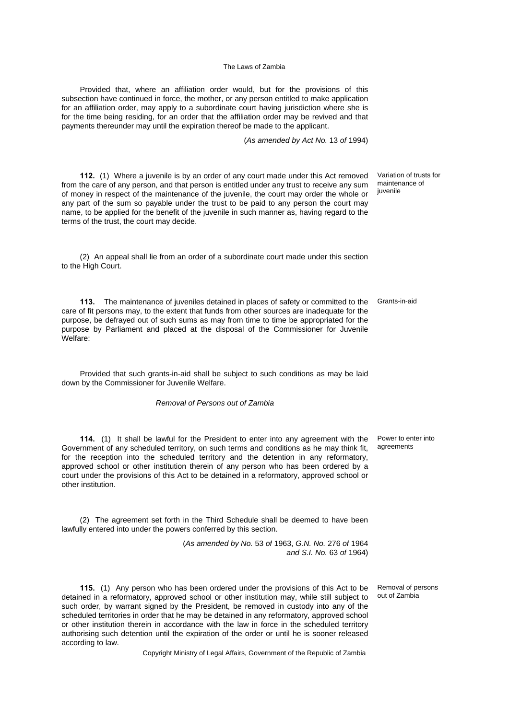Provided that, where an affiliation order would, but for the provisions of this subsection have continued in force, the mother, or any person entitled to make application for an affiliation order, may apply to a subordinate court having jurisdiction where she is for the time being residing, for an order that the affiliation order may be revived and that payments thereunder may until the expiration thereof be made to the applicant.

(*As amended by Act No.* 13 *of* 1994)

**112.** (1) Where a juvenile is by an order of any court made under this Act removed from the care of any person, and that person is entitled under any trust to receive any sum of money in respect of the maintenance of the juvenile, the court may order the whole or any part of the sum so payable under the trust to be paid to any person the court may name, to be applied for the benefit of the juvenile in such manner as, having regard to the terms of the trust, the court may decide.

(2) An appeal shall lie from an order of a subordinate court made under this section to the High Court.

**113.** The maintenance of juveniles detained in places of safety or committed to the Grants-in-aid care of fit persons may, to the extent that funds from other sources are inadequate for the purpose, be defrayed out of such sums as may from time to time be appropriated for the purpose by Parliament and placed at the disposal of the Commissioner for Juvenile Welfare:

Provided that such grants-in-aid shall be subject to such conditions as may be laid down by the Commissioner for Juvenile Welfare.

*Removal of Persons out of Zambia*

**114.** (1) It shall be lawful for the President to enter into any agreement with the Government of any scheduled territory, on such terms and conditions as he may think fit, for the reception into the scheduled territory and the detention in any reformatory, approved school or other institution therein of any person who has been ordered by a court under the provisions of this Act to be detained in a reformatory, approved school or other institution.

(2) The agreement set forth in the Third Schedule shall be deemed to have been lawfully entered into under the powers conferred by this section.

> (*As amended by No.* 53 *of* 1963, *G.N. No.* 276 *of* 1964 *and S.I. No.* 63 *of* 1964)

**115.** (1) Any person who has been ordered under the provisions of this Act to be detained in a reformatory, approved school or other institution may, while still subject to such order, by warrant signed by the President, be removed in custody into any of the scheduled territories in order that he may be detained in any reformatory, approved school or other institution therein in accordance with the law in force in the scheduled territory authorising such detention until the expiration of the order or until he is sooner released according to law.

Copyright Ministry of Legal Affairs, Government of the Republic of Zambia

Variation of trusts for maintenance of juvenile

Power to enter into agreements

Removal of persons out of Zambia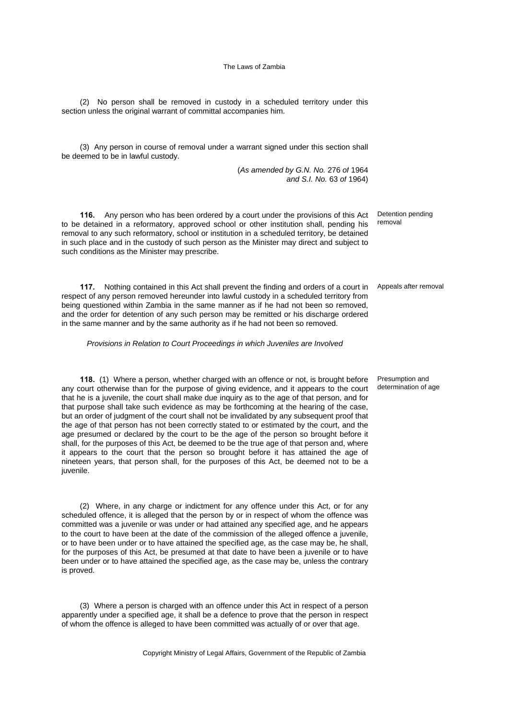(2) No person shall be removed in custody in a scheduled territory under this section unless the original warrant of committal accompanies him.

(3) Any person in course of removal under a warrant signed under this section shall be deemed to be in lawful custody.

> (*As amended by G.N. No.* 276 *of* 1964 *and S.I. No.* 63 *of* 1964)

**116.** Any person who has been ordered by a court under the provisions of this Act to be detained in a reformatory, approved school or other institution shall, pending his removal to any such reformatory, school or institution in a scheduled territory, be detained in such place and in the custody of such person as the Minister may direct and subject to such conditions as the Minister may prescribe.

**117.** Nothing contained in this Act shall prevent the finding and orders of a court in respect of any person removed hereunder into lawful custody in a scheduled territory from being questioned within Zambia in the same manner as if he had not been so removed, and the order for detention of any such person may be remitted or his discharge ordered in the same manner and by the same authority as if he had not been so removed.

*Provisions in Relation to Court Proceedings in which Juveniles are Involved*

**118.** (1) Where a person, whether charged with an offence or not, is brought before any court otherwise than for the purpose of giving evidence, and it appears to the court that he is a juvenile, the court shall make due inquiry as to the age of that person, and for that purpose shall take such evidence as may be forthcoming at the hearing of the case, but an order of judgment of the court shall not be invalidated by any subsequent proof that the age of that person has not been correctly stated to or estimated by the court, and the age presumed or declared by the court to be the age of the person so brought before it shall, for the purposes of this Act, be deemed to be the true age of that person and, where it appears to the court that the person so brought before it has attained the age of nineteen years, that person shall, for the purposes of this Act, be deemed not to be a juvenile.

(2) Where, in any charge or indictment for any offence under this Act, or for any scheduled offence, it is alleged that the person by or in respect of whom the offence was committed was a juvenile or was under or had attained any specified age, and he appears to the court to have been at the date of the commission of the alleged offence a juvenile, or to have been under or to have attained the specified age, as the case may be, he shall, for the purposes of this Act, be presumed at that date to have been a juvenile or to have been under or to have attained the specified age, as the case may be, unless the contrary is proved.

(3) Where a person is charged with an offence under this Act in respect of a person apparently under a specified age, it shall be a defence to prove that the person in respect of whom the offence is alleged to have been committed was actually of or over that age.

Copyright Ministry of Legal Affairs, Government of the Republic of Zambia

Detention pending removal

Appeals after removal

Presumption and determination of age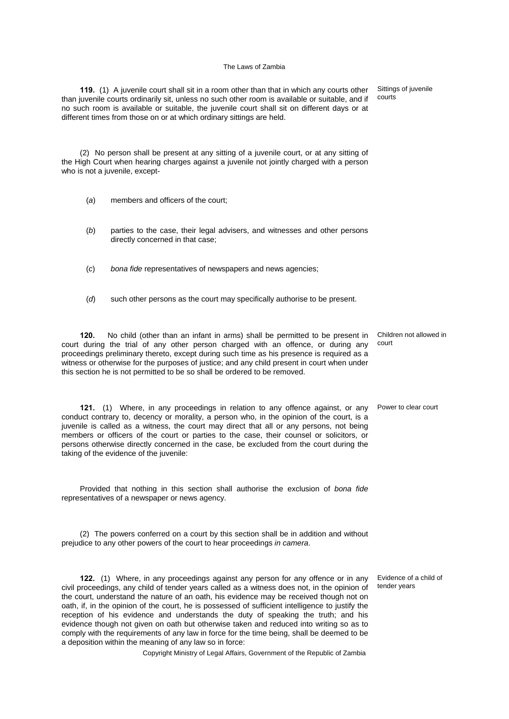**119.** (1) A juvenile court shall sit in a room other than that in which any courts other than juvenile courts ordinarily sit, unless no such other room is available or suitable, and if no such room is available or suitable, the juvenile court shall sit on different days or at different times from those on or at which ordinary sittings are held.

(2) No person shall be present at any sitting of a juvenile court, or at any sitting of the High Court when hearing charges against a juvenile not jointly charged with a person who is not a juvenile, except-

- (*a*) members and officers of the court;
- (*b*) parties to the case, their legal advisers, and witnesses and other persons directly concerned in that case;
- (*c*) *bona fide* representatives of newspapers and news agencies;
- (*d*) such other persons as the court may specifically authorise to be present.

**120.** No child (other than an infant in arms) shall be permitted to be present in court during the trial of any other person charged with an offence, or during any proceedings preliminary thereto, except during such time as his presence is required as a witness or otherwise for the purposes of justice; and any child present in court when under this section he is not permitted to be so shall be ordered to be removed.

**121.** (1) Where, in any proceedings in relation to any offence against, or any Power to clear court conduct contrary to, decency or morality, a person who, in the opinion of the court, is a juvenile is called as a witness, the court may direct that all or any persons, not being members or officers of the court or parties to the case, their counsel or solicitors, or persons otherwise directly concerned in the case, be excluded from the court during the taking of the evidence of the juvenile:

Provided that nothing in this section shall authorise the exclusion of *bona fide* representatives of a newspaper or news agency.

(2) The powers conferred on a court by this section shall be in addition and without prejudice to any other powers of the court to hear proceedings *in camera*.

**122.** (1) Where, in any proceedings against any person for any offence or in any civil proceedings, any child of tender years called as a witness does not, in the opinion of the court, understand the nature of an oath, his evidence may be received though not on oath, if, in the opinion of the court, he is possessed of sufficient intelligence to justify the reception of his evidence and understands the duty of speaking the truth; and his evidence though not given on oath but otherwise taken and reduced into writing so as to comply with the requirements of any law in force for the time being, shall be deemed to be a deposition within the meaning of any law so in force:

Copyright Ministry of Legal Affairs, Government of the Republic of Zambia

Sittings of juvenile

courts

Children not allowed in court

Evidence of a child of tender years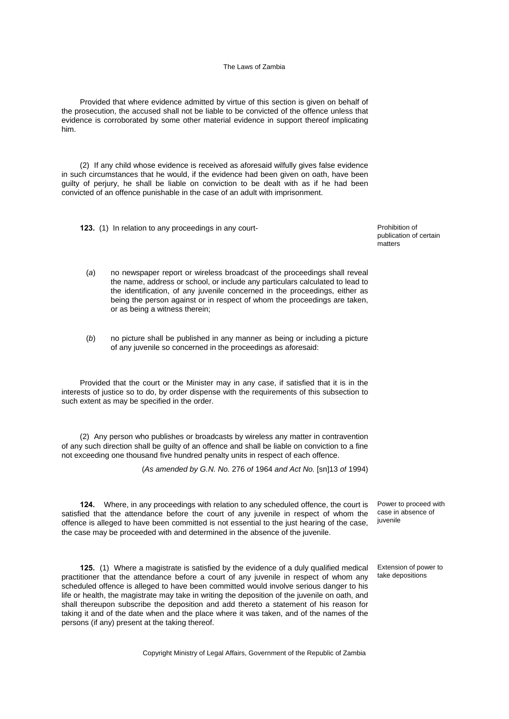Provided that where evidence admitted by virtue of this section is given on behalf of the prosecution, the accused shall not be liable to be convicted of the offence unless that evidence is corroborated by some other material evidence in support thereof implicating him.

(2) If any child whose evidence is received as aforesaid wilfully gives false evidence in such circumstances that he would, if the evidence had been given on oath, have been guilty of perjury, he shall be liable on conviction to be dealt with as if he had been convicted of an offence punishable in the case of an adult with imprisonment.

**123.** (1) In relation to any proceedings in any court-<br> **123.** (1) In relation to any proceedings in any court-

publication of certain matters

- (*a*) no newspaper report or wireless broadcast of the proceedings shall reveal the name, address or school, or include any particulars calculated to lead to the identification, of any juvenile concerned in the proceedings, either as being the person against or in respect of whom the proceedings are taken, or as being a witness therein;
- (*b*) no picture shall be published in any manner as being or including a picture of any juvenile so concerned in the proceedings as aforesaid:

Provided that the court or the Minister may in any case, if satisfied that it is in the interests of justice so to do, by order dispense with the requirements of this subsection to such extent as may be specified in the order.

(2) Any person who publishes or broadcasts by wireless any matter in contravention of any such direction shall be guilty of an offence and shall be liable on conviction to a fine not exceeding one thousand five hundred penalty units in respect of each offence.

(*As amended by G.N. No.* 276 *of* 1964 *and Act No.* [sn]13 *of* 1994)

**124.** Where, in any proceedings with relation to any scheduled offence, the court is satisfied that the attendance before the court of any juvenile in respect of whom the offence is alleged to have been committed is not essential to the just hearing of the case, the case may be proceeded with and determined in the absence of the juvenile.

**125.** (1) Where a magistrate is satisfied by the evidence of a duly qualified medical practitioner that the attendance before a court of any juvenile in respect of whom any scheduled offence is alleged to have been committed would involve serious danger to his life or health, the magistrate may take in writing the deposition of the juvenile on oath, and shall thereupon subscribe the deposition and add thereto a statement of his reason for taking it and of the date when and the place where it was taken, and of the names of the persons (if any) present at the taking thereof.

Power to proceed with case in absence of iuvenile

Extension of power to take depositions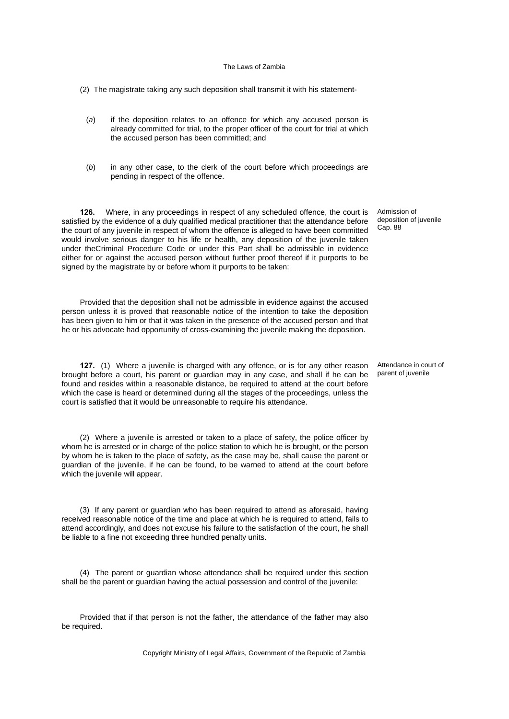(2) The magistrate taking any such deposition shall transmit it with his statement-

- (*a*) if the deposition relates to an offence for which any accused person is already committed for trial, to the proper officer of the court for trial at which the accused person has been committed; and
- (*b*) in any other case, to the clerk of the court before which proceedings are pending in respect of the offence.

**126.** Where, in any proceedings in respect of any scheduled offence, the court is satisfied by the evidence of a duly qualified medical practitioner that the attendance before the court of any juvenile in respect of whom the offence is alleged to have been committed would involve serious danger to his life or health, any deposition of the juvenile taken under theCriminal Procedure Code or under this Part shall be admissible in evidence either for or against the accused person without further proof thereof if it purports to be signed by the magistrate by or before whom it purports to be taken:

Provided that the deposition shall not be admissible in evidence against the accused person unless it is proved that reasonable notice of the intention to take the deposition has been given to him or that it was taken in the presence of the accused person and that he or his advocate had opportunity of cross-examining the juvenile making the deposition.

**127.** (1) Where a juvenile is charged with any offence, or is for any other reason brought before a court, his parent or guardian may in any case, and shall if he can be found and resides within a reasonable distance, be required to attend at the court before which the case is heard or determined during all the stages of the proceedings, unless the court is satisfied that it would be unreasonable to require his attendance.

(2) Where a juvenile is arrested or taken to a place of safety, the police officer by whom he is arrested or in charge of the police station to which he is brought, or the person by whom he is taken to the place of safety, as the case may be, shall cause the parent or guardian of the juvenile, if he can be found, to be warned to attend at the court before which the juvenile will appear.

(3) If any parent or guardian who has been required to attend as aforesaid, having received reasonable notice of the time and place at which he is required to attend, fails to attend accordingly, and does not excuse his failure to the satisfaction of the court, he shall be liable to a fine not exceeding three hundred penalty units.

(4) The parent or guardian whose attendance shall be required under this section shall be the parent or guardian having the actual possession and control of the juvenile:

Provided that if that person is not the father, the attendance of the father may also be required.

Copyright Ministry of Legal Affairs, Government of the Republic of Zambia

Admission of deposition of juvenile Cap. 88

Attendance in court of parent of juvenile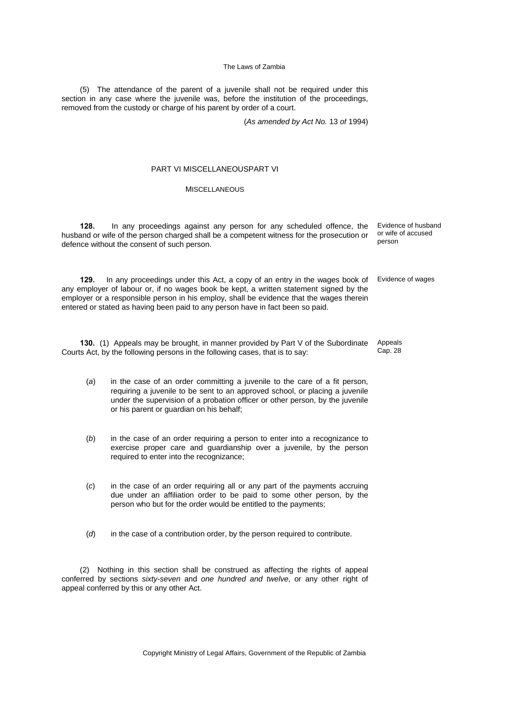(5) The attendance of the parent of a juvenile shall not be required under this section in any case where the juvenile was, before the institution of the proceedings, removed from the custody or charge of his parent by order of a court.

(*As amended by Act No.* 13 *of* 1994)

### PART VI MISCELLANEOUSPART VI

### **MISCELLANEOUS**

**128.** In any proceedings against any person for any scheduled offence, the husband or wife of the person charged shall be a competent witness for the prosecution or defence without the consent of such person.

**129.** In any proceedings under this Act, a copy of an entry in the wages book of any employer of labour or, if no wages book be kept, a written statement signed by the employer or a responsible person in his employ, shall be evidence that the wages therein entered or stated as having been paid to any person have in fact been so paid.

**130.** (1) Appeals may be brought, in manner provided by Part V of the Subordinate Courts Act, by the following persons in the following cases, that is to say:

- (*a*) in the case of an order committing a juvenile to the care of a fit person, requiring a juvenile to be sent to an approved school, or placing a juvenile under the supervision of a probation officer or other person, by the juvenile or his parent or guardian on his behalf;
- (*b*) in the case of an order requiring a person to enter into a recognizance to exercise proper care and guardianship over a juvenile, by the person required to enter into the recognizance;
- (*c*) in the case of an order requiring all or any part of the payments accruing due under an affiliation order to be paid to some other person, by the person who but for the order would be entitled to the payments;
- (*d*) in the case of a contribution order, by the person required to contribute.

(2) Nothing in this section shall be construed as affecting the rights of appeal conferred by sections *sixty-seven* and *one hundred and twelve*, or any other right of appeal conferred by this or any other Act.

Copyright Ministry of Legal Affairs, Government of the Republic of Zambia

Evidence of husband or wife of accused person

Evidence of wages

Appeals Cap. 28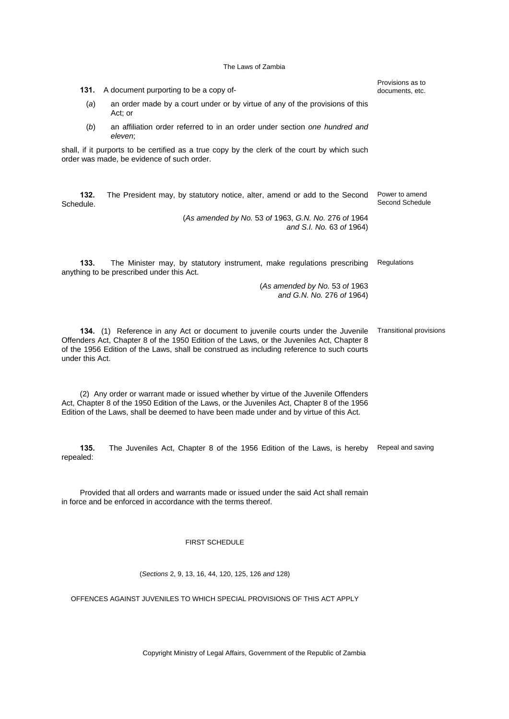| 131.<br>A document purporting to be a copy of-                                                                                                                                                                                                                                               | Provisions as to<br>documents, etc. |  |  |  |  |
|----------------------------------------------------------------------------------------------------------------------------------------------------------------------------------------------------------------------------------------------------------------------------------------------|-------------------------------------|--|--|--|--|
| (a)<br>an order made by a court under or by virtue of any of the provisions of this<br>Act: or                                                                                                                                                                                               |                                     |  |  |  |  |
| an affiliation order referred to in an order under section one hundred and<br>(b)<br>eleven:                                                                                                                                                                                                 |                                     |  |  |  |  |
| shall, if it purports to be certified as a true copy by the clerk of the court by which such<br>order was made, be evidence of such order.                                                                                                                                                   |                                     |  |  |  |  |
| 132.<br>The President may, by statutory notice, alter, amend or add to the Second<br>Schedule.                                                                                                                                                                                               | Power to amend<br>Second Schedule   |  |  |  |  |
| (As amended by No. 53 of 1963, G.N. No. 276 of 1964<br>and S.I. No. 63 of 1964)                                                                                                                                                                                                              |                                     |  |  |  |  |
| 133.<br>The Minister may, by statutory instrument, make regulations prescribing<br>anything to be prescribed under this Act.                                                                                                                                                                 | Regulations                         |  |  |  |  |
| (As amended by No. 53 of 1963<br>and G.N. No. 276 of 1964)                                                                                                                                                                                                                                   |                                     |  |  |  |  |
| 134. (1) Reference in any Act or document to juvenile courts under the Juvenile<br>Offenders Act, Chapter 8 of the 1950 Edition of the Laws, or the Juveniles Act, Chapter 8<br>of the 1956 Edition of the Laws, shall be construed as including reference to such courts<br>under this Act. | <b>Transitional provisions</b>      |  |  |  |  |
| (2) Any order or warrant made or issued whether by virtue of the Juvenile Offenders<br>Act, Chapter 8 of the 1950 Edition of the Laws, or the Juveniles Act, Chapter 8 of the 1956<br>Edition of the Laws, shall be deemed to have been made under and by virtue of this Act.                |                                     |  |  |  |  |
| 135.<br>The Juveniles Act, Chapter 8 of the 1956 Edition of the Laws, is hereby<br>repealed:                                                                                                                                                                                                 | Repeal and saving                   |  |  |  |  |

Provided that all orders and warrants made or issued under the said Act shall remain in force and be enforced in accordance with the terms thereof.

### FIRST SCHEDULE

(*Sections* 2, 9, 13, 16, 44, 120, 125, 126 *and* 128)

OFFENCES AGAINST JUVENILES TO WHICH SPECIAL PROVISIONS OF THIS ACT APPLY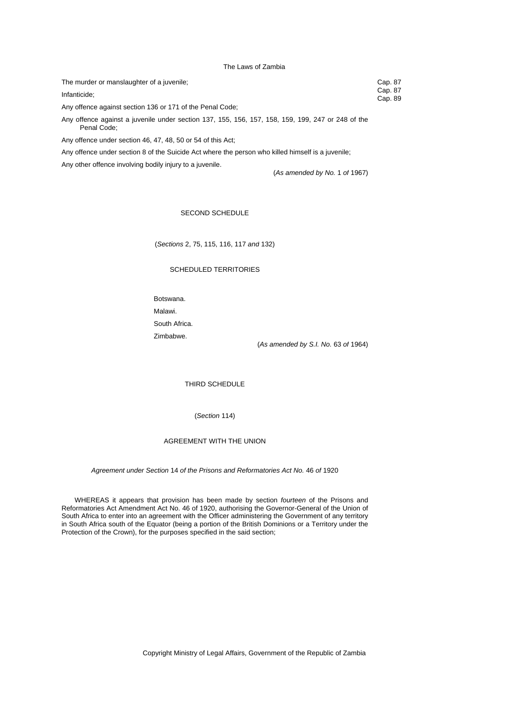| The murder or manslaughter of a juvenile;                                                         | Cap. 87            |
|---------------------------------------------------------------------------------------------------|--------------------|
| Infanticide:                                                                                      | Cap. 87<br>Cap. 89 |
| Any offence against section 136 or 171 of the Penal Code;                                         |                    |
| Any offence against a juvenile under section 137, 155, 156, 157, 158, 159, 199, 247 or 248 of the |                    |

Penal Code;

Any offence under section 46, 47, 48, 50 or 54 of this Act;

Any offence under section 8 of the Suicide Act where the person who killed himself is a juvenile;

Any other offence involving bodily injury to a juvenile.

(*As amended by No.* 1 *of* 1967)

### SECOND SCHEDULE

(*Sections* 2, 75, 115, 116, 117 *and* 132)

### SCHEDULED TERRITORIES

Botswana. Malawi. South Africa. Zimbabwe.

(*As amended by S.I. No.* 63 *of* 1964)

THIRD SCHEDULE

(*Section* 114)

### AGREEMENT WITH THE UNION

*Agreement under Section* 14 *of the Prisons and Reformatories Act No.* 46 *of* 1920

 WHEREAS it appears that provision has been made by section *fourteen* of the Prisons and Reformatories Act Amendment Act No. 46 of 1920, authorising the Governor-General of the Union of South Africa to enter into an agreement with the Officer administering the Government of any territory in South Africa south of the Equator (being a portion of the British Dominions or a Territory under the Protection of the Crown), for the purposes specified in the said section;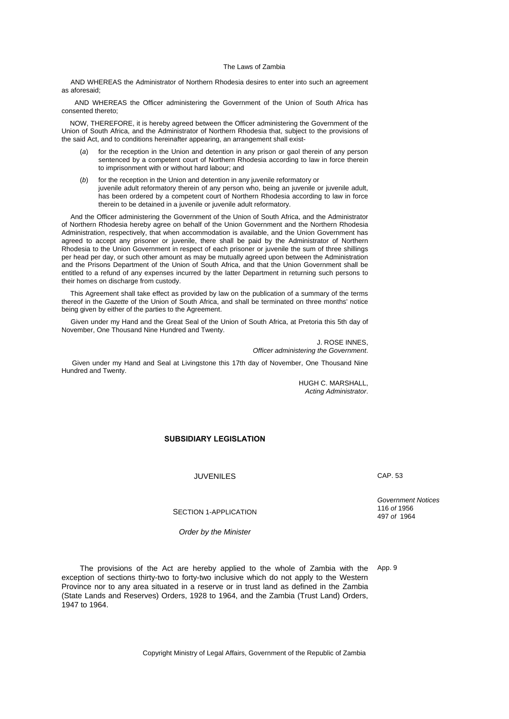AND WHEREAS the Administrator of Northern Rhodesia desires to enter into such an agreement as aforesaid;

 AND WHEREAS the Officer administering the Government of the Union of South Africa has consented thereto;

 NOW, THEREFORE, it is hereby agreed between the Officer administering the Government of the Union of South Africa, and the Administrator of Northern Rhodesia that, subject to the provisions of the said Act, and to conditions hereinafter appearing, an arrangement shall exist-

- (*a*) for the reception in the Union and detention in any prison or gaol therein of any person sentenced by a competent court of Northern Rhodesia according to law in force therein to imprisonment with or without hard labour; and
- (*b*) for the reception in the Union and detention in any juvenile reformatory or juvenile adult reformatory therein of any person who, being an juvenile or juvenile adult, has been ordered by a competent court of Northern Rhodesia according to law in force therein to be detained in a juvenile or juvenile adult reformatory.

 And the Officer administering the Government of the Union of South Africa, and the Administrator of Northern Rhodesia hereby agree on behalf of the Union Government and the Northern Rhodesia Administration, respectively, that when accommodation is available, and the Union Government has agreed to accept any prisoner or juvenile, there shall be paid by the Administrator of Northern Rhodesia to the Union Government in respect of each prisoner or juvenile the sum of three shillings per head per day, or such other amount as may be mutually agreed upon between the Administration and the Prisons Department of the Union of South Africa, and that the Union Government shall be entitled to a refund of any expenses incurred by the latter Department in returning such persons to their homes on discharge from custody.

 This Agreement shall take effect as provided by law on the publication of a summary of the terms thereof in the *Gazette* of the Union of South Africa, and shall be terminated on three months' notice being given by either of the parties to the Agreement.

 Given under my Hand and the Great Seal of the Union of South Africa, at Pretoria this 5th day of November, One Thousand Nine Hundred and Twenty.

> J. ROSE INNES, *Officer administering the Government*.

 Given under my Hand and Seal at Livingstone this 17th day of November, One Thousand Nine Hundred and Twenty.

> HUGH C. MARSHALL, *Acting Administrator*.

### **SUBSIDIARY LEGISLATION**

JUVENILES CAP. 53

*Government Notices* 116 *of* 1956 497 *of* 1964

SECTION 1-APPLICATION

*Order by the Minister* 

The provisions of the Act are hereby applied to the whole of Zambia with the exception of sections thirty-two to forty-two inclusive which do not apply to the Western Province nor to any area situated in a reserve or in trust land as defined in the Zambia (State Lands and Reserves) Orders, 1928 to 1964, and the Zambia (Trust Land) Orders, 1947 to 1964. App. 9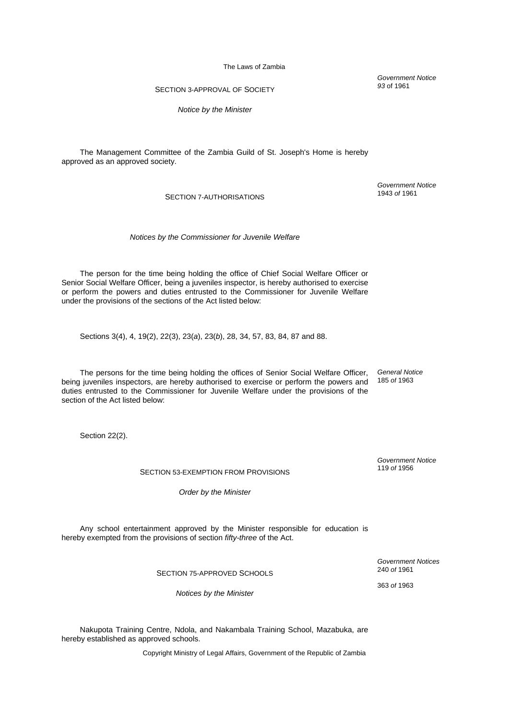### SECTION 3-APPROVAL OF SOCIETY

*Notice by the Minister* 

The Management Committee of the Zambia Guild of St. Joseph's Home is hereby approved as an approved society.

### SECTION 7-AUTHORISATIONS

*Notices by the Commissioner for Juvenile Welfare*

The person for the time being holding the office of Chief Social Welfare Officer or Senior Social Welfare Officer, being a juveniles inspector, is hereby authorised to exercise or perform the powers and duties entrusted to the Commissioner for Juvenile Welfare under the provisions of the sections of the Act listed below:

Sections 3(4), 4, 19(2), 22(3), 23(*a*), 23(*b*), 28, 34, 57, 83, 84, 87 and 88.

The persons for the time being holding the offices of Senior Social Welfare Officer, being juveniles inspectors, are hereby authorised to exercise or perform the powers and duties entrusted to the Commissioner for Juvenile Welfare under the provisions of the section of the Act listed below: *General Notice* 185 *of* 1963

Section 22(2).

### SECTION 53-EXEMPTION FROM PROVISIONS

*Order by the Minister* 

Any school entertainment approved by the Minister responsible for education is hereby exempted from the provisions of section *fifty-three* of the Act.

SECTION 75-APPROVED SCHOOLS

*Notices by the Minister* 

Nakupota Training Centre, Ndola, and Nakambala Training School, Mazabuka, are hereby established as approved schools.

Copyright Ministry of Legal Affairs, Government of the Republic of Zambia

*Government Notice 93* of 1961

*Government Notice* 1943 *of* 1961

*Government Notice* 119 *of* 1956

*Government Notices* 240 *of* 1961

363 *of* 1963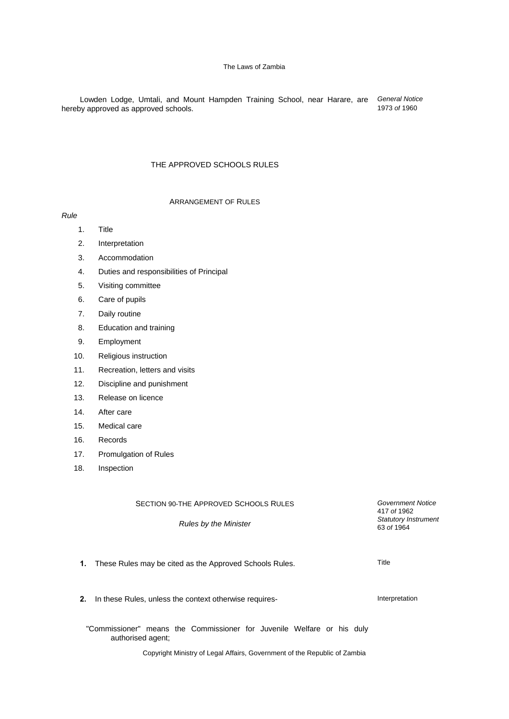Lowden Lodge, Umtali, and Mount Hampden Training School, near Harare, are hereby approved as approved schools. *General Notice* 1973 *of* 1960

### THE APPROVED SCHOOLS RULES

### ARRANGEMENT OF RULES

*Rule*

- 1. Title
- 2. Interpretation
- 3. Accommodation
- 4. Duties and responsibilities of Principal
- 5. Visiting committee
- 6. Care of pupils
- 7. Daily routine
- 8. Education and training
- 9. Employment
- 10. Religious instruction
- 11. Recreation, letters and visits
- 12. Discipline and punishment
- 13. Release on licence
- 14. After care
- 15. Medical care
- 16. Records
- 17. Promulgation of Rules
- 18. Inspection

SECTION 90-THE APPROVED SCHOOLS RULES

*Rules by the Minister* 

*Government Notice* 417 *of* 1962 *Statutory Instrument* 63 *of* 1964

**1.** These Rules may be cited as the Approved Schools Rules. These Rules are the Rules of Title

**2.** In these Rules, unless the context otherwise requires-

"Commissioner" means the Commissioner for Juvenile Welfare or his duly authorised agent;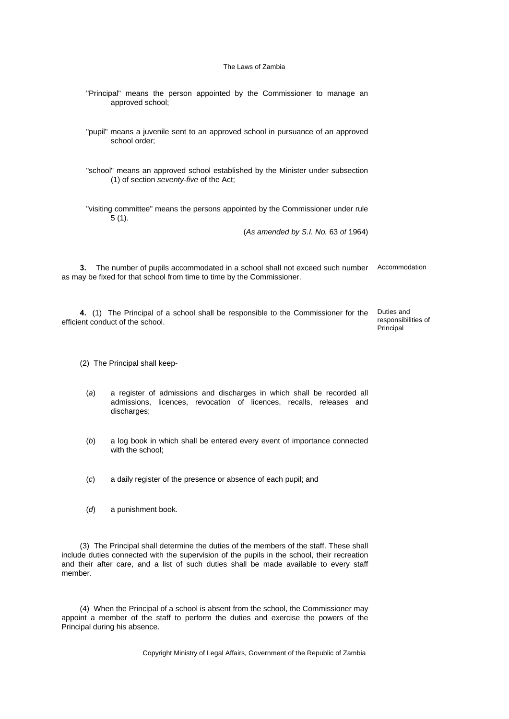- "Principal" means the person appointed by the Commissioner to manage an approved school;
- "pupil" means a juvenile sent to an approved school in pursuance of an approved school order;
- "school" means an approved school established by the Minister under subsection (1) of section *seventy-five* of the Act;
- "visiting committee" means the persons appointed by the Commissioner under rule 5 (1).

(*As amended by S.I. No.* 63 *of* 1964)

**3.** The number of pupils accommodated in a school shall not exceed such number Accommodation as may be fixed for that school from time to time by the Commissioner.

**4.** (1) The Principal of a school shall be responsible to the Commissioner for the efficient conduct of the school. Duties and responsibilities of

Principal

(2) The Principal shall keep-

- (*a*) a register of admissions and discharges in which shall be recorded all admissions, licences, revocation of licences, recalls, releases and discharges;
- (*b*) a log book in which shall be entered every event of importance connected with the school;
- (*c*) a daily register of the presence or absence of each pupil; and
- (*d*) a punishment book.

(3) The Principal shall determine the duties of the members of the staff. These shall include duties connected with the supervision of the pupils in the school, their recreation and their after care, and a list of such duties shall be made available to every staff member.

(4) When the Principal of a school is absent from the school, the Commissioner may appoint a member of the staff to perform the duties and exercise the powers of the Principal during his absence.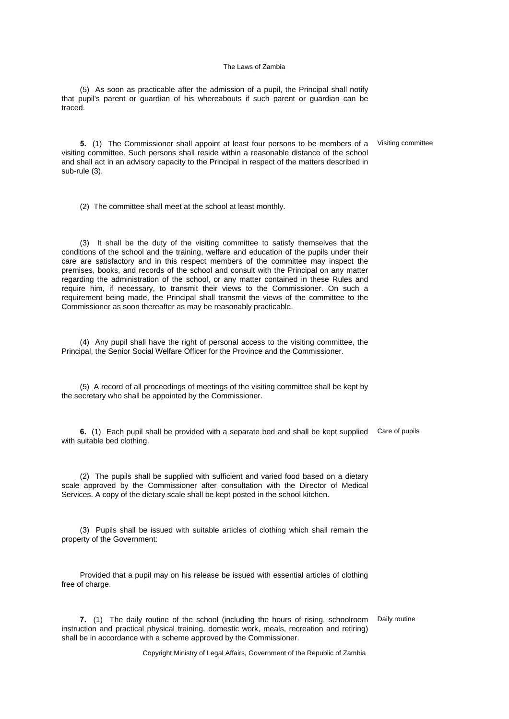(5) As soon as practicable after the admission of a pupil, the Principal shall notify that pupil's parent or guardian of his whereabouts if such parent or guardian can be traced.

**5.** (1) The Commissioner shall appoint at least four persons to be members of a visiting committee. Such persons shall reside within a reasonable distance of the school and shall act in an advisory capacity to the Principal in respect of the matters described in sub-rule (3). Visiting committee

(2) The committee shall meet at the school at least monthly.

(3) It shall be the duty of the visiting committee to satisfy themselves that the conditions of the school and the training, welfare and education of the pupils under their care are satisfactory and in this respect members of the committee may inspect the premises, books, and records of the school and consult with the Principal on any matter regarding the administration of the school, or any matter contained in these Rules and require him, if necessary, to transmit their views to the Commissioner. On such a requirement being made, the Principal shall transmit the views of the committee to the Commissioner as soon thereafter as may be reasonably practicable.

(4) Any pupil shall have the right of personal access to the visiting committee, the Principal, the Senior Social Welfare Officer for the Province and the Commissioner.

(5) A record of all proceedings of meetings of the visiting committee shall be kept by the secretary who shall be appointed by the Commissioner.

**6.** (1) Each pupil shall be provided with a separate bed and shall be kept supplied Care of pupils with suitable bed clothing.

(2) The pupils shall be supplied with sufficient and varied food based on a dietary scale approved by the Commissioner after consultation with the Director of Medical Services. A copy of the dietary scale shall be kept posted in the school kitchen.

(3) Pupils shall be issued with suitable articles of clothing which shall remain the property of the Government:

Provided that a pupil may on his release be issued with essential articles of clothing free of charge.

**7.** (1) The daily routine of the school (including the hours of rising, schoolroom Daily routineinstruction and practical physical training, domestic work, meals, recreation and retiring) shall be in accordance with a scheme approved by the Commissioner.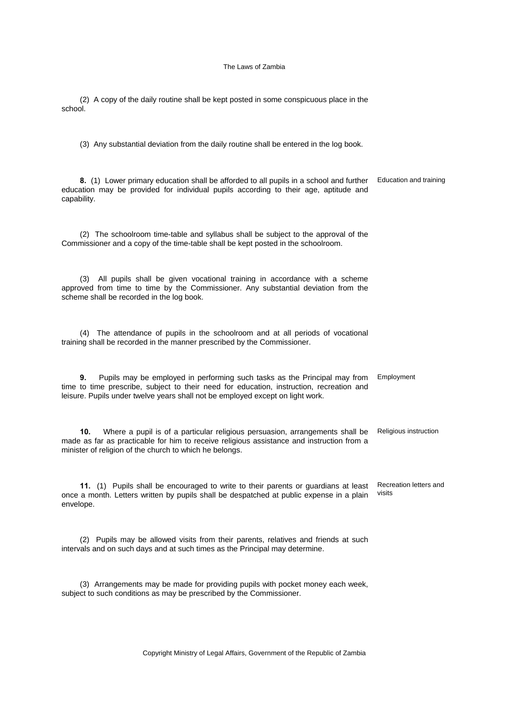(2) A copy of the daily routine shall be kept posted in some conspicuous place in the school.

(3) Any substantial deviation from the daily routine shall be entered in the log book.

**8.** (1) Lower primary education shall be afforded to all pupils in a school and further education may be provided for individual pupils according to their age, aptitude and capability. Education and training

(2) The schoolroom time-table and syllabus shall be subject to the approval of the Commissioner and a copy of the time-table shall be kept posted in the schoolroom.

(3) All pupils shall be given vocational training in accordance with a scheme approved from time to time by the Commissioner. Any substantial deviation from the scheme shall be recorded in the log book.

(4) The attendance of pupils in the schoolroom and at all periods of vocational training shall be recorded in the manner prescribed by the Commissioner.

**9.** Pupils may be employed in performing such tasks as the Principal may from time to time prescribe, subject to their need for education, instruction, recreation and leisure. Pupils under twelve years shall not be employed except on light work. Employment

**10.** Where a pupil is of a particular religious persuasion, arrangements shall be made as far as practicable for him to receive religious assistance and instruction from a minister of religion of the church to which he belongs. Religious instruction

**11.** (1) Pupils shall be encouraged to write to their parents or guardians at least once a month. Letters written by pupils shall be despatched at public expense in a plain envelope. Recreation letters and visits

(2) Pupils may be allowed visits from their parents, relatives and friends at such intervals and on such days and at such times as the Principal may determine.

(3) Arrangements may be made for providing pupils with pocket money each week, subject to such conditions as may be prescribed by the Commissioner.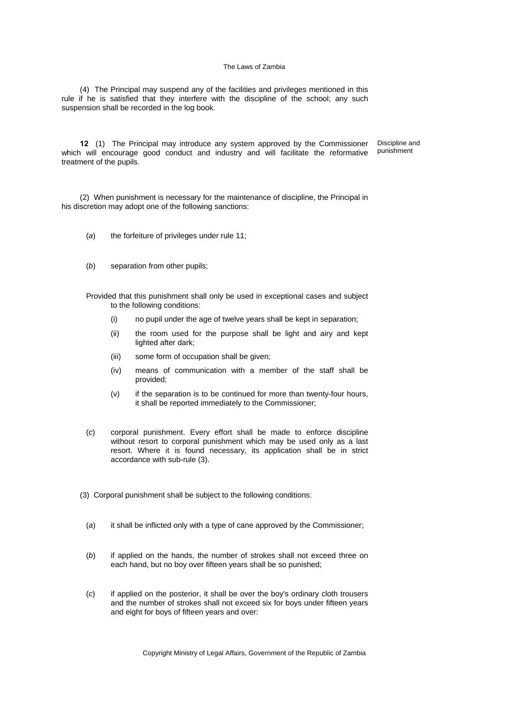(4) The Principal may suspend any of the facilities and privileges mentioned in this rule if he is satisfied that they interfere with the discipline of the school; any such suspension shall be recorded in the log book.

**12** (1) The Principal may introduce any system approved by the Commissioner which will encourage good conduct and industry and will facilitate the reformative treatment of the pupils. Discipline and punishment

(2) When punishment is necessary for the maintenance of discipline, the Principal in his discretion may adopt one of the following sanctions:

- (*a*) the forfeiture of privileges under rule 11;
- (*b*) separation from other pupils;

Provided that this punishment shall only be used in exceptional cases and subject to the following conditions:

- (i) no pupil under the age of twelve years shall be kept in separation;
- (ii) the room used for the purpose shall be light and airy and kept lighted after dark;
- (iii) some form of occupation shall be given;
- (iv) means of communication with a member of the staff shall be provided;
- (v) if the separation is to be continued for more than twenty-four hours, it shall be reported immediately to the Commissioner;
- (*c*) corporal punishment. Every effort shall be made to enforce discipline without resort to corporal punishment which may be used only as a last resort. Where it is found necessary, its application shall be in strict accordance with sub-rule (3).
- (3) Corporal punishment shall be subject to the following conditions:
	- (*a*) it shall be inflicted only with a type of cane approved by the Commissioner;
	- (*b*) if applied on the hands, the number of strokes shall not exceed three on each hand, but no boy over fifteen years shall be so punished;
	- (*c*) if applied on the posterior, it shall be over the boy's ordinary cloth trousers and the number of strokes shall not exceed six for boys under fifteen years and eight for boys of fifteen years and over: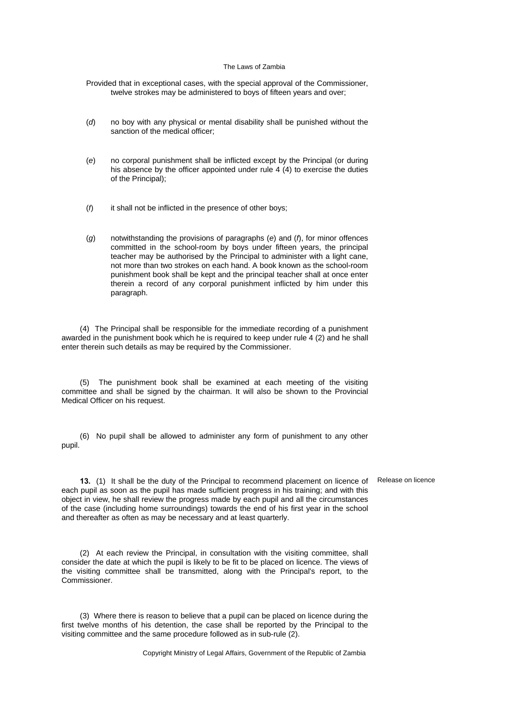Provided that in exceptional cases, with the special approval of the Commissioner, twelve strokes may be administered to boys of fifteen years and over;

- (*d*) no boy with any physical or mental disability shall be punished without the sanction of the medical officer;
- (*e*) no corporal punishment shall be inflicted except by the Principal (or during his absence by the officer appointed under rule 4 (4) to exercise the duties of the Principal);
- (*f*) it shall not be inflicted in the presence of other boys;
- (*g*) notwithstanding the provisions of paragraphs (*e*) and (*f*), for minor offences committed in the school-room by boys under fifteen years, the principal teacher may be authorised by the Principal to administer with a light cane, not more than two strokes on each hand. A book known as the school-room punishment book shall be kept and the principal teacher shall at once enter therein a record of any corporal punishment inflicted by him under this paragraph.

(4) The Principal shall be responsible for the immediate recording of a punishment awarded in the punishment book which he is required to keep under rule 4 (2) and he shall enter therein such details as may be required by the Commissioner.

(5) The punishment book shall be examined at each meeting of the visiting committee and shall be signed by the chairman. It will also be shown to the Provincial Medical Officer on his request.

(6) No pupil shall be allowed to administer any form of punishment to any other pupil.

**13.** (1) It shall be the duty of the Principal to recommend placement on licence of each pupil as soon as the pupil has made sufficient progress in his training; and with this object in view, he shall review the progress made by each pupil and all the circumstances of the case (including home surroundings) towards the end of his first year in the school and thereafter as often as may be necessary and at least quarterly.

(2) At each review the Principal, in consultation with the visiting committee, shall consider the date at which the pupil is likely to be fit to be placed on licence. The views of the visiting committee shall be transmitted, along with the Principal's report, to the Commissioner.

(3) Where there is reason to believe that a pupil can be placed on licence during the first twelve months of his detention, the case shall be reported by the Principal to the visiting committee and the same procedure followed as in sub-rule (2).

Copyright Ministry of Legal Affairs, Government of the Republic of Zambia

Release on licence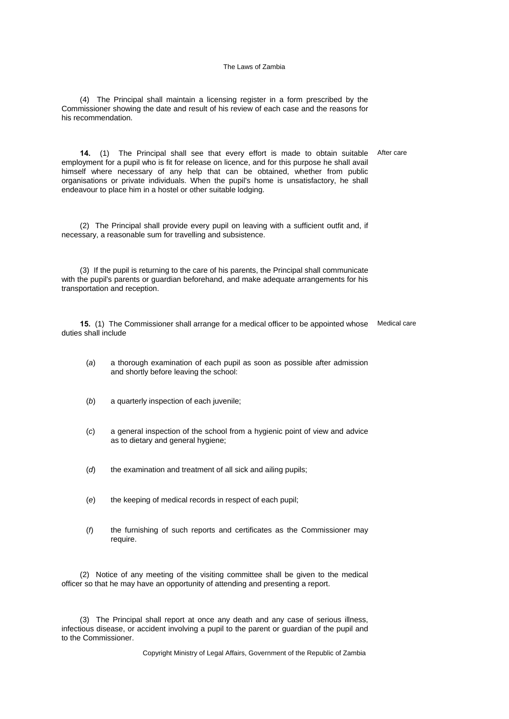(4) The Principal shall maintain a licensing register in a form prescribed by the Commissioner showing the date and result of his review of each case and the reasons for his recommendation.

**14.** (1) The Principal shall see that every effort is made to obtain suitable employment for a pupil who is fit for release on licence, and for this purpose he shall avail himself where necessary of any help that can be obtained, whether from public organisations or private individuals. When the pupil's home is unsatisfactory, he shall endeavour to place him in a hostel or other suitable lodging. After care

(2) The Principal shall provide every pupil on leaving with a sufficient outfit and, if necessary, a reasonable sum for travelling and subsistence.

(3) If the pupil is returning to the care of his parents, the Principal shall communicate with the pupil's parents or guardian beforehand, and make adequate arrangements for his transportation and reception.

**15.** (1) The Commissioner shall arrange for a medical officer to be appointed whose Medical care duties shall include

- (*a*) a thorough examination of each pupil as soon as possible after admission and shortly before leaving the school:
- (*b*) a quarterly inspection of each juvenile;
- (*c*) a general inspection of the school from a hygienic point of view and advice as to dietary and general hygiene;
- (*d*) the examination and treatment of all sick and ailing pupils;
- (*e*) the keeping of medical records in respect of each pupil;
- (*f*) the furnishing of such reports and certificates as the Commissioner may require.

(2) Notice of any meeting of the visiting committee shall be given to the medical officer so that he may have an opportunity of attending and presenting a report.

(3) The Principal shall report at once any death and any case of serious illness, infectious disease, or accident involving a pupil to the parent or guardian of the pupil and to the Commissioner.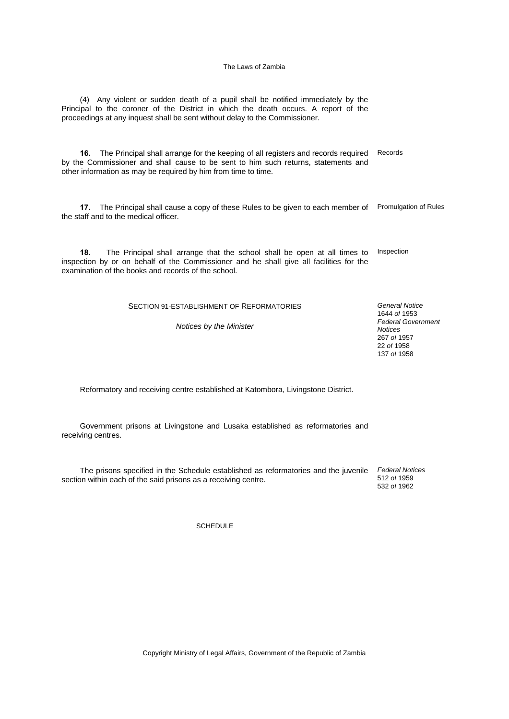(4) Any violent or sudden death of a pupil shall be notified immediately by the Principal to the coroner of the District in which the death occurs. A report of the proceedings at any inquest shall be sent without delay to the Commissioner.

**16.** The Principal shall arrange for the keeping of all registers and records required by the Commissioner and shall cause to be sent to him such returns, statements and other information as may be required by him from time to time. Records

**17.** The Principal shall cause a copy of these Rules to be given to each member of Promulgation of Rules the staff and to the medical officer.

**18.** The Principal shall arrange that the school shall be open at all times to inspection by or on behalf of the Commissioner and he shall give all facilities for the examination of the books and records of the school. Inspection

SECTION 91-ESTABLISHMENT OF REFORMATORIES

*Notices by the Minister* 

*General Notice* 1644 *of* 1953 *Federal Government Notices* 267 *of* 1957 22 *of* 1958 137 *of* 1958

Reformatory and receiving centre established at Katombora, Livingstone District.

Government prisons at Livingstone and Lusaka established as reformatories and receiving centres.

The prisons specified in the Schedule established as reformatories and the juvenile section within each of the said prisons as a receiving centre. *Federal Notices* 512 *of* 1959

532 *of* 1962

SCHEDULE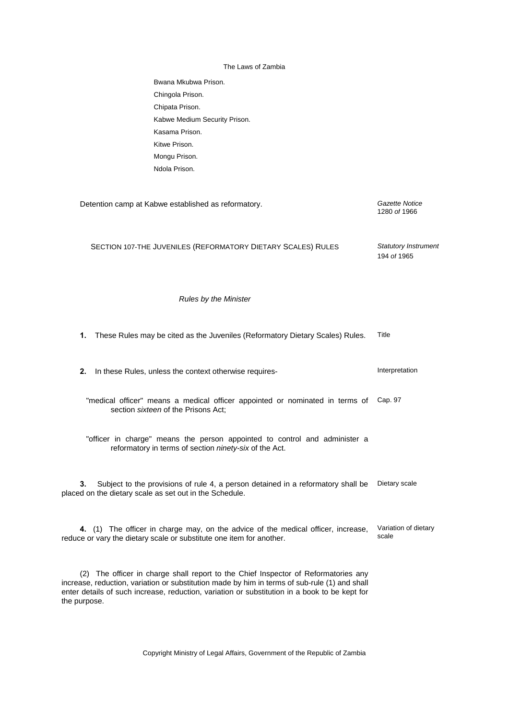| The Laws of Zambia |  |
|--------------------|--|
|--------------------|--|

| Bwana Mkubwa Prison.          |
|-------------------------------|
| Chingola Prison.              |
| Chipata Prison.               |
| Kabwe Medium Security Prison. |
| Kasama Prison.                |
| Kitwe Prison.                 |
| Mongu Prison.                 |
| Ndola Prison.                 |
|                               |

| Detention camp at Kabwe established as reformatory.                                                                                                                                                                                                                                                  | Gazette Notice<br>1280 of 1966             |  |  |
|------------------------------------------------------------------------------------------------------------------------------------------------------------------------------------------------------------------------------------------------------------------------------------------------------|--------------------------------------------|--|--|
| SECTION 107-THE JUVENILES (REFORMATORY DIETARY SCALES) RULES                                                                                                                                                                                                                                         | <b>Statutory Instrument</b><br>194 of 1965 |  |  |
| <b>Rules by the Minister</b>                                                                                                                                                                                                                                                                         |                                            |  |  |
| 1.<br>These Rules may be cited as the Juveniles (Reformatory Dietary Scales) Rules.                                                                                                                                                                                                                  | Title                                      |  |  |
| 2.<br>In these Rules, unless the context otherwise requires-                                                                                                                                                                                                                                         | Interpretation                             |  |  |
| "medical officer" means a medical officer appointed or nominated in terms of<br>section sixteen of the Prisons Act;                                                                                                                                                                                  | Cap. 97                                    |  |  |
| "officer in charge" means the person appointed to control and administer a<br>reformatory in terms of section ninety-six of the Act.                                                                                                                                                                 |                                            |  |  |
| Subject to the provisions of rule 4, a person detained in a reformatory shall be<br>3.<br>placed on the dietary scale as set out in the Schedule.                                                                                                                                                    | Dietary scale                              |  |  |
| 4. (1) The officer in charge may, on the advice of the medical officer, increase,<br>reduce or vary the dietary scale or substitute one item for another.                                                                                                                                            | Variation of dietary<br>scale              |  |  |
| (2) The officer in charge shall report to the Chief Inspector of Reformatories any<br>increase, reduction, variation or substitution made by him in terms of sub-rule (1) and shall<br>enter details of such increase, reduction, variation or substitution in a book to be kept for<br>the purpose. |                                            |  |  |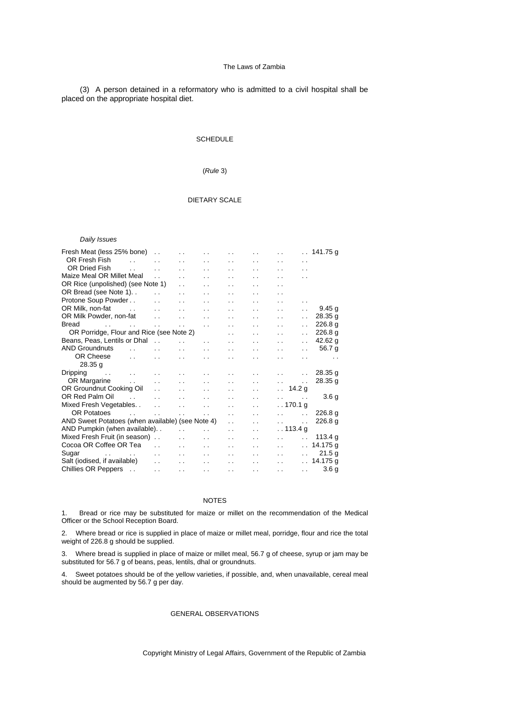(3) A person detained in a reformatory who is admitted to a civil hospital shall be placed on the appropriate hospital diet.

### **SCHEDULE**

### (*Rule* 3)

### DIETARY SCALE

#### *Daily Issues*

| Fresh Meat (less 25% bone)                                         |                          | $\ddot{\phantom{0}}$ | $\ddot{\phantom{0}}$ |                      | . .                  | $\ddot{\phantom{a}}$ | $\ddot{\phantom{0}}$                             |                      | $\therefore$ 141.75 g |
|--------------------------------------------------------------------|--------------------------|----------------------|----------------------|----------------------|----------------------|----------------------|--------------------------------------------------|----------------------|-----------------------|
| OR Fresh Fish                                                      | $\ddot{\phantom{0}}$     | $\ddot{\phantom{0}}$ | . .                  | . .                  | . .                  | $\sim$ $\sim$        | $\ddot{\phantom{0}}$                             | $\ddot{\phantom{0}}$ |                       |
| <b>OR Dried Fish</b>                                               | $\sim$                   | $\ddot{\phantom{0}}$ | $\ddot{\phantom{0}}$ | $\ddot{\phantom{0}}$ | $\ddot{\phantom{0}}$ | $\ddot{\phantom{0}}$ | $\ddot{\phantom{0}}$                             | $\ddot{\phantom{0}}$ |                       |
| Maize Meal OR Millet Meal                                          |                          | $\ddot{\phantom{0}}$ | $\ddot{\phantom{0}}$ | $\ddot{\phantom{0}}$ | . .                  | . .                  | $\ddot{\phantom{0}}$                             | $\ddot{\phantom{0}}$ |                       |
| OR Rice (unpolished) (see Note 1)                                  |                          |                      | . .                  | . .                  | . .                  | . .                  | $\ddot{\phantom{0}}$                             |                      |                       |
| OR Bread (see Note 1)                                              |                          | $\ddot{\phantom{0}}$ | $\cdot$ $\cdot$      | $\ddot{\phantom{0}}$ | $\ddot{\phantom{0}}$ | $\cdot$ .            | $\ddotsc$                                        |                      |                       |
| Protone Soup Powder                                                |                          | $\ddot{\phantom{a}}$ | $\ddot{\phantom{0}}$ | $\ddot{\phantom{0}}$ | $\ddot{\phantom{0}}$ | $\cdot$ .            | $\ddotsc$                                        | $\ddot{\phantom{0}}$ |                       |
| OR Milk, non-fat<br>$\sim$ $\sim$ $\sim$                           |                          | $\ddot{\phantom{0}}$ | . .                  | $\ddot{\phantom{0}}$ | . .                  | . .                  | $\ddot{\phantom{0}}$                             | $\ddot{\phantom{a}}$ | 9.45q                 |
| OR Milk Powder, non-fat                                            |                          | $\ddot{\phantom{0}}$ | . .                  | $\ddot{\phantom{0}}$ | $\ddot{\phantom{a}}$ | $\ddot{\phantom{0}}$ | $\ddot{\phantom{0}}$                             | . .                  | 28.35 g               |
| <b>Bread</b><br>$\mathbf{r}$ , and $\mathbf{r}$ , and $\mathbf{r}$ |                          | $\ddot{\phantom{a}}$ | $\ddot{\phantom{a}}$ | $\ddot{\phantom{0}}$ | $\ddot{\phantom{0}}$ | $\ddot{\phantom{0}}$ | $\ddot{\phantom{0}}$                             | . .                  | 226.8 <sub>a</sub>    |
| OR Porridge, Flour and Rice (see Note 2)                           |                          |                      |                      |                      | $\ddot{\phantom{0}}$ | $\ddot{\phantom{a}}$ | $\ddot{\phantom{0}}$                             | $\ddot{\phantom{0}}$ | 226.8 <sub>g</sub>    |
| Beans, Peas, Lentils or Dhal                                       |                          |                      | $\ddot{\phantom{0}}$ | $\ddot{\phantom{0}}$ | $\ddot{\phantom{a}}$ | $\ddot{\phantom{a}}$ | $\ddot{\phantom{0}}$                             | . .                  | 42.62 $q$             |
| <b>AND Groundnuts</b>                                              | $\ddot{\phantom{0}}$     | $\ddot{\phantom{0}}$ | $\ddot{\phantom{a}}$ | . .                  | $\ddot{\phantom{a}}$ | $\sim$               | $\ddot{\phantom{0}}$                             | $\ddot{\phantom{0}}$ | 56.7 g                |
| OR Cheese                                                          | $\ddot{\phantom{a}}$     | $\ddot{\phantom{0}}$ | $\ddot{\phantom{0}}$ | $\ddot{\phantom{0}}$ | $\ddot{\phantom{0}}$ | $\ddot{\phantom{0}}$ | $\ddot{\phantom{0}}$                             | $\ddot{\phantom{0}}$ | $\ddot{\phantom{0}}$  |
| 28.35 <sub>q</sub>                                                 |                          |                      |                      |                      |                      |                      |                                                  |                      |                       |
| Dripping<br><b>Service Control</b>                                 | <b>Contract Contract</b> |                      | $\ddot{\phantom{a}}$ | $\ddot{\phantom{0}}$ |                      | $\ddot{\phantom{a}}$ | $\ddot{\phantom{0}}$                             | $\sim$ $\sim$        | 28.35 <sub>q</sub>    |
| OR Margarine                                                       | <b>Contract</b>          | $\ddot{\phantom{a}}$ | $\ddot{\phantom{a}}$ | $\ddot{\phantom{0}}$ | $\ddot{\phantom{a}}$ | $\ddot{\phantom{0}}$ | $\sim 10^{-11}$                                  | $\ddotsc$            | 28.35 <sub>q</sub>    |
| OR Groundnut Cooking Oil                                           |                          | $\ddotsc$            | $\cdot$ $\cdot$      |                      | $\ddot{\phantom{0}}$ | $\ddot{\phantom{0}}$ | $\therefore$ 14.2 g                              |                      |                       |
| OR Red Palm Oil                                                    | $\sim 10^{-10}$          | $\ddot{\phantom{a}}$ | $\ddot{\phantom{0}}$ | . .                  | . .                  | $\ddot{\phantom{a}}$ | $\ddot{\phantom{0}}$<br><b>Contract Contract</b> |                      | 3.6 <sub>q</sub>      |
| Mixed Fresh Vegetables                                             |                          | $\ddot{\phantom{a}}$ | $\ddot{\phantom{0}}$ | $\ddot{\phantom{0}}$ | $\ddot{\phantom{0}}$ | $\ddot{\phantom{0}}$ | . . 170.1 g                                      |                      |                       |
| <b>OR Potatoes</b>                                                 |                          | $\ddot{\phantom{a}}$ | $\ddot{\phantom{0}}$ | $\ddot{\phantom{0}}$ | $\ddot{\phantom{0}}$ | $\ddot{\phantom{0}}$ | $\ddot{\phantom{0}}$                             | $\ddot{\phantom{0}}$ | 226.8 <sub>q</sub>    |
| AND Sweet Potatoes (when available) (see Note 4)                   |                          |                      |                      |                      | $\ddot{\phantom{0}}$ | $\ddot{\phantom{a}}$ | $\ddot{\phantom{a}}$                             | $\ddot{\phantom{0}}$ | 226.8 <sub>q</sub>    |
| AND Pumpkin (when available)                                       |                          |                      | $\ddot{\phantom{0}}$ | $\ddot{\phantom{0}}$ | $\ddot{\phantom{a}}$ | $\ddot{\phantom{a}}$ | . . 113.4 g                                      |                      |                       |
| Mixed Fresh Fruit (in season)                                      |                          |                      | $\ddot{\phantom{0}}$ | $\ddot{\phantom{0}}$ | . .                  | $\sim$               | $\ddot{\phantom{0}}$                             | $\ddot{\phantom{0}}$ | 113.4 g               |
| Cocoa OR Coffee OR Tea                                             |                          | $\ddot{\phantom{0}}$ | $\ddot{\phantom{0}}$ | . .                  | . .                  | $\ddot{\phantom{a}}$ | $\ddot{\phantom{a}}$                             | $\ddot{\phantom{a}}$ | 14.175 g              |
| Sugar<br>the contract of the contract of                           |                          | $\ddot{\phantom{0}}$ | $\ddot{\phantom{a}}$ | $\cdot$ $\cdot$      | $\cdot$ $\cdot$      | $\ddot{\phantom{0}}$ | $\ddot{\phantom{0}}$                             | $\sim$ $\sim$        | 21.5 <sub>q</sub>     |
| Salt (iodised, if available)                                       |                          | $\ddot{\phantom{0}}$ | $\cdot$ $\cdot$      | $\ddot{\phantom{0}}$ | $\ddot{\phantom{a}}$ | $\sim$ $\sim$        | $\ddot{\phantom{0}}$                             |                      | . 14.175 g            |
| Chillies OR Peppers                                                |                          | $\ddot{\phantom{0}}$ | $\ddot{\phantom{a}}$ | $\ddot{\phantom{0}}$ | $\ddot{\phantom{a}}$ | $\sim$ $\sim$        | $\ddot{\phantom{0}}$                             | <b>College</b>       | 3.6 <sub>q</sub>      |
|                                                                    |                          |                      |                      |                      |                      |                      |                                                  |                      |                       |

#### NOTES

1. Bread or rice may be substituted for maize or millet on the recommendation of the Medical Officer or the School Reception Board.

2. Where bread or rice is supplied in place of maize or millet meal, porridge, flour and rice the total weight of 226.8 g should be supplied.

3. Where bread is supplied in place of maize or millet meal, 56.7 g of cheese, syrup or jam may be substituted for 56.7 g of beans, peas, lentils, dhal or groundnuts.

4. Sweet potatoes should be of the yellow varieties, if possible, and, when unavailable, cereal meal should be augmented by 56.7 g per day.

### GENERAL OBSERVATIONS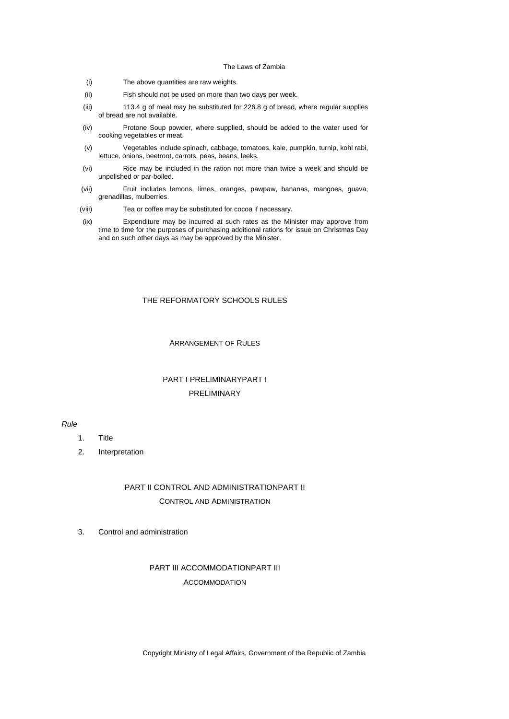- (i) The above quantities are raw weights.
- (ii) Fish should not be used on more than two days per week.
- (iii) 113.4 g of meal may be substituted for 226.8 g of bread, where regular supplies of bread are not available.
- (iv) Protone Soup powder, where supplied, should be added to the water used for cooking vegetables or meat.
- (v) Vegetables include spinach, cabbage, tomatoes, kale, pumpkin, turnip, kohl rabi, lettuce, onions, beetroot, carrots, peas, beans, leeks.
- (vi) Rice may be included in the ration not more than twice a week and should be unpolished or par-boiled.
- (vii) Fruit includes lemons, limes, oranges, pawpaw, bananas, mangoes, guava, grenadillas, mulberries.
- (viii) Tea or coffee may be substituted for cocoa if necessary.
- (ix) Expenditure may be incurred at such rates as the Minister may approve from time to time for the purposes of purchasing additional rations for issue on Christmas Day and on such other days as may be approved by the Minister.

### THE REFORMATORY SCHOOLS RULES

### ARRANGEMENT OF RULES

# PART I PRELIMINARYPART I PRELIMINARY

### *Rule*

- 1. Title
- 2. Interpretation

# PART II CONTROL AND ADMINISTRATIONPART II CONTROL AND ADMINISTRATION

3. Control and administration

# PART III ACCOMMODATIONPART III ACCOMMODATION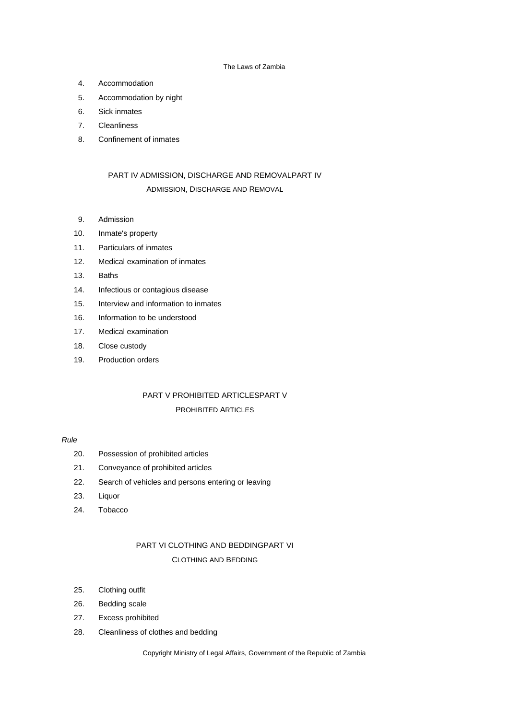- 4. Accommodation
- 5. Accommodation by night
- 6. Sick inmates
- 7. Cleanliness
- 8. Confinement of inmates

# PART IV ADMISSION, DISCHARGE AND REMOVALPART IV

### ADMISSION, DISCHARGE AND REMOVAL

- 9. Admission
- 10. Inmate's property
- 11. Particulars of inmates
- 12. Medical examination of inmates
- 13. Baths
- 14. Infectious or contagious disease
- 15. Interview and information to inmates
- 16. Information to be understood
- 17. Medical examination
- 18. Close custody
- 19. Production orders

# PART V PROHIBITED ARTICLESPART V PROHIBITED ARTICLES

### *Rule*

- 20. Possession of prohibited articles
- 21. Conveyance of prohibited articles
- 22. Search of vehicles and persons entering or leaving
- 23. Liquor
- 24. Tobacco

# PART VI CLOTHING AND BEDDINGPART VI CLOTHING AND BEDDING

- 25. Clothing outfit
- 26. Bedding scale
- 27. Excess prohibited
- 28. Cleanliness of clothes and bedding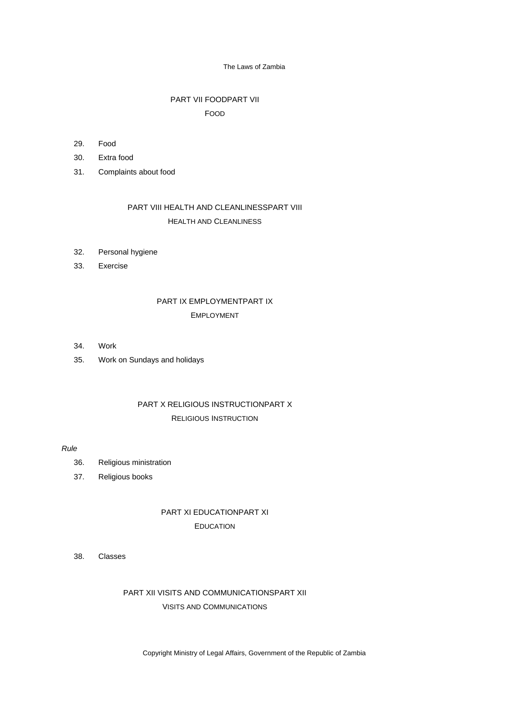# PART VII FOODPART VII FOOD

- 29. Food
- 30. Extra food
- 31. Complaints about food

# PART VIII HEALTH AND CLEANLINESSPART VIII HEALTH AND CLEANLINESS

- 32. Personal hygiene
- 33. Exercise

# PART IX EMPLOYMENTPART IX EMPLOYMENT

- 34. Work
- 35. Work on Sundays and holidays

# PART X RELIGIOUS INSTRUCTIONPART X RELIGIOUS INSTRUCTION

### *Rule*

- 36. Religious ministration
- 37. Religious books

# PART XI EDUCATIONPART XI EDUCATION

38. Classes

# PART XII VISITS AND COMMUNICATIONSPART XII VISITS AND COMMUNICATIONS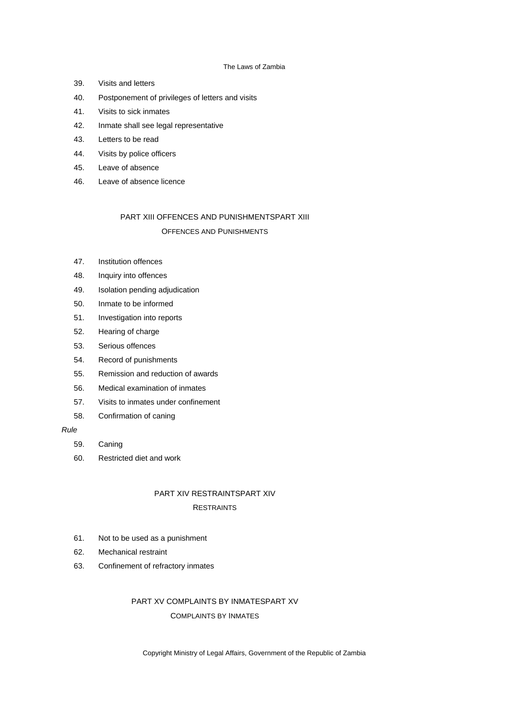- 39. Visits and letters
- 40. Postponement of privileges of letters and visits
- 41. Visits to sick inmates
- 42. Inmate shall see legal representative
- 43. Letters to be read
- 44. Visits by police officers
- 45. Leave of absence
- 46. Leave of absence licence

# PART XIII OFFENCES AND PUNISHMENTSPART XIII OFFENCES AND PUNISHMENTS

- 47. Institution offences
- 48. Inquiry into offences
- 49. Isolation pending adjudication
- 50. Inmate to be informed
- 51. Investigation into reports
- 52. Hearing of charge
- 53. Serious offences
- 54. Record of punishments
- 55. Remission and reduction of awards
- 56. Medical examination of inmates
- 57. Visits to inmates under confinement
- 58. Confirmation of caning

# *Rule*

- 59. Caning
- 60. Restricted diet and work

# PART XIV RESTRAINTSPART XIV

## **RESTRAINTS**

- 61. Not to be used as a punishment
- 62. Mechanical restraint
- 63. Confinement of refractory inmates

# PART XV COMPLAINTS BY INMATESPART XV COMPLAINTS BY INMATES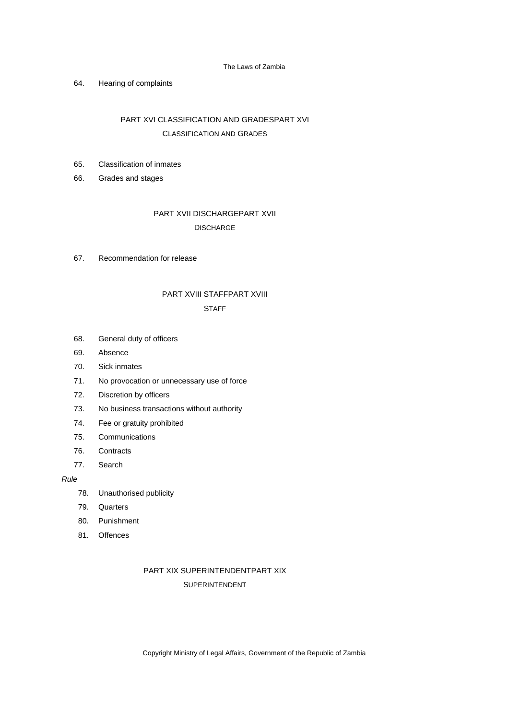## 64. Hearing of complaints

# PART XVI CLASSIFICATION AND GRADESPART XVI CLASSIFICATION AND GRADES

# 65. Classification of inmates

66. Grades and stages

# PART XVII DISCHARGEPART XVII **DISCHARGE**

67. Recommendation for release

# PART XVIII STAFFPART XVIII

## **STAFF**

- 68. General duty of officers
- 69. Absence
- 70. Sick inmates
- 71. No provocation or unnecessary use of force
- 72. Discretion by officers
- 73. No business transactions without authority
- 74. Fee or gratuity prohibited
- 75. Communications
- 76. Contracts
- 77. Search

## *Rule*

- 78. Unauthorised publicity
- 79. Quarters
- 80. Punishment
- 81. Offences

# PART XIX SUPERINTENDENTPART XIX

# SUPERINTENDENT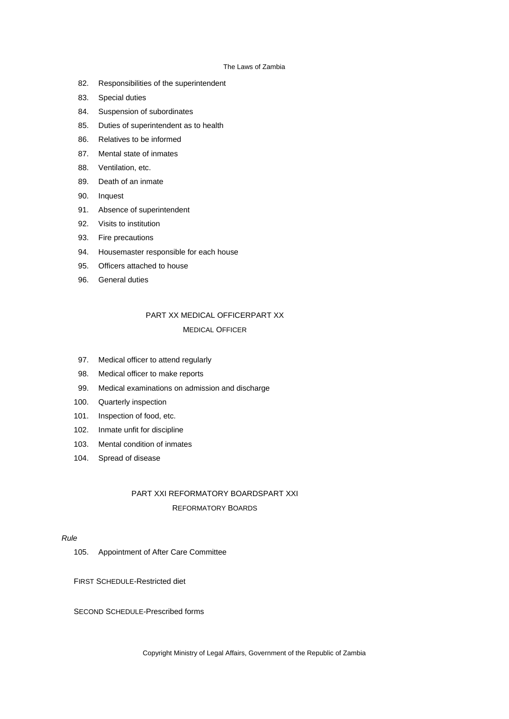- 82. Responsibilities of the superintendent
- 83. Special duties
- 84. Suspension of subordinates
- 85. Duties of superintendent as to health
- 86. Relatives to be informed
- 87. Mental state of inmates
- 88. Ventilation, etc.
- 89. Death of an inmate
- 90. Inquest
- 91. Absence of superintendent
- 92. Visits to institution
- 93. Fire precautions
- 94. Housemaster responsible for each house
- 95. Officers attached to house
- 96. General duties

# PART XX MEDICAL OFFICERPART XX MEDICAL OFFICER

- 97. Medical officer to attend regularly
- 98. Medical officer to make reports
- 99. Medical examinations on admission and discharge
- 100. Quarterly inspection
- 101. Inspection of food, etc.
- 102. Inmate unfit for discipline
- 103. Mental condition of inmates
- 104. Spread of disease

# PART XXI REFORMATORY BOARDSPART XXI REFORMATORY BOARDS

# *Rule*

105. Appointment of After Care Committee

FIRST SCHEDULE-Restricted diet

SECOND SCHEDULE-Prescribed forms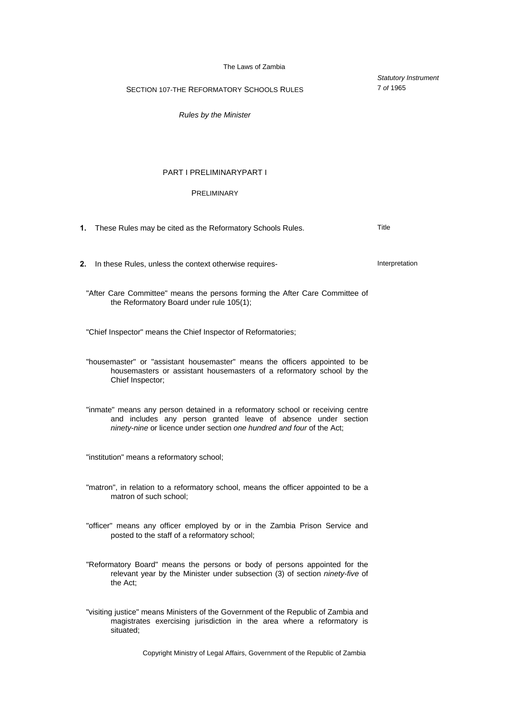*Statutory Instrument*

7 *of* 1965

SECTION 107-THE REFORMATORY SCHOOLS RULES

*Rules by the Minister*

## PART I PRELIMINARYPART I

## PRELIMINARY

**1.** These Rules may be cited as the Reformatory Schools Rules. Title **2.** In these Rules, unless the context otherwise requires-<br> **2.** Interpretation "After Care Committee" means the persons forming the After Care Committee of the Reformatory Board under rule 105(1); "Chief Inspector" means the Chief Inspector of Reformatories; "housemaster" or "assistant housemaster" means the officers appointed to be housemasters or assistant housemasters of a reformatory school by the Chief Inspector; "inmate" means any person detained in a reformatory school or receiving centre and includes any person granted leave of absence under section *ninety-nine* or licence under section *one hundred and four* of the Act; "institution" means a reformatory school; "matron", in relation to a reformatory school, means the officer appointed to be a matron of such school; "officer" means any officer employed by or in the Zambia Prison Service and posted to the staff of a reformatory school; "Reformatory Board" means the persons or body of persons appointed for the relevant year by the Minister under subsection (3) of section *ninety-five* of the Act; "visiting justice" means Ministers of the Government of the Republic of Zambia and magistrates exercising jurisdiction in the area where a reformatory is situated;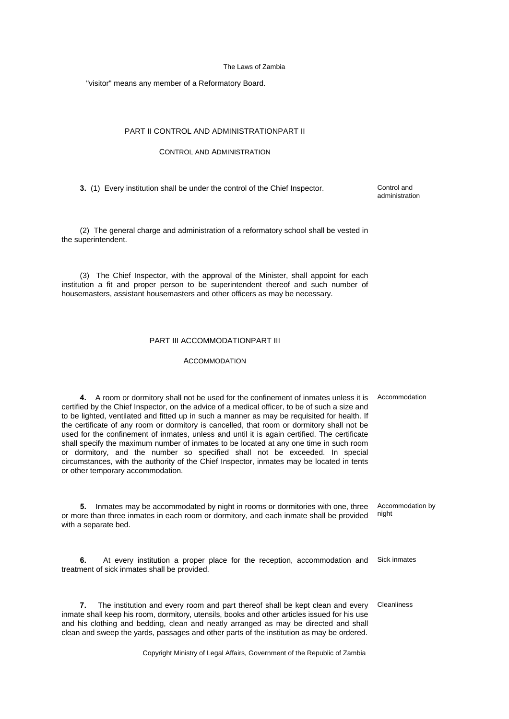"visitor" means any member of a Reformatory Board.

## PART II CONTROL AND ADMINISTRATIONPART II

## CONTROL AND ADMINISTRATION

**3.** (1) Every institution shall be under the control of the Chief Inspector. Control and

administration

(2) The general charge and administration of a reformatory school shall be vested in the superintendent.

(3) The Chief Inspector, with the approval of the Minister, shall appoint for each institution a fit and proper person to be superintendent thereof and such number of housemasters, assistant housemasters and other officers as may be necessary.

## PART III ACCOMMODATIONPART III

## **ACCOMMODATION**

4. A room or dormitory shall not be used for the confinement of inmates unless it is Accommodation certified by the Chief Inspector, on the advice of a medical officer, to be of such a size and to be lighted, ventilated and fitted up in such a manner as may be requisited for health. If the certificate of any room or dormitory is cancelled, that room or dormitory shall not be used for the confinement of inmates, unless and until it is again certified. The certificate shall specify the maximum number of inmates to be located at any one time in such room or dormitory, and the number so specified shall not be exceeded. In special circumstances, with the authority of the Chief Inspector, inmates may be located in tents or other temporary accommodation.

**5.** Inmates may be accommodated by night in rooms or dormitories with one, three or more than three inmates in each room or dormitory, and each inmate shall be provided with a separate bed. Accommodation by night

**6.** At every institution a proper place for the reception, accommodation and treatment of sick inmates shall be provided. Sick inmates

**7.** The institution and every room and part thereof shall be kept clean and every inmate shall keep his room, dormitory, utensils, books and other articles issued for his use and his clothing and bedding, clean and neatly arranged as may be directed and shall clean and sweep the yards, passages and other parts of the institution as may be ordered. **Cleanliness**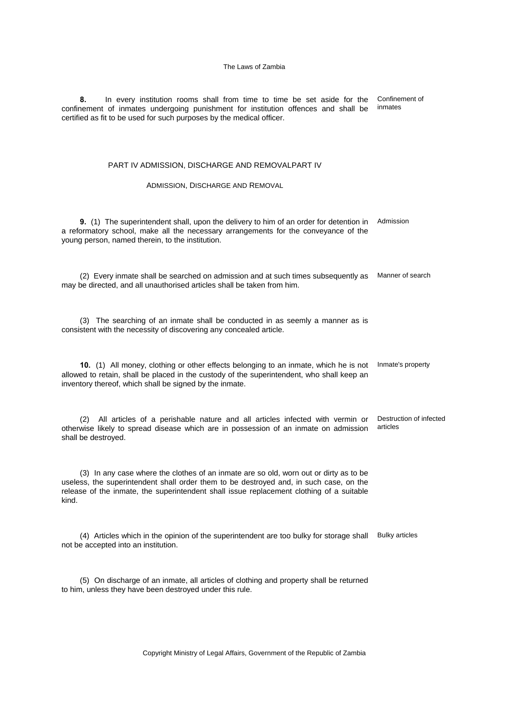**8.** In every institution rooms shall from time to time be set aside for the confinement of inmates undergoing punishment for institution offences and shall be certified as fit to be used for such purposes by the medical officer. Confinement of inmates

#### PART IV ADMISSION, DISCHARGE AND REMOVALPART IV

#### ADMISSION, DISCHARGE AND REMOVAL

**9.** (1) The superintendent shall, upon the delivery to him of an order for detention in a reformatory school, make all the necessary arrangements for the conveyance of the young person, named therein, to the institution. Admission

(2) Every inmate shall be searched on admission and at such times subsequently as Manner of search may be directed, and all unauthorised articles shall be taken from him.

(3) The searching of an inmate shall be conducted in as seemly a manner as is consistent with the necessity of discovering any concealed article.

**10.** (1) All money, clothing or other effects belonging to an inmate, which he is not allowed to retain, shall be placed in the custody of the superintendent, who shall keep an inventory thereof, which shall be signed by the inmate. Inmate's property

(2) All articles of a perishable nature and all articles infected with vermin or otherwise likely to spread disease which are in possession of an inmate on admission shall be destroyed. Destruction of infected articles

(3) In any case where the clothes of an inmate are so old, worn out or dirty as to be useless, the superintendent shall order them to be destroyed and, in such case, on the release of the inmate, the superintendent shall issue replacement clothing of a suitable kind.

(4) Articles which in the opinion of the superintendent are too bulky for storage shall Bulky articles not be accepted into an institution.

(5) On discharge of an inmate, all articles of clothing and property shall be returned to him, unless they have been destroyed under this rule.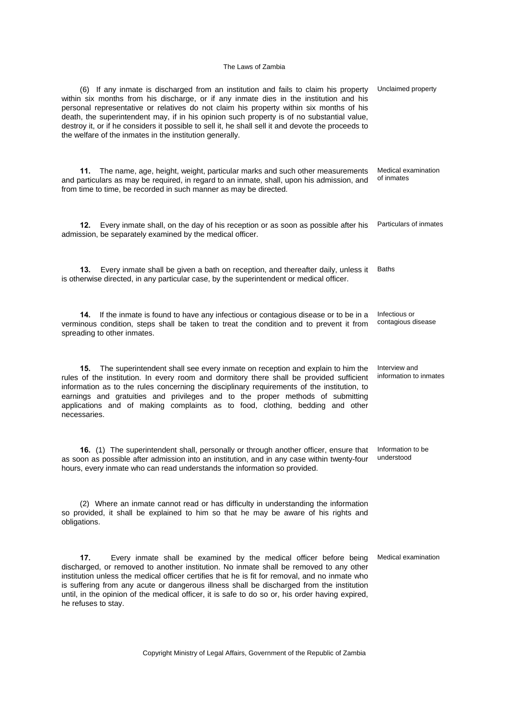| (6) If any inmate is discharged from an institution and fails to claim his property<br>within six months from his discharge, or if any inmate dies in the institution and his<br>personal representative or relatives do not claim his property within six months of his<br>death, the superintendent may, if in his opinion such property is of no substantial value,<br>destroy it, or if he considers it possible to sell it, he shall sell it and devote the proceeds to<br>the welfare of the inmates in the institution generally. | Unclaimed property                      |
|------------------------------------------------------------------------------------------------------------------------------------------------------------------------------------------------------------------------------------------------------------------------------------------------------------------------------------------------------------------------------------------------------------------------------------------------------------------------------------------------------------------------------------------|-----------------------------------------|
| The name, age, height, weight, particular marks and such other measurements<br>11.<br>and particulars as may be required, in regard to an inmate, shall, upon his admission, and<br>from time to time, be recorded in such manner as may be directed.                                                                                                                                                                                                                                                                                    | Medical examination<br>of inmates       |
| 12.<br>Every inmate shall, on the day of his reception or as soon as possible after his<br>admission, be separately examined by the medical officer.                                                                                                                                                                                                                                                                                                                                                                                     | Particulars of inmates                  |
| Every inmate shall be given a bath on reception, and thereafter daily, unless it<br>13.<br>is otherwise directed, in any particular case, by the superintendent or medical officer.                                                                                                                                                                                                                                                                                                                                                      | <b>Baths</b>                            |
| If the inmate is found to have any infectious or contagious disease or to be in a<br>14.<br>verminous condition, steps shall be taken to treat the condition and to prevent it from<br>spreading to other inmates.                                                                                                                                                                                                                                                                                                                       | Infectious or<br>contagious disease     |
| The superintendent shall see every inmate on reception and explain to him the<br>15.<br>rules of the institution. In every room and dormitory there shall be provided sufficient<br>information as to the rules concerning the disciplinary requirements of the institution, to<br>earnings and gratuities and privileges and to the proper methods of submitting<br>applications and of making complaints as to food, clothing, bedding and other<br>necessaries.                                                                       | Interview and<br>information to inmates |
| 16. (1) The superintendent shall, personally or through another officer, ensure that<br>as soon as possible after admission into an institution, and in any case within twenty-four<br>hours, every inmate who can read understands the information so provided.                                                                                                                                                                                                                                                                         | Information to be<br>understood         |
| (2) Where an inmate cannot read or has difficulty in understanding the information<br>so provided, it shall be explained to him so that he may be aware of his rights and<br>obligations.                                                                                                                                                                                                                                                                                                                                                |                                         |
| 17.<br>Every inmate shall be examined by the medical officer before being<br>discharged, or removed to another institution. No inmate shall be removed to any other<br>institution unless the medical officer certifies that he is fit for removal, and no inmate who<br>is suffering from any acute or dangerous illness shall be discharged from the institution                                                                                                                                                                       | Medical examination                     |

Copyright Ministry of Legal Affairs, Government of the Republic of Zambia

until, in the opinion of the medical officer, it is safe to do so or, his order having expired,

he refuses to stay.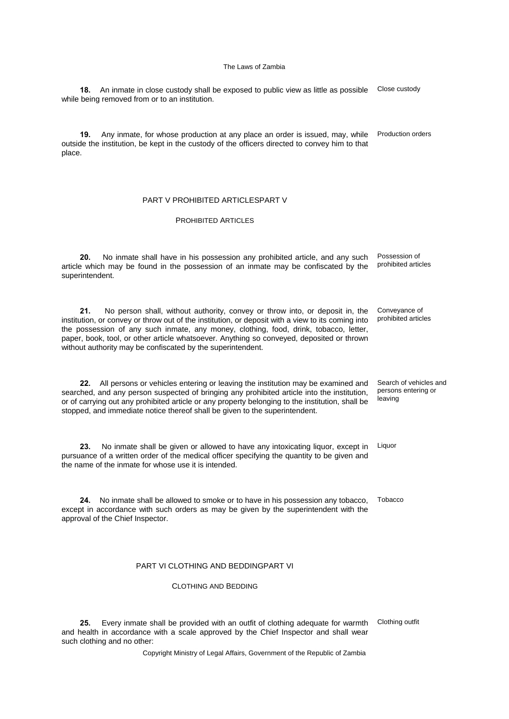18. An inmate in close custody shall be exposed to public view as little as possible Close custody while being removed from or to an institution.

**19.** Any inmate, for whose production at any place an order is issued, may, while outside the institution, be kept in the custody of the officers directed to convey him to that place. Production orders

## PART V PROHIBITED ARTICLESPART V

## PROHIBITED ARTICLES

**20.** No inmate shall have in his possession any prohibited article, and any such article which may be found in the possession of an inmate may be confiscated by the superintendent. Possession of prohibited articles

**21.** No person shall, without authority, convey or throw into, or deposit in, the institution, or convey or throw out of the institution, or deposit with a view to its coming into the possession of any such inmate, any money, clothing, food, drink, tobacco, letter, paper, book, tool, or other article whatsoever. Anything so conveyed, deposited or thrown without authority may be confiscated by the superintendent. Conveyance of prohibited articles

**22.** All persons or vehicles entering or leaving the institution may be examined and searched, and any person suspected of bringing any prohibited article into the institution, or of carrying out any prohibited article or any property belonging to the institution, shall be stopped, and immediate notice thereof shall be given to the superintendent.

Search of vehicles and persons entering or

leaving

**23.** No inmate shall be given or allowed to have any intoxicating liquor, except in pursuance of a written order of the medical officer specifying the quantity to be given and the name of the inmate for whose use it is intended. Liquor

**24.** No inmate shall be allowed to smoke or to have in his possession any tobacco, except in accordance with such orders as may be given by the superintendent with the approval of the Chief Inspector. **Tobacco** 

## PART VI CLOTHING AND BEDDINGPART VI

CLOTHING AND BEDDING

25. Every inmate shall be provided with an outfit of clothing adequate for warmth Clothing outfit and health in accordance with a scale approved by the Chief Inspector and shall wear such clothing and no other: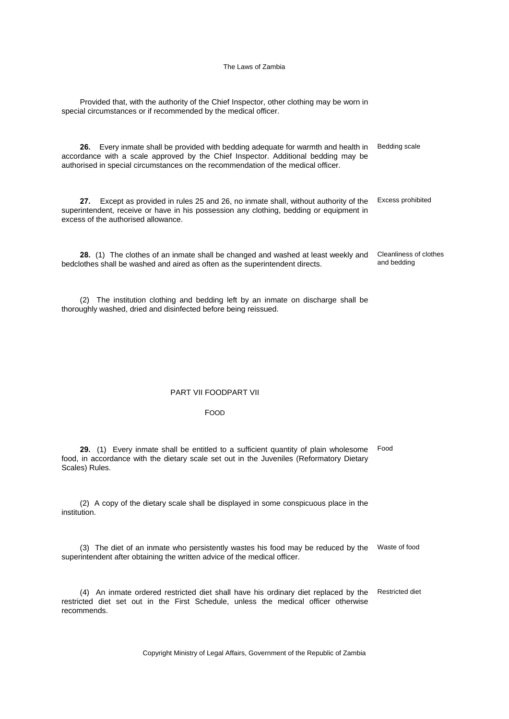Provided that, with the authority of the Chief Inspector, other clothing may be worn in special circumstances or if recommended by the medical officer.

**26.** Every inmate shall be provided with bedding adequate for warmth and health in accordance with a scale approved by the Chief Inspector. Additional bedding may be authorised in special circumstances on the recommendation of the medical officer. Bedding scale

**27.** Except as provided in rules 25 and 26, no inmate shall, without authority of the Excess prohibited superintendent, receive or have in his possession any clothing, bedding or equipment in excess of the authorised allowance.

**28.** (1) The clothes of an inmate shall be changed and washed at least weekly and bedclothes shall be washed and aired as often as the superintendent directs. Cleanliness of clothes and bedding

(2) The institution clothing and bedding left by an inmate on discharge shall be thoroughly washed, dried and disinfected before being reissued.

## PART VII FOODPART VII

#### FOOD

**29.** (1) Every inmate shall be entitled to a sufficient quantity of plain wholesome food, in accordance with the dietary scale set out in the Juveniles (Reformatory Dietary Scales) Rules. Food

(2) A copy of the dietary scale shall be displayed in some conspicuous place in the institution.

(3) The diet of an inmate who persistently wastes his food may be reduced by the Waste of food superintendent after obtaining the written advice of the medical officer.

(4) An inmate ordered restricted diet shall have his ordinary diet replaced by the restricted diet set out in the First Schedule, unless the medical officer otherwise recommends. Restricted diet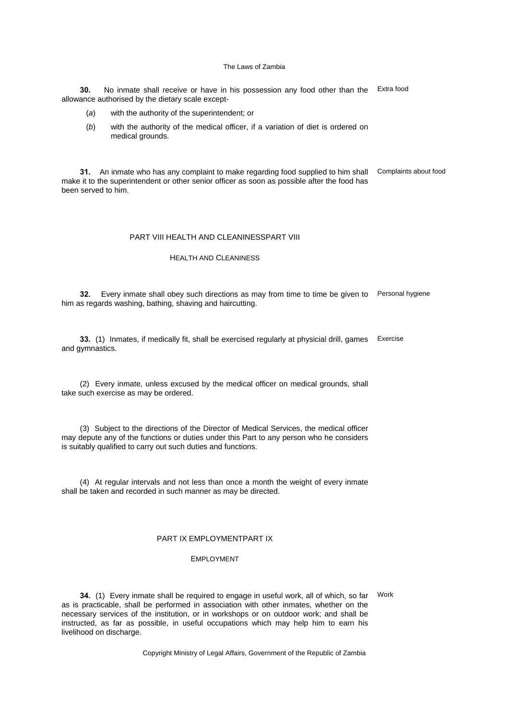**30.** No inmate shall receive or have in his possession any food other than the Extra food allowance authorised by the dietary scale except-

- (*a*) with the authority of the superintendent; or
- (*b*) with the authority of the medical officer, if a variation of diet is ordered on medical grounds.

**31.** An inmate who has any complaint to make regarding food supplied to him shall Complaints about food make it to the superintendent or other senior officer as soon as possible after the food has been served to him.

## PART VIII HEALTH AND CLEANINESSPART VIII

## HEALTH AND CLEANINESS

**32.** Every inmate shall obey such directions as may from time to time be given to Personal hygiene him as regards washing, bathing, shaving and haircutting.

**33.** (1) Inmates, if medically fit, shall be exercised regularly at physicial drill, games Exercise and gymnastics.

(2) Every inmate, unless excused by the medical officer on medical grounds, shall take such exercise as may be ordered.

(3) Subject to the directions of the Director of Medical Services, the medical officer may depute any of the functions or duties under this Part to any person who he considers is suitably qualified to carry out such duties and functions.

(4) At regular intervals and not less than once a month the weight of every inmate shall be taken and recorded in such manner as may be directed.

## PART IX EMPLOYMENTPART IX

#### EMPLOYMENT

**34.** (1) Every inmate shall be required to engage in useful work, all of which, so far as is practicable, shall be performed in association with other inmates, whether on the necessary services of the institution, or in workshops or on outdoor work; and shall be instructed, as far as possible, in useful occupations which may help him to earn his livelihood on discharge. Work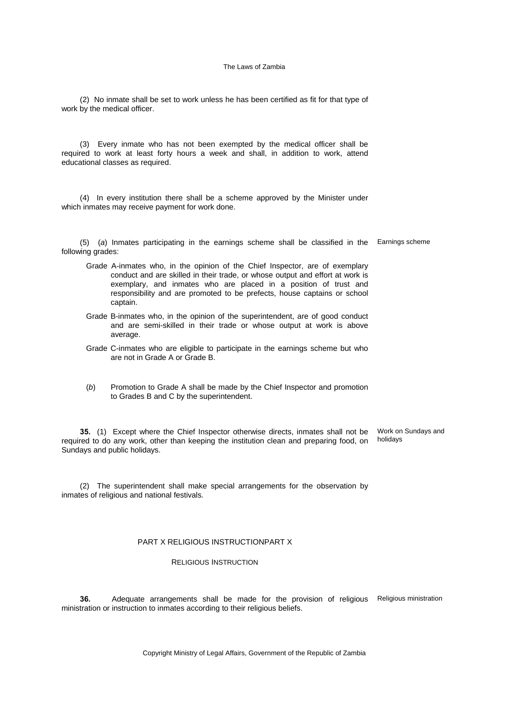(2) No inmate shall be set to work unless he has been certified as fit for that type of work by the medical officer.

(3) Every inmate who has not been exempted by the medical officer shall be required to work at least forty hours a week and shall, in addition to work, attend educational classes as required.

(4) In every institution there shall be a scheme approved by the Minister under which inmates may receive payment for work done.

(5) (*a*) Inmates participating in the earnings scheme shall be classified in the Earnings scheme following grades:

- Grade A-inmates who, in the opinion of the Chief Inspector, are of exemplary conduct and are skilled in their trade, or whose output and effort at work is exemplary, and inmates who are placed in a position of trust and responsibility and are promoted to be prefects, house captains or school captain.
- Grade B-inmates who, in the opinion of the superintendent, are of good conduct and are semi-skilled in their trade or whose output at work is above average.
- Grade C-inmates who are eligible to participate in the earnings scheme but who are not in Grade A or Grade B.
- (*b*) Promotion to Grade A shall be made by the Chief Inspector and promotion to Grades B and C by the superintendent.

**35.** (1) Except where the Chief Inspector otherwise directs, inmates shall not be required to do any work, other than keeping the institution clean and preparing food, on Sundays and public holidays. Work on Sundays and holidays

(2) The superintendent shall make special arrangements for the observation by inmates of religious and national festivals.

## PART X RELIGIOUS INSTRUCTIONPART X

#### RELIGIOUS INSTRUCTION

**36.** Adequate arrangements shall be made for the provision of religious ministration or instruction to inmates according to their religious beliefs. Religious ministration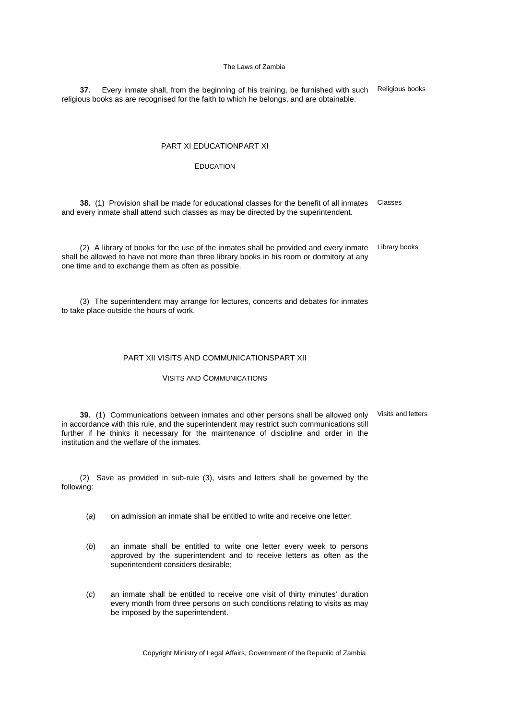**37.** Every inmate shall, from the beginning of his training, be furnished with such religious books as are recognised for the faith to which he belongs, and are obtainable. Religious books

## PART XI EDUCATIONPART XI

## EDUCATION

**38.** (1) Provision shall be made for educational classes for the benefit of all inmates Classes and every inmate shall attend such classes as may be directed by the superintendent.

(2) A library of books for the use of the inmates shall be provided and every inmate shall be allowed to have not more than three library books in his room or dormitory at any one time and to exchange them as often as possible. Library books

(3) The superintendent may arrange for lectures, concerts and debates for inmates to take place outside the hours of work.

#### PART XII VISITS AND COMMUNICATIONSPART XII

#### VISITS AND COMMUNICATIONS

**39.** (1) Communications between inmates and other persons shall be allowed only in accordance with this rule, and the superintendent may restrict such communications still further if he thinks it necessary for the maintenance of discipline and order in the institution and the welfare of the inmates. Visits and letters

(2) Save as provided in sub-rule (3), visits and letters shall be governed by the following:

- (*a*) on admission an inmate shall be entitled to write and receive one letter;
- (*b*) an inmate shall be entitled to write one letter every week to persons approved by the superintendent and to receive letters as often as the superintendent considers desirable;
- (*c*) an inmate shall be entitled to receive one visit of thirty minutes' duration every month from three persons on such conditions relating to visits as may be imposed by the superintendent.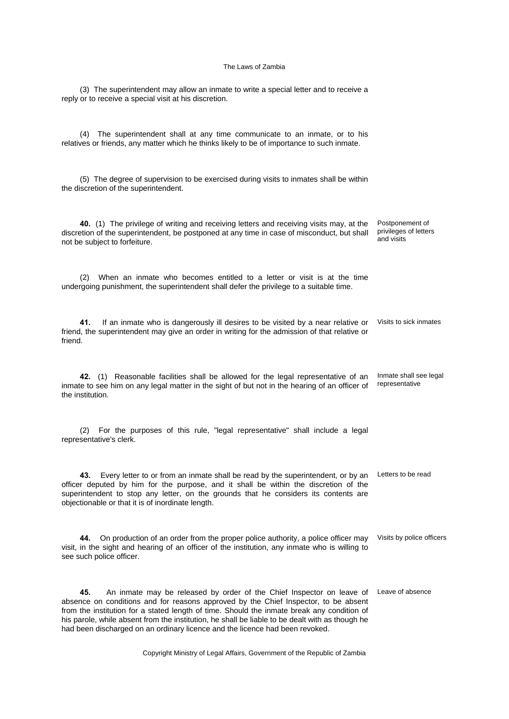(3) The superintendent may allow an inmate to write a special letter and to receive a

reply or to receive a special visit at his discretion.

(4) The superintendent shall at any time communicate to an inmate, or to his relatives or friends, any matter which he thinks likely to be of importance to such inmate. (5) The degree of supervision to be exercised during visits to inmates shall be within the discretion of the superintendent. **40.** (1) The privilege of writing and receiving letters and receiving visits may, at the discretion of the superintendent, be postponed at any time in case of misconduct, but shall not be subject to forfeiture. Postponement of privileges of letters and visits (2) When an inmate who becomes entitled to a letter or visit is at the time undergoing punishment, the superintendent shall defer the privilege to a suitable time. **41.** If an inmate who is dangerously ill desires to be visited by a near relative or friend, the superintendent may give an order in writing for the admission of that relative or friend. Visits to sick inmates **42.** (1) Reasonable facilities shall be allowed for the legal representative of an inmate to see him on any legal matter in the sight of but not in the hearing of an officer of the institution. Inmate shall see legal representative (2) For the purposes of this rule, "legal representative" shall include a legal representative's clerk. **43.** Every letter to or from an inmate shall be read by the superintendent, or by an Letters to be read officer deputed by him for the purpose, and it shall be within the discretion of the superintendent to stop any letter, on the grounds that he considers its contents are objectionable or that it is of inordinate length. **44.** On production of an order from the proper police authority, a police officer may visit, in the sight and hearing of an officer of the institution, any inmate who is willing to see such police officer. Visits by police officers **45.** An inmate may be released by order of the Chief Inspector on leave of Leave of absence absence on conditions and for reasons approved by the Chief Inspector, to be absent from the institution for a stated length of time. Should the inmate break any condition of his parole, while absent from the institution, he shall be liable to be dealt with as though he had been discharged on an ordinary licence and the licence had been revoked.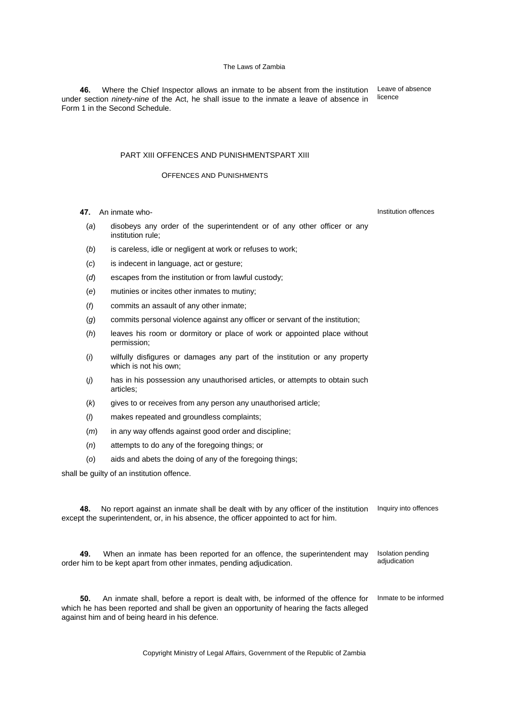**46.** Where the Chief Inspector allows an inmate to be absent from the institution under section *ninety-nine* of the Act, he shall issue to the inmate a leave of absence in Form 1 in the Second Schedule.

## PART XIII OFFENCES AND PUNISHMENTSPART XIII

## OFFENCES AND PUNISHMENTS

- **47.** An inmate who-
	- (*a*) disobeys any order of the superintendent or of any other officer or any institution rule;
	- (*b*) is careless, idle or negligent at work or refuses to work;
	- (*c*) is indecent in language, act or gesture;
	- (*d*) escapes from the institution or from lawful custody;
	- (*e*) mutinies or incites other inmates to mutiny;
	- (*f*) commits an assault of any other inmate;
	- (*g*) commits personal violence against any officer or servant of the institution;
	- (*h*) leaves his room or dormitory or place of work or appointed place without permission;
	- (*i*) wilfully disfigures or damages any part of the institution or any property which is not his own;
	- (*j*) has in his possession any unauthorised articles, or attempts to obtain such articles;
	- (*k*) gives to or receives from any person any unauthorised article;
	- (*l*) makes repeated and groundless complaints;
	- (*m*) in any way offends against good order and discipline;
	- (*n*) attempts to do any of the foregoing things; or
	- (*o*) aids and abets the doing of any of the foregoing things;

shall be guilty of an institution offence.

**48.** No report against an inmate shall be dealt with by any officer of the institution Inquiry into offences except the superintendent, or, in his absence, the officer appointed to act for him.

**49.** When an inmate has been reported for an offence, the superintendent may order him to be kept apart from other inmates, pending adjudication. Isolation pending adjudication

**50.** An inmate shall, before a report is dealt with, be informed of the offence for which he has been reported and shall be given an opportunity of hearing the facts alleged against him and of being heard in his defence. Inmate to be informed

Copyright Ministry of Legal Affairs, Government of the Republic of Zambia

Institution offences

Leave of absence

licence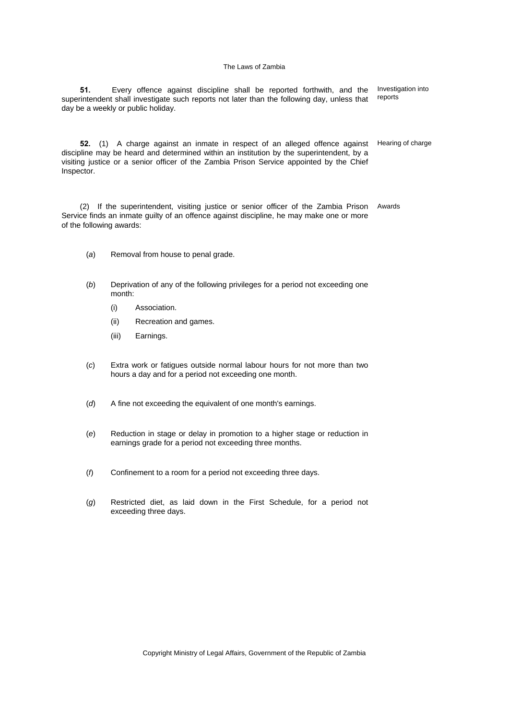**51.** Every offence against discipline shall be reported forthwith, and the superintendent shall investigate such reports not later than the following day, unless that day be a weekly or public holiday. Investigation into reports

**52.** (1) A charge against an inmate in respect of an alleged offence against discipline may be heard and determined within an institution by the superintendent, by a visiting justice or a senior officer of the Zambia Prison Service appointed by the Chief Inspector. Hearing of charge

(2) If the superintendent, visiting justice or senior officer of the Zambia Prison Service finds an inmate guilty of an offence against discipline, he may make one or more of the following awards: Awards

- (*a*) Removal from house to penal grade.
- (*b*) Deprivation of any of the following privileges for a period not exceeding one month:
	- (i) Association.
	- (ii) Recreation and games.
	- (iii) Earnings.
- (*c*) Extra work or fatigues outside normal labour hours for not more than two hours a day and for a period not exceeding one month.
- (*d*) A fine not exceeding the equivalent of one month's earnings.
- (*e*) Reduction in stage or delay in promotion to a higher stage or reduction in earnings grade for a period not exceeding three months.
- (*f*) Confinement to a room for a period not exceeding three days.
- (*g*) Restricted diet, as laid down in the First Schedule, for a period not exceeding three days.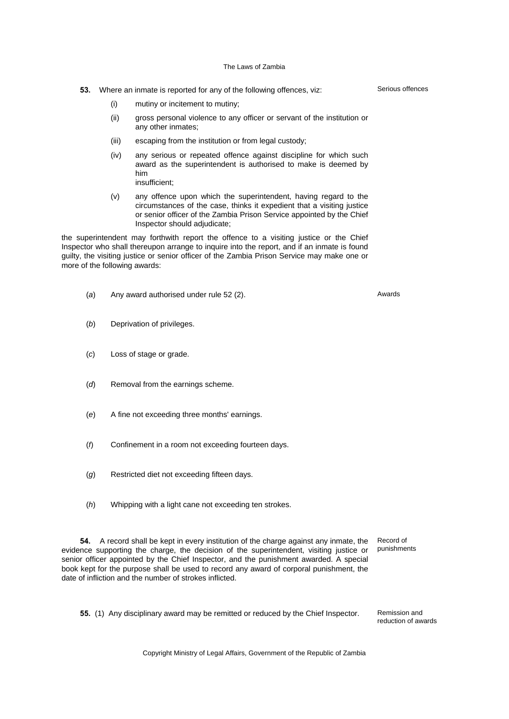- **53.** Where an inmate is reported for any of the following offences, viz:
	- (i) mutiny or incitement to mutiny;
	- (ii) gross personal violence to any officer or servant of the institution or any other inmates;
	- (iii) escaping from the institution or from legal custody;
	- (iv) any serious or repeated offence against discipline for which such award as the superintendent is authorised to make is deemed by him insufficient;
		-
	- (v) any offence upon which the superintendent, having regard to the circumstances of the case, thinks it expedient that a visiting justice or senior officer of the Zambia Prison Service appointed by the Chief Inspector should adjudicate;

the superintendent may forthwith report the offence to a visiting justice or the Chief Inspector who shall thereupon arrange to inquire into the report, and if an inmate is found guilty, the visiting justice or senior officer of the Zambia Prison Service may make one or more of the following awards:

- (*a*) Any award authorised under rule 52 (2). Awards
- (*b*) Deprivation of privileges.
- (*c*) Loss of stage or grade.
- (*d*) Removal from the earnings scheme.
- (*e*) A fine not exceeding three months' earnings.
- (*f*) Confinement in a room not exceeding fourteen days.
- (*g*) Restricted diet not exceeding fifteen days.
- (*h*) Whipping with a light cane not exceeding ten strokes.

**54.** A record shall be kept in every institution of the charge against any inmate, the evidence supporting the charge, the decision of the superintendent, visiting justice or senior officer appointed by the Chief Inspector, and the punishment awarded. A special book kept for the purpose shall be used to record any award of corporal punishment, the date of infliction and the number of strokes inflicted. Record of

punishments

**55.** (1) Any disciplinary award may be remitted or reduced by the Chief Inspector. Remission and

reduction of awards

Copyright Ministry of Legal Affairs, Government of the Republic of Zambia

Serious offences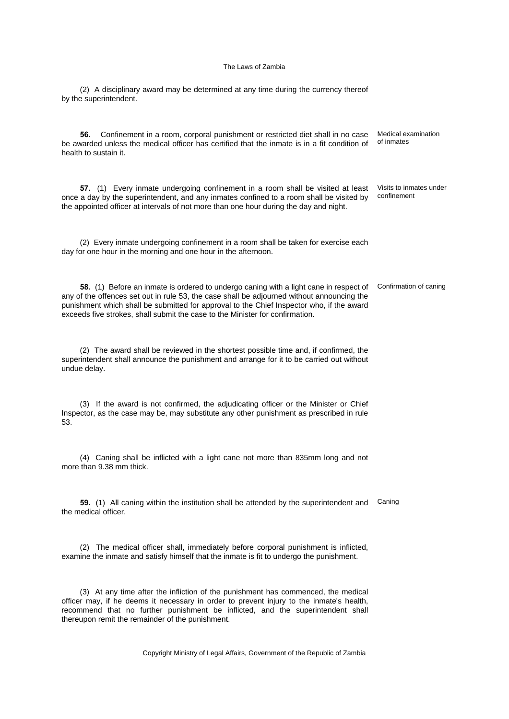(2) A disciplinary award may be determined at any time during the currency thereof by the superintendent.

**56.** Confinement in a room, corporal punishment or restricted diet shall in no case be awarded unless the medical officer has certified that the inmate is in a fit condition of health to sustain it. Medical examination of inmates

**57.** (1) Every inmate undergoing confinement in a room shall be visited at least once a day by the superintendent, and any inmates confined to a room shall be visited by the appointed officer at intervals of not more than one hour during the day and night. Visits to inmates under confinement

(2) Every inmate undergoing confinement in a room shall be taken for exercise each day for one hour in the morning and one hour in the afternoon.

**58.** (1) Before an inmate is ordered to undergo caning with a light cane in respect of Confirmation of caning any of the offences set out in rule 53, the case shall be adjourned without announcing the punishment which shall be submitted for approval to the Chief Inspector who, if the award exceeds five strokes, shall submit the case to the Minister for confirmation.

(2) The award shall be reviewed in the shortest possible time and, if confirmed, the superintendent shall announce the punishment and arrange for it to be carried out without undue delay.

(3) If the award is not confirmed, the adjudicating officer or the Minister or Chief Inspector, as the case may be, may substitute any other punishment as prescribed in rule 53.

(4) Caning shall be inflicted with a light cane not more than 835mm long and not more than 9.38 mm thick.

**59.** (1) All caning within the institution shall be attended by the superintendent and Caning the medical officer.

(2) The medical officer shall, immediately before corporal punishment is inflicted, examine the inmate and satisfy himself that the inmate is fit to undergo the punishment.

(3) At any time after the infliction of the punishment has commenced, the medical officer may, if he deems it necessary in order to prevent injury to the inmate's health, recommend that no further punishment be inflicted, and the superintendent shall thereupon remit the remainder of the punishment.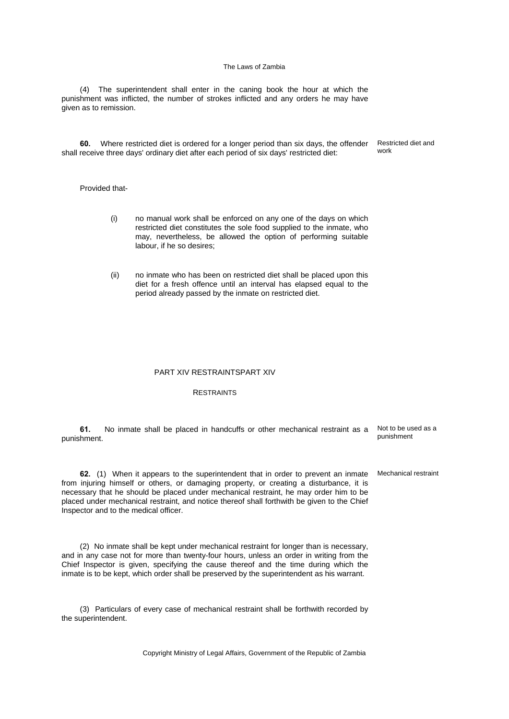(4) The superintendent shall enter in the caning book the hour at which the punishment was inflicted, the number of strokes inflicted and any orders he may have given as to remission.

**60.** Where restricted diet is ordered for a longer period than six days, the offender shall receive three days' ordinary diet after each period of six days' restricted diet:

## Provided that-

- (i) no manual work shall be enforced on any one of the days on which restricted diet constitutes the sole food supplied to the inmate, who may, nevertheless, be allowed the option of performing suitable labour, if he so desires;
- (ii) no inmate who has been on restricted diet shall be placed upon this diet for a fresh offence until an interval has elapsed equal to the period already passed by the inmate on restricted diet.

### PART XIV RESTRAINTSPART XIV

## **RESTRAINTS**

**61.** No inmate shall be placed in handcuffs or other mechanical restraint as a punishment. Not to be used as a punishment

**62.** (1) When it appears to the superintendent that in order to prevent an inmate from injuring himself or others, or damaging property, or creating a disturbance, it is necessary that he should be placed under mechanical restraint, he may order him to be placed under mechanical restraint, and notice thereof shall forthwith be given to the Chief Inspector and to the medical officer.

(2) No inmate shall be kept under mechanical restraint for longer than is necessary, and in any case not for more than twenty-four hours, unless an order in writing from the Chief Inspector is given, specifying the cause thereof and the time during which the inmate is to be kept, which order shall be preserved by the superintendent as his warrant.

(3) Particulars of every case of mechanical restraint shall be forthwith recorded by the superintendent.

Copyright Ministry of Legal Affairs, Government of the Republic of Zambia

Restricted diet and work

Mechanical restraint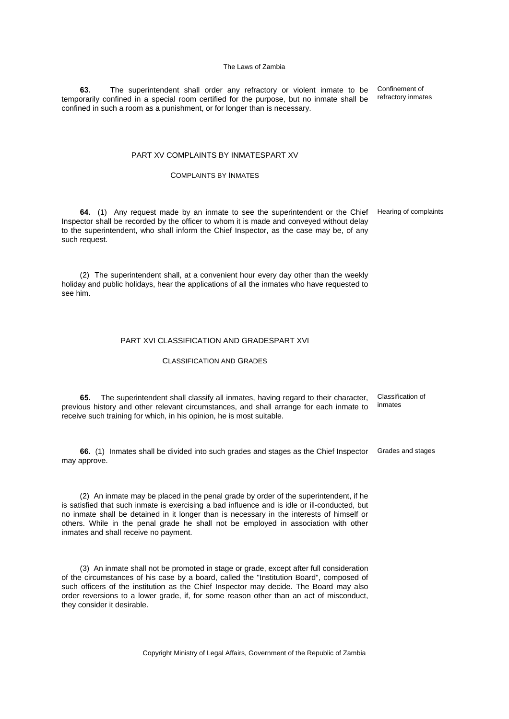**63.** The superintendent shall order any refractory or violent inmate to be temporarily confined in a special room certified for the purpose, but no inmate shall be confined in such a room as a punishment, or for longer than is necessary.

## PART XV COMPLAINTS BY INMATESPART XV

## COMPLAINTS BY INMATES

**64.** (1) Any request made by an inmate to see the superintendent or the Chief Hearing of complaints Inspector shall be recorded by the officer to whom it is made and conveyed without delay to the superintendent, who shall inform the Chief Inspector, as the case may be, of any such request.

Confinement of refractory inmates

(2) The superintendent shall, at a convenient hour every day other than the weekly holiday and public holidays, hear the applications of all the inmates who have requested to see him.

## PART XVI CLASSIFICATION AND GRADESPART XVI

### CLASSIFICATION AND GRADES

**65.** The superintendent shall classify all inmates, having regard to their character, previous history and other relevant circumstances, and shall arrange for each inmate to receive such training for which, in his opinion, he is most suitable. Classification of inmates

**66.** (1) Inmates shall be divided into such grades and stages as the Chief Inspector Grades and stages may approve.

(2) An inmate may be placed in the penal grade by order of the superintendent, if he is satisfied that such inmate is exercising a bad influence and is idle or ill-conducted, but no inmate shall be detained in it longer than is necessary in the interests of himself or others. While in the penal grade he shall not be employed in association with other inmates and shall receive no payment.

(3) An inmate shall not be promoted in stage or grade, except after full consideration of the circumstances of his case by a board, called the "Institution Board", composed of such officers of the institution as the Chief Inspector may decide. The Board may also order reversions to a lower grade, if, for some reason other than an act of misconduct, they consider it desirable.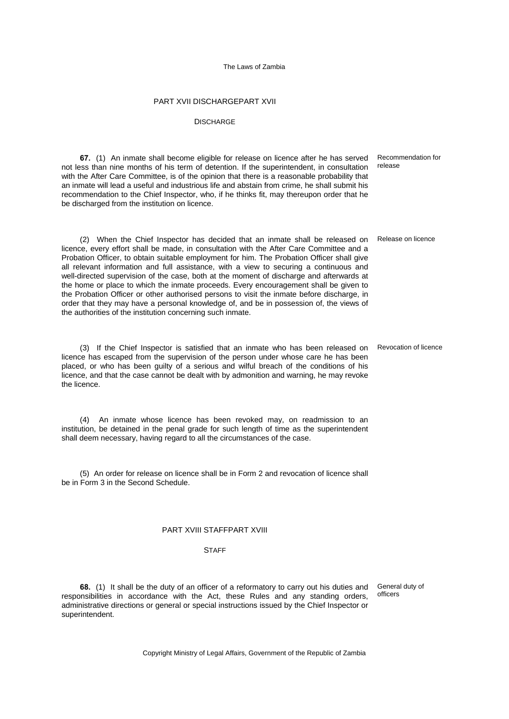## PART XVII DISCHARGEPART XVII

#### **DISCHARGE**

**67.** (1) An inmate shall become eligible for release on licence after he has served not less than nine months of his term of detention. If the superintendent, in consultation with the After Care Committee, is of the opinion that there is a reasonable probability that an inmate will lead a useful and industrious life and abstain from crime, he shall submit his recommendation to the Chief Inspector, who, if he thinks fit, may thereupon order that he be discharged from the institution on licence. Recommendation for

(2) When the Chief Inspector has decided that an inmate shall be released on Release on licence licence, every effort shall be made, in consultation with the After Care Committee and a Probation Officer, to obtain suitable employment for him. The Probation Officer shall give all relevant information and full assistance, with a view to securing a continuous and well-directed supervision of the case, both at the moment of discharge and afterwards at the home or place to which the inmate proceeds. Every encouragement shall be given to the Probation Officer or other authorised persons to visit the inmate before discharge, in order that they may have a personal knowledge of, and be in possession of, the views of the authorities of the institution concerning such inmate.

(3) If the Chief Inspector is satisfied that an inmate who has been released on licence has escaped from the supervision of the person under whose care he has been placed, or who has been guilty of a serious and wilful breach of the conditions of his licence, and that the case cannot be dealt with by admonition and warning, he may revoke the licence.

(4) An inmate whose licence has been revoked may, on readmission to an institution, be detained in the penal grade for such length of time as the superintendent shall deem necessary, having regard to all the circumstances of the case.

(5) An order for release on licence shall be in Form 2 and revocation of licence shall be in Form 3 in the Second Schedule.

## PART XVIII STAFFPART XVIII

#### **STAFF**

**68.** (1) It shall be the duty of an officer of a reformatory to carry out his duties and General duty of responsibilities in accordance with the Act, these Rules and any standing orders, administrative directions or general or special instructions issued by the Chief Inspector or superintendent.

officers

Copyright Ministry of Legal Affairs, Government of the Republic of Zambia

release

Revocation of licence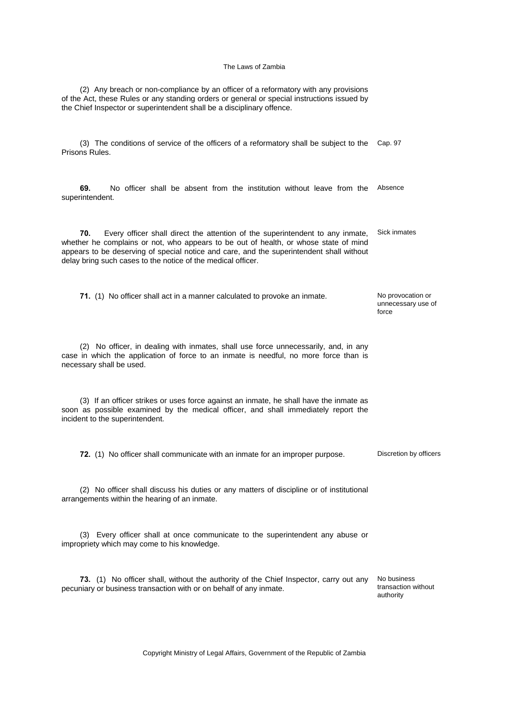(2) Any breach or non-compliance by an officer of a reformatory with any provisions of the Act, these Rules or any standing orders or general or special instructions issued by the Chief Inspector or superintendent shall be a disciplinary offence.

(3) The conditions of service of the officers of a reformatory shall be subject to the Cap. 97 Prisons Rules.

**69.** No officer shall be absent from the institution without leave from the Absence superintendent.

**70.** Every officer shall direct the attention of the superintendent to any inmate, whether he complains or not, who appears to be out of health, or whose state of mind appears to be deserving of special notice and care, and the superintendent shall without delay bring such cases to the notice of the medical officer. Sick inmates

**71.** (1) No officer shall act in a manner calculated to provoke an inmate. No provocation or unnecessary use of

(2) No officer, in dealing with inmates, shall use force unnecessarily, and, in any case in which the application of force to an inmate is needful, no more force than is necessary shall be used.

(3) If an officer strikes or uses force against an inmate, he shall have the inmate as soon as possible examined by the medical officer, and shall immediately report the incident to the superintendent.

**72.** (1) No officer shall communicate with an inmate for an improper purpose. Discretion by officers

(2) No officer shall discuss his duties or any matters of discipline or of institutional arrangements within the hearing of an inmate.

(3) Every officer shall at once communicate to the superintendent any abuse or impropriety which may come to his knowledge.

**73.** (1) No officer shall, without the authority of the Chief Inspector, carry out any pecuniary or business transaction with or on behalf of any inmate. No business

transaction without authority

force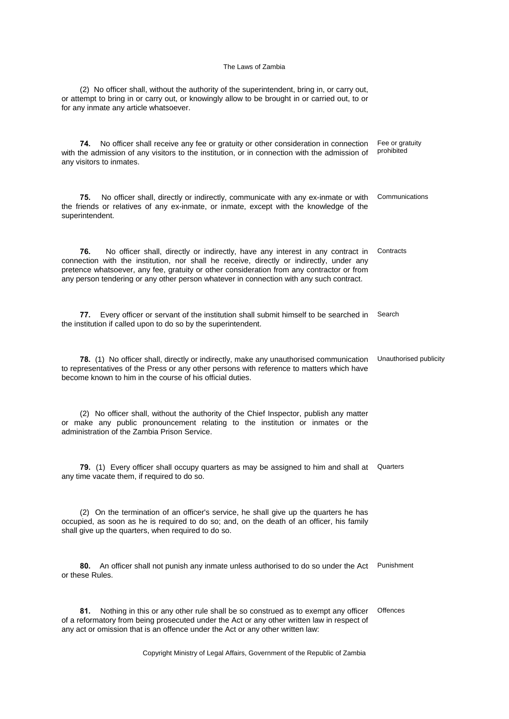(2) No officer shall, without the authority of the superintendent, bring in, or carry out, or attempt to bring in or carry out, or knowingly allow to be brought in or carried out, to or for any inmate any article whatsoever.

**74.** No officer shall receive any fee or gratuity or other consideration in connection with the admission of any visitors to the institution, or in connection with the admission of any visitors to inmates. Fee or gratuity prohibited

**75.** No officer shall, directly or indirectly, communicate with any ex-inmate or with the friends or relatives of any ex-inmate, or inmate, except with the knowledge of the superintendent. Communications

**76.** No officer shall, directly or indirectly, have any interest in any contract in connection with the institution, nor shall he receive, directly or indirectly, under any pretence whatsoever, any fee, gratuity or other consideration from any contractor or from any person tendering or any other person whatever in connection with any such contract. **Contracts** 

**77.** Every officer or servant of the institution shall submit himself to be searched in the institution if called upon to do so by the superintendent. Search

**78.** (1) No officer shall, directly or indirectly, make any unauthorised communication to representatives of the Press or any other persons with reference to matters which have become known to him in the course of his official duties. Unauthorised publicity

(2) No officer shall, without the authority of the Chief Inspector, publish any matter or make any public pronouncement relating to the institution or inmates or the administration of the Zambia Prison Service.

79. (1) Every officer shall occupy quarters as may be assigned to him and shall at Quarters any time vacate them, if required to do so.

(2) On the termination of an officer's service, he shall give up the quarters he has occupied, as soon as he is required to do so; and, on the death of an officer, his family shall give up the quarters, when required to do so.

**80.** An officer shall not punish any inmate unless authorised to do so under the Act Punishment or these Rules.

**81.** Nothing in this or any other rule shall be so construed as to exempt any officer of a reformatory from being prosecuted under the Act or any other written law in respect of any act or omission that is an offence under the Act or any other written law: **Offences**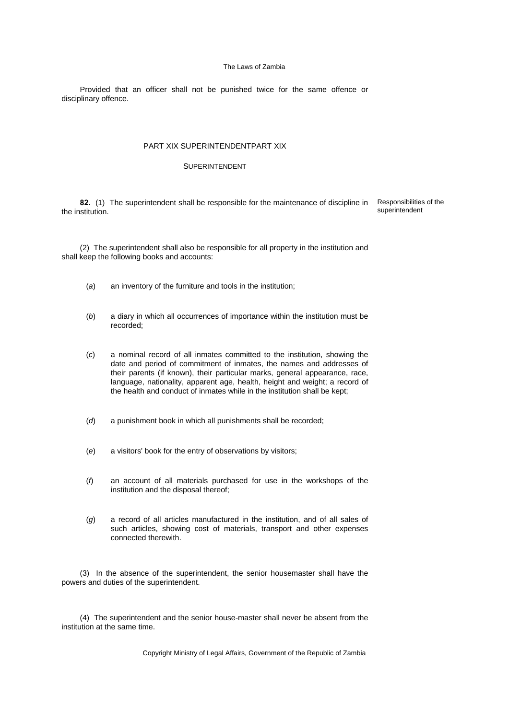Provided that an officer shall not be punished twice for the same offence or disciplinary offence.

## PART XIX SUPERINTENDENTPART XIX

## SUPERINTENDENT

**82.** (1) The superintendent shall be responsible for the maintenance of discipline in the institution. Responsibilities of the superintendent

(2) The superintendent shall also be responsible for all property in the institution and shall keep the following books and accounts:

- (*a*) an inventory of the furniture and tools in the institution;
- (*b*) a diary in which all occurrences of importance within the institution must be recorded;
- (*c*) a nominal record of all inmates committed to the institution, showing the date and period of commitment of inmates, the names and addresses of their parents (if known), their particular marks, general appearance, race, language, nationality, apparent age, health, height and weight; a record of the health and conduct of inmates while in the institution shall be kept;
- (*d*) a punishment book in which all punishments shall be recorded;
- (*e*) a visitors' book for the entry of observations by visitors;
- (*f*) an account of all materials purchased for use in the workshops of the institution and the disposal thereof;
- (*g*) a record of all articles manufactured in the institution, and of all sales of such articles, showing cost of materials, transport and other expenses connected therewith.

(3) In the absence of the superintendent, the senior housemaster shall have the powers and duties of the superintendent.

(4) The superintendent and the senior house-master shall never be absent from the institution at the same time.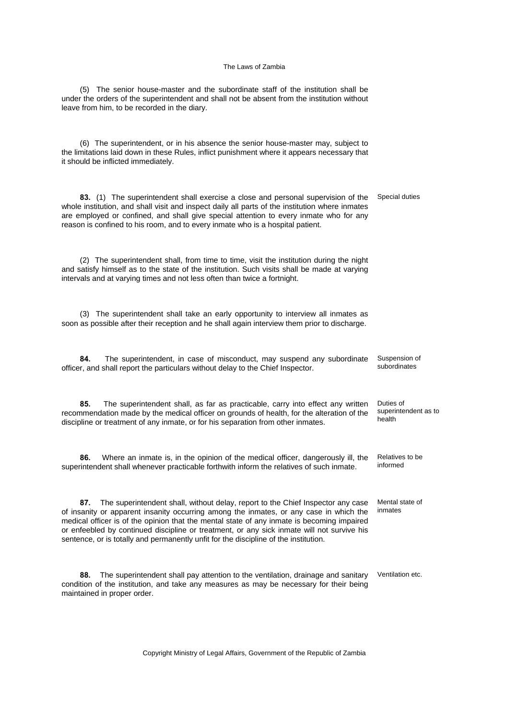(5) The senior house-master and the subordinate staff of the institution shall be under the orders of the superintendent and shall not be absent from the institution without leave from him, to be recorded in the diary.

(6) The superintendent, or in his absence the senior house-master may, subject to the limitations laid down in these Rules, inflict punishment where it appears necessary that it should be inflicted immediately.

**83.** (1) The superintendent shall exercise a close and personal supervision of the whole institution, and shall visit and inspect daily all parts of the institution where inmates are employed or confined, and shall give special attention to every inmate who for any reason is confined to his room, and to every inmate who is a hospital patient. Special duties

(2) The superintendent shall, from time to time, visit the institution during the night and satisfy himself as to the state of the institution. Such visits shall be made at varying intervals and at varying times and not less often than twice a fortnight.

(3) The superintendent shall take an early opportunity to interview all inmates as soon as possible after their reception and he shall again interview them prior to discharge.

**84.** The superintendent, in case of misconduct, may suspend any subordinate officer, and shall report the particulars without delay to the Chief Inspector. Suspension of subordinates

**85.** The superintendent shall, as far as practicable, carry into effect any written recommendation made by the medical officer on grounds of health, for the alteration of the discipline or treatment of any inmate, or for his separation from other inmates.

**86.** Where an inmate is, in the opinion of the medical officer, dangerously ill, the superintendent shall whenever practicable forthwith inform the relatives of such inmate.

**87.** The superintendent shall, without delay, report to the Chief Inspector any case of insanity or apparent insanity occurring among the inmates, or any case in which the medical officer is of the opinion that the mental state of any inmate is becoming impaired or enfeebled by continued discipline or treatment, or any sick inmate will not survive his sentence, or is totally and permanently unfit for the discipline of the institution.

**88.** The superintendent shall pay attention to the ventilation, drainage and sanitary condition of the institution, and take any measures as may be necessary for their being maintained in proper order.

Copyright Ministry of Legal Affairs, Government of the Republic of Zambia

Duties of superintendent as to health

Relatives to be informed

Mental state of inmates

Ventilation etc.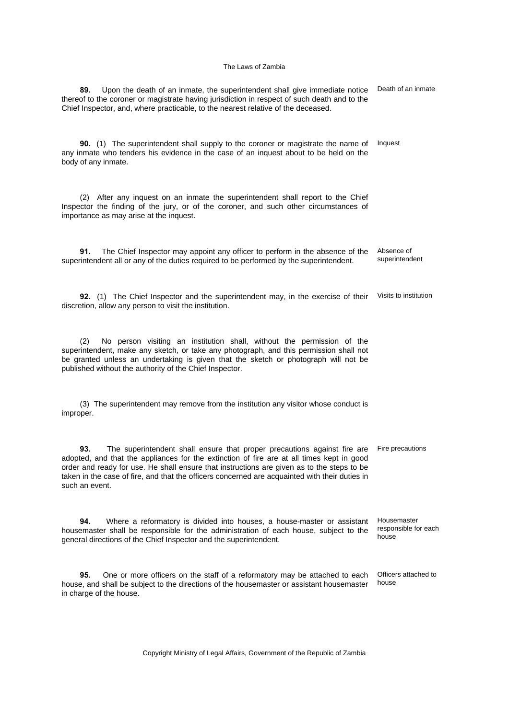| Upon the death of an inmate, the superintendent shall give immediate notice<br>89.<br>thereof to the coroner or magistrate having jurisdiction in respect of such death and to the<br>Chief Inspector, and, where practicable, to the nearest relative of the deceased.                                                                                                                        | Death of an inmate                           |
|------------------------------------------------------------------------------------------------------------------------------------------------------------------------------------------------------------------------------------------------------------------------------------------------------------------------------------------------------------------------------------------------|----------------------------------------------|
| <b>90.</b> (1) The superintendent shall supply to the coroner or magistrate the name of<br>any inmate who tenders his evidence in the case of an inquest about to be held on the<br>body of any inmate.                                                                                                                                                                                        | Inquest                                      |
| (2) After any inquest on an inmate the superintendent shall report to the Chief<br>Inspector the finding of the jury, or of the coroner, and such other circumstances of<br>importance as may arise at the inquest.                                                                                                                                                                            |                                              |
| The Chief Inspector may appoint any officer to perform in the absence of the<br>91.<br>superintendent all or any of the duties required to be performed by the superintendent.                                                                                                                                                                                                                 | Absence of<br>superintendent                 |
| 92. (1) The Chief Inspector and the superintendent may, in the exercise of their<br>discretion, allow any person to visit the institution.                                                                                                                                                                                                                                                     | Visits to institution                        |
| No person visiting an institution shall, without the permission of the<br>(2)<br>superintendent, make any sketch, or take any photograph, and this permission shall not<br>be granted unless an undertaking is given that the sketch or photograph will not be<br>published without the authority of the Chief Inspector.                                                                      |                                              |
| (3) The superintendent may remove from the institution any visitor whose conduct is<br>improper.                                                                                                                                                                                                                                                                                               |                                              |
| 93.<br>The superintendent shall ensure that proper precautions against fire are<br>adopted, and that the appliances for the extinction of fire are at all times kept in good<br>order and ready for use. He shall ensure that instructions are given as to the steps to be<br>taken in the case of fire, and that the officers concerned are acquainted with their duties in<br>such an event. | Fire precautions                             |
| 94.<br>Where a reformatory is divided into houses, a house-master or assistant<br>housemaster shall be responsible for the administration of each house, subject to the<br>general directions of the Chief Inspector and the superintendent.                                                                                                                                                   | Housemaster<br>responsible for each<br>house |
| One or more officers on the staff of a reformatory may be attached to each<br>95.<br>house, and shall be subject to the directions of the housemaster or assistant housemaster<br>in charge of the house.                                                                                                                                                                                      | Officers attached to<br>house                |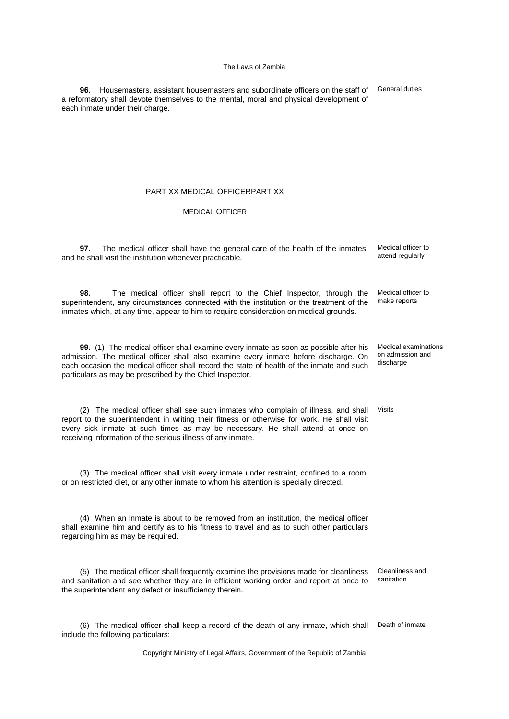**96.** Housemasters, assistant housemasters and subordinate officers on the staff of a reformatory shall devote themselves to the mental, moral and physical development of each inmate under their charge.

General duties

on admission and

## PART XX MEDICAL OFFICERPART XX

## MEDICAL OFFICER

**97.** The medical officer shall have the general care of the health of the inmates, and he shall visit the institution whenever practicable. Medical officer to attend regularly

**98.** The medical officer shall report to the Chief Inspector, through the superintendent, any circumstances connected with the institution or the treatment of the inmates which, at any time, appear to him to require consideration on medical grounds. Medical officer to make reports

**99.** (1) The medical officer shall examine every inmate as soon as possible after his admission. The medical officer shall also examine every inmate before discharge. On each occasion the medical officer shall record the state of health of the inmate and such particulars as may be prescribed by the Chief Inspector. Medical examinations discharge

(2) The medical officer shall see such inmates who complain of illness, and shall report to the superintendent in writing their fitness or otherwise for work. He shall visit every sick inmate at such times as may be necessary. He shall attend at once on receiving information of the serious illness of any inmate. Visits

(3) The medical officer shall visit every inmate under restraint, confined to a room, or on restricted diet, or any other inmate to whom his attention is specially directed.

(4) When an inmate is about to be removed from an institution, the medical officer shall examine him and certify as to his fitness to travel and as to such other particulars regarding him as may be required.

(5) The medical officer shall frequently examine the provisions made for cleanliness and sanitation and see whether they are in efficient working order and report at once to the superintendent any defect or insufficiency therein. Cleanliness and sanitation

(6) The medical officer shall keep a record of the death of any inmate, which shall Death of inmateinclude the following particulars: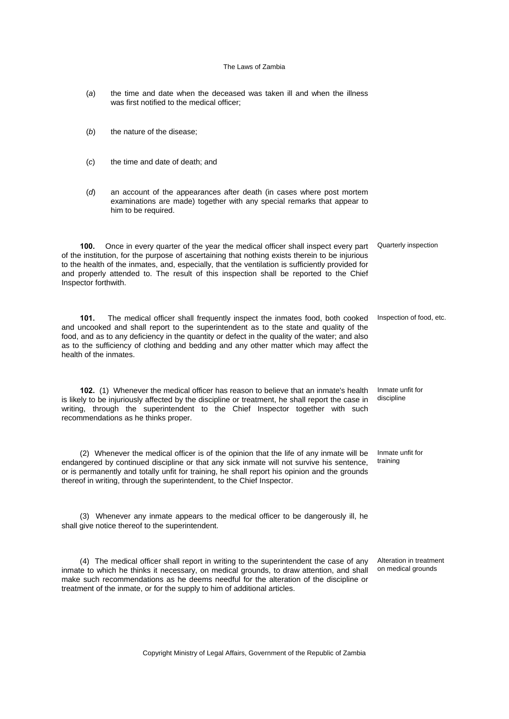- (*a*) the time and date when the deceased was taken ill and when the illness was first notified to the medical officer;
- (*b*) the nature of the disease;
- (*c*) the time and date of death; and
- (*d*) an account of the appearances after death (in cases where post mortem examinations are made) together with any special remarks that appear to him to be required.

**100.** Once in every quarter of the year the medical officer shall inspect every part Quarterly inspection of the institution, for the purpose of ascertaining that nothing exists therein to be injurious to the health of the inmates, and, especially, that the ventilation is sufficiently provided for and properly attended to. The result of this inspection shall be reported to the Chief Inspector forthwith.

**101.** The medical officer shall frequently inspect the inmates food, both cooked Inspection of food, etc. and uncooked and shall report to the superintendent as to the state and quality of the food, and as to any deficiency in the quantity or defect in the quality of the water; and also as to the sufficiency of clothing and bedding and any other matter which may affect the health of the inmates.

**102.** (1) Whenever the medical officer has reason to believe that an inmate's health is likely to be injuriously affected by the discipline or treatment, he shall report the case in writing, through the superintendent to the Chief Inspector together with such recommendations as he thinks proper. Inmate unfit for discipline

(2) Whenever the medical officer is of the opinion that the life of any inmate will be endangered by continued discipline or that any sick inmate will not survive his sentence, or is permanently and totally unfit for training, he shall report his opinion and the grounds thereof in writing, through the superintendent, to the Chief Inspector. Inmate unfit for training

(3) Whenever any inmate appears to the medical officer to be dangerously ill, he shall give notice thereof to the superintendent.

(4) The medical officer shall report in writing to the superintendent the case of any inmate to which he thinks it necessary, on medical grounds, to draw attention, and shall make such recommendations as he deems needful for the alteration of the discipline or treatment of the inmate, or for the supply to him of additional articles.

Alteration in treatment on medical grounds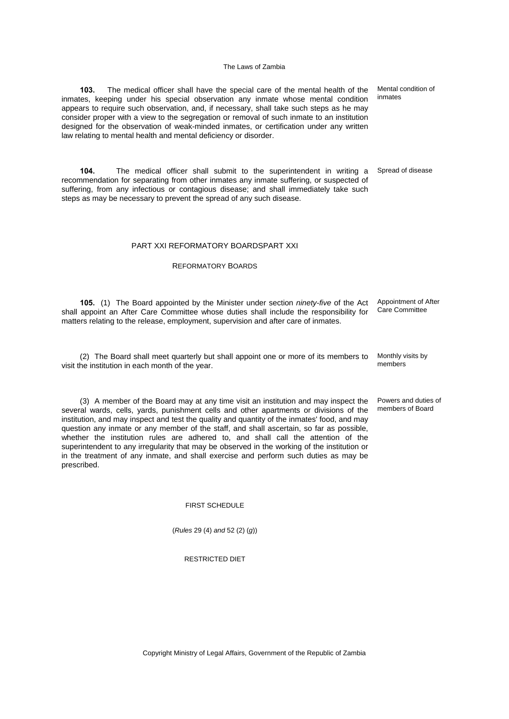**103.** The medical officer shall have the special care of the mental health of the inmates, keeping under his special observation any inmate whose mental condition appears to require such observation, and, if necessary, shall take such steps as he may consider proper with a view to the segregation or removal of such inmate to an institution designed for the observation of weak-minded inmates, or certification under any written law relating to mental health and mental deficiency or disorder.

**104.** The medical officer shall submit to the superintendent in writing a recommendation for separating from other inmates any inmate suffering, or suspected of suffering, from any infectious or contagious disease; and shall immediately take such steps as may be necessary to prevent the spread of any such disease.

## PART XXI REFORMATORY BOARDSPART XXI

## REFORMATORY BOARDS

**105.** (1) The Board appointed by the Minister under section *ninety-five* of the Act shall appoint an After Care Committee whose duties shall include the responsibility for matters relating to the release, employment, supervision and after care of inmates. Appointment of After Care Committee

(2) The Board shall meet quarterly but shall appoint one or more of its members to visit the institution in each month of the year.

(3) A member of the Board may at any time visit an institution and may inspect the several wards, cells, yards, punishment cells and other apartments or divisions of the institution, and may inspect and test the quality and quantity of the inmates' food, and may question any inmate or any member of the staff, and shall ascertain, so far as possible, whether the institution rules are adhered to, and shall call the attention of the superintendent to any irregularity that may be observed in the working of the institution or in the treatment of any inmate, and shall exercise and perform such duties as may be prescribed.

#### FIRST SCHEDULE

(*Rules* 29 (4) *and* 52 (2) (*g*))

## RESTRICTED DIET

Mental condition of inmates

Spread of disease

Monthly visits by members

Powers and duties of members of Board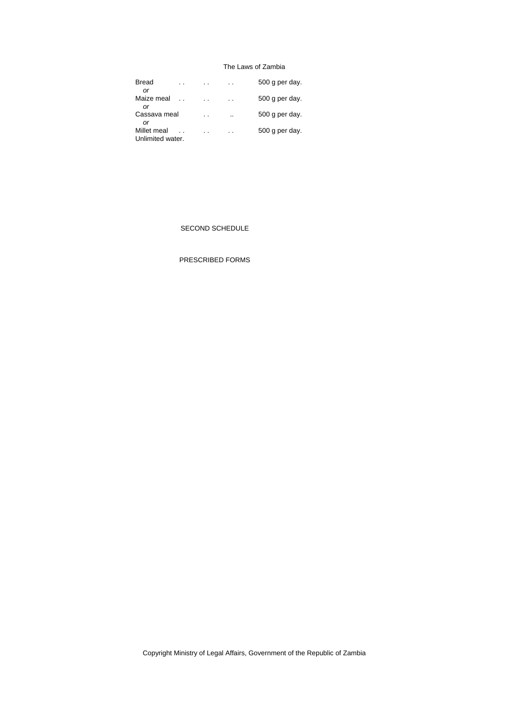| <b>Bread</b>     |     |                      |                |
|------------------|-----|----------------------|----------------|
|                  |     | $\cdot$ .            | 500 g per day. |
| Οľ               |     |                      |                |
| Maize meal       | . . | $\ddot{\phantom{a}}$ | 500 g per day. |
| Ωľ               |     |                      |                |
| Cassava meal     |     | $\cdot$ .            | 500 g per day. |
| Οľ               |     |                      |                |
| Millet meal      |     | $\ddot{\phantom{0}}$ | 500 g per day. |
|                  |     |                      |                |
| Unlimited water. |     |                      |                |

## SECOND SCHEDULE

# PRESCRIBED FORMS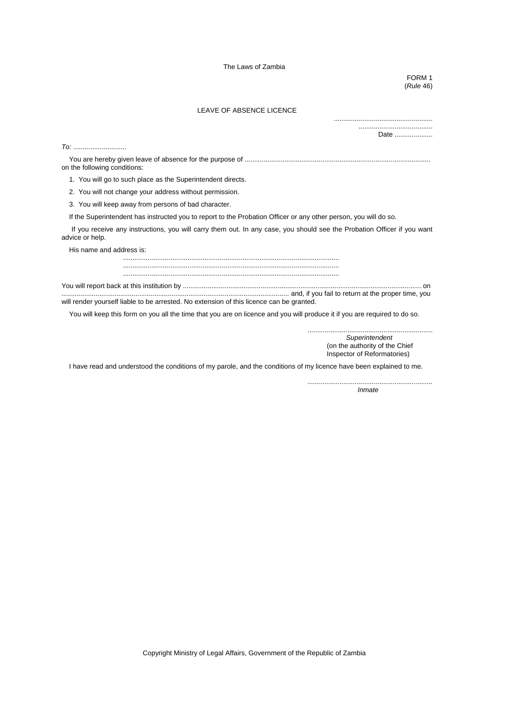FORM 1 (*Rule* 46)

.................................................... .......................................

## LEAVE OF ABSENCE LICENCE

|                                                                                          | Date                                                                                                                      |
|------------------------------------------------------------------------------------------|---------------------------------------------------------------------------------------------------------------------------|
| $\tau$ o:                                                                                |                                                                                                                           |
| on the following conditions:                                                             |                                                                                                                           |
| 1. You will go to such place as the Superintendent directs.                              |                                                                                                                           |
| 2. You will not change your address without permission.                                  |                                                                                                                           |
| 3. You will keep away from persons of bad character.                                     |                                                                                                                           |
|                                                                                          | If the Superintendent has instructed you to report to the Probation Officer or any other person, you will do so.          |
| advice or help.                                                                          | If you receive any instructions, you will carry them out. In any case, you should see the Probation Officer if you want   |
| His name and address is:                                                                 |                                                                                                                           |
|                                                                                          |                                                                                                                           |
|                                                                                          |                                                                                                                           |
| will render yourself liable to be arrested. No extension of this licence can be granted. |                                                                                                                           |
|                                                                                          | You will keep this form on you all the time that you are on licence and you will produce it if you are required to do so. |
|                                                                                          | Superintendent<br>(on the authority of the Chief<br>Inspector of Reformatories)                                           |

I have read and understood the conditions of my parole, and the conditions of my licence have been explained to me.

*.................................................................. Inmate*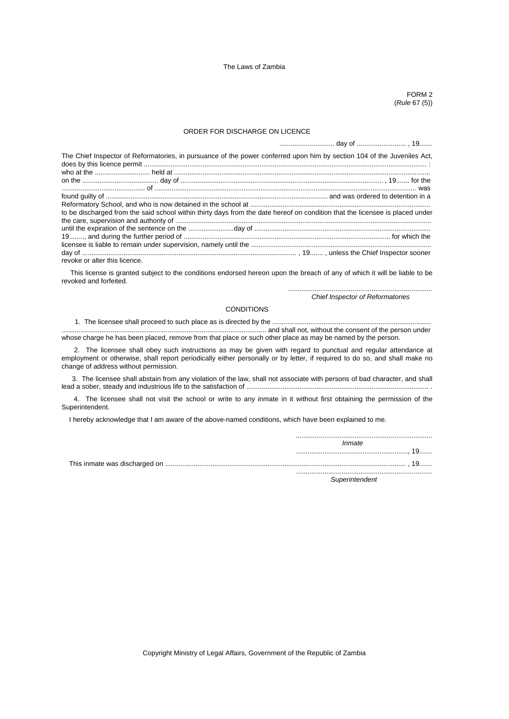FORM 2 (*Rule* 67 (5))

## ORDER FOR DISCHARGE ON LICENCE

| The Chief Inspector of Reformatories, in pursuance of the power conferred upon him by section 104 of the Juveniles Act,      |  |
|------------------------------------------------------------------------------------------------------------------------------|--|
|                                                                                                                              |  |
|                                                                                                                              |  |
|                                                                                                                              |  |
|                                                                                                                              |  |
|                                                                                                                              |  |
| to be discharged from the said school within thirty days from the date hereof on condition that the licensee is placed under |  |
|                                                                                                                              |  |
|                                                                                                                              |  |
|                                                                                                                              |  |
|                                                                                                                              |  |
|                                                                                                                              |  |
| revoke or alter this licence.                                                                                                |  |

 This license is granted subject to the conditions endorsed hereon upon the breach of any of which it will be liable to be revoked and forfeited.

*............................................................................*

*Chief Inspector of Reformatories*

#### CONDITIONS

# 1. The licensee shall proceed to such place as is directed by the ....................................................................................

............................................................................................................ and shall not, without the consent of the person under whose charge he has been placed, remove from that place or such other place as may be named by the person.

 2. The licensee shall obey such instructions as may be given with regard to punctual and regular attendance at employment or otherwise, shall report periodically either personally or by letter, if required to do so, and shall make no change of address without permission.

 3. The licensee shall abstain from any violation of the law, shall not associate with persons of bad character, and shall lead a sober, steady and industrious life to the satisfaction of ..................................................................................................

 4. The licensee shall not visit the school or write to any inmate in it without first obtaining the permission of the Superintendent.

I hereby acknowledge that I am aware of the above-named conditions, which have been explained to me.

| Inmate |  |
|--------|--|
|        |  |
|        |  |
|        |  |

*Superintendent*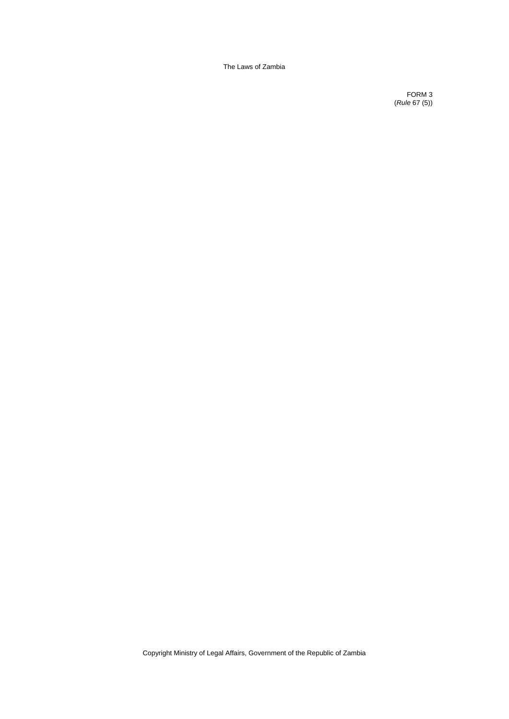FORM 3 (*Rule* 67 (5))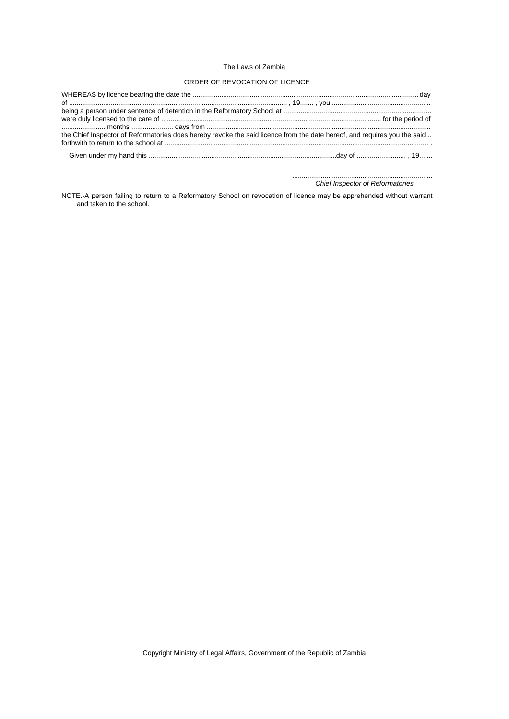## ORDER OF REVOCATION OF LICENCE

| the Chief Inspector of Reformatories does hereby revoke the said licence from the date hereof, and requires you the said |  |
|--------------------------------------------------------------------------------------------------------------------------|--|
|                                                                                                                          |  |
|                                                                                                                          |  |

.......................................................................... *Chief Inspector of Reformatories*

NOTE.-A person failing to return to a Reformatory School on revocation of licence may be apprehended without warrant and taken to the school.